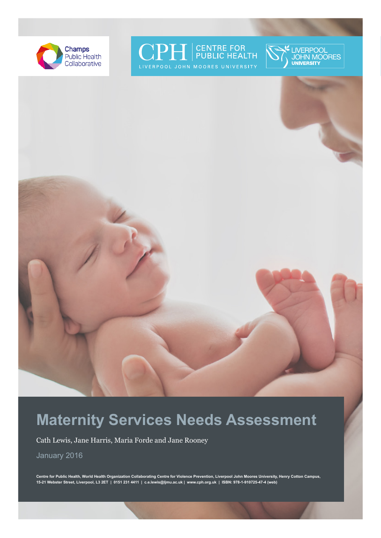







# **Maternity Services Needs Assessment**

Cath Lewis, Jane Harris, Maria Forde and Jane Rooney

January 2016

**Centre for Public Health, World Health Organization Collaborating Centre for Violence Prevention, Liverpool John Moores University, Henry Cotton Campus, 15-21 Webster Street, Liverpool, L3 2ET | 0151 231 4411 | c.e.lewis@ljmu.ac.uk | www.cph.org.uk | ISBN: 978-1-910725-47-4 (web)**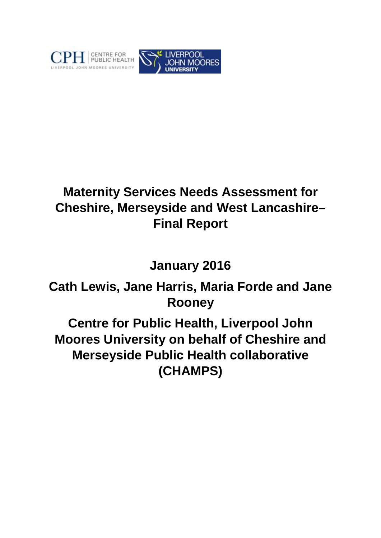

# **Maternity Services Needs Assessment for Cheshire, Merseyside and West Lancashire– Final Report**

# **January 2016**

# **Cath Lewis, Jane Harris, Maria Forde and Jane Rooney**

**Centre for Public Health, Liverpool John Moores University on behalf of Cheshire and Merseyside Public Health collaborative (CHAMPS)**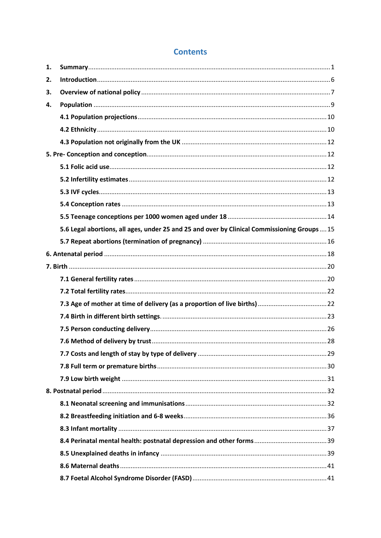| 1. |                                                                                              |  |
|----|----------------------------------------------------------------------------------------------|--|
| 2. |                                                                                              |  |
| 3. |                                                                                              |  |
| 4. |                                                                                              |  |
|    |                                                                                              |  |
|    |                                                                                              |  |
|    |                                                                                              |  |
|    |                                                                                              |  |
|    |                                                                                              |  |
|    |                                                                                              |  |
|    |                                                                                              |  |
|    |                                                                                              |  |
|    |                                                                                              |  |
|    | 5.6 Legal abortions, all ages, under 25 and 25 and over by Clinical Commissioning Groups  15 |  |
|    |                                                                                              |  |
|    |                                                                                              |  |
|    |                                                                                              |  |
|    |                                                                                              |  |
|    |                                                                                              |  |
|    |                                                                                              |  |
|    |                                                                                              |  |
|    |                                                                                              |  |
|    |                                                                                              |  |
|    |                                                                                              |  |
|    |                                                                                              |  |
|    |                                                                                              |  |
|    |                                                                                              |  |
|    |                                                                                              |  |
|    |                                                                                              |  |
|    |                                                                                              |  |
|    |                                                                                              |  |
|    |                                                                                              |  |
|    |                                                                                              |  |
|    |                                                                                              |  |

# **Contents**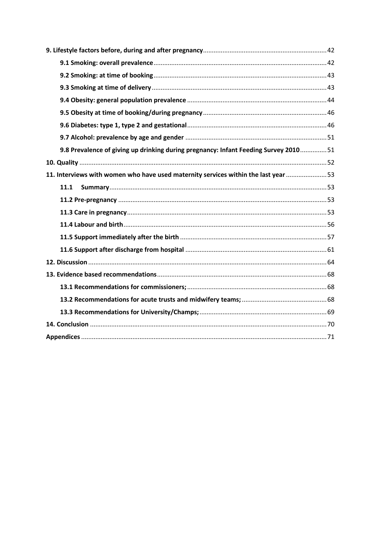| 9.8 Prevalence of giving up drinking during pregnancy: Infant Feeding Survey 201051 |  |
|-------------------------------------------------------------------------------------|--|
|                                                                                     |  |
| 11. Interviews with women who have used maternity services within the last year  53 |  |
| 11.1                                                                                |  |
|                                                                                     |  |
|                                                                                     |  |
|                                                                                     |  |
|                                                                                     |  |
|                                                                                     |  |
|                                                                                     |  |
|                                                                                     |  |
|                                                                                     |  |
|                                                                                     |  |
|                                                                                     |  |
|                                                                                     |  |
|                                                                                     |  |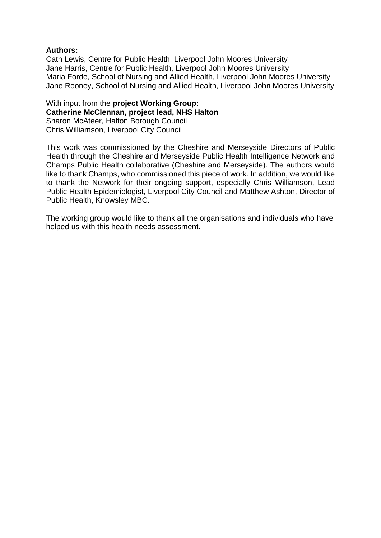## **Authors:**

Cath Lewis, Centre for Public Health, Liverpool John Moores University Jane Harris, Centre for Public Health, Liverpool John Moores University Maria Forde, School of Nursing and Allied Health, Liverpool John Moores University Jane Rooney, School of Nursing and Allied Health, Liverpool John Moores University

With input from the **project Working Group: Catherine McClennan, project lead, NHS Halton** Sharon McAteer, Halton Borough Council Chris Williamson, Liverpool City Council

This work was commissioned by the Cheshire and Merseyside Directors of Public Health through the Cheshire and Merseyside Public Health Intelligence Network and Champs Public Health collaborative (Cheshire and Merseyside). The authors would like to thank Champs, who commissioned this piece of work. In addition, we would like to thank the Network for their ongoing support, especially Chris Williamson, Lead Public Health Epidemiologist, Liverpool City Council and Matthew Ashton, Director of Public Health, Knowsley MBC.

The working group would like to thank all the organisations and individuals who have helped us with this health needs assessment.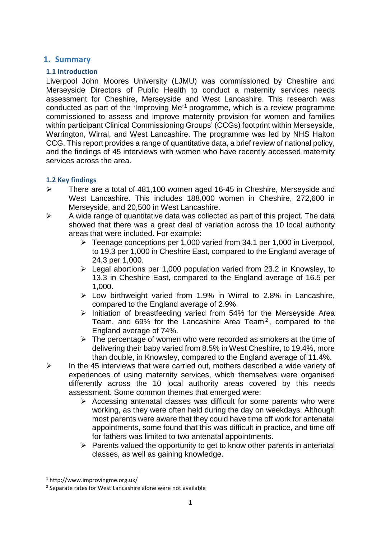# <span id="page-5-0"></span>**1. Summary**

## **1.1 Introduction**

Liverpool John Moores University (LJMU) was commissioned by Cheshire and Merseyside Directors of Public Health to conduct a maternity services needs assessment for Cheshire, Merseyside and West Lancashire. This research was conducted as part of the 'Improving Me'[1](#page-5-1) programme, which is a review programme commissioned to assess and improve maternity provision for women and families within participant Clinical Commissioning Groups' (CCGs) footprint within Merseyside, Warrington, Wirral, and West Lancashire. The programme was led by NHS Halton CCG. This report provides a range of quantitative data, a brief review of national policy, and the findings of 45 interviews with women who have recently accessed maternity services across the area.

## **1.2 Key findings**

- There are a total of 481,100 women aged 16-45 in Cheshire, Merseyside and West Lancashire. This includes 188,000 women in Cheshire, 272,600 in Merseyside, and 20,500 in West Lancashire.
- $\triangleright$  A wide range of quantitative data was collected as part of this project. The data showed that there was a great deal of variation across the 10 local authority areas that were included. For example:
	- Teenage conceptions per 1,000 varied from 34.1 per 1,000 in Liverpool, to 19.3 per 1,000 in Cheshire East, compared to the England average of 24.3 per 1,000.
	- $\geq$  Legal abortions per 1,000 population varied from 23.2 in Knowsley, to 13.3 in Cheshire East, compared to the England average of 16.5 per 1,000.
	- $\triangleright$  Low birthweight varied from 1.9% in Wirral to 2.8% in Lancashire, compared to the England average of 2.9%.
	- $\triangleright$  Initiation of breastfeeding varied from 54% for the Merseyside Area Team, and 69% for the Lancashire Area Team<sup>[2](#page-5-2)</sup>, compared to the England average of 74%.
	- $\triangleright$  The percentage of women who were recorded as smokers at the time of delivering their baby varied from 8.5% in West Cheshire, to 19.4%, more than double, in Knowsley, compared to the England average of 11.4%.
- $\triangleright$  In the 45 interviews that were carried out, mothers described a wide variety of experiences of using maternity services, which themselves were organised differently across the 10 local authority areas covered by this needs assessment. Some common themes that emerged were:
	- $\triangleright$  Accessing antenatal classes was difficult for some parents who were working, as they were often held during the day on weekdays. Although most parents were aware that they could have time off work for antenatal appointments, some found that this was difficult in practice, and time off for fathers was limited to two antenatal appointments.
	- $\triangleright$  Parents valued the opportunity to get to know other parents in antenatal classes, as well as gaining knowledge.

<span id="page-5-1"></span> <sup>1</sup> http://www.improvingme.org.uk/

<span id="page-5-2"></span><sup>2</sup> Separate rates for West Lancashire alone were not available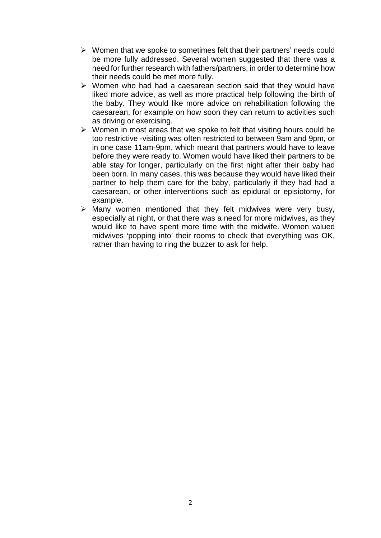- $\triangleright$  Women that we spoke to sometimes felt that their partners' needs could be more fully addressed. Several women suggested that there was a need for further research with fathers/partners, in order to determine how their needs could be met more fully.
- $\triangleright$  Women who had had a caesarean section said that they would have liked more advice, as well as more practical help following the birth of the baby. They would like more advice on rehabilitation following the caesarean, for example on how soon they can return to activities such as driving or exercising.
- $\triangleright$  Women in most areas that we spoke to felt that visiting hours could be too restrictive -visiting was often restricted to between 9am and 9pm, or in one case 11am-9pm, which meant that partners would have to leave before they were ready to. Women would have liked their partners to be able stay for longer, particularly on the first night after their baby had been born. In many cases, this was because they would have liked their partner to help them care for the baby, particularly if they had had a caesarean, or other interventions such as epidural or episiotomy, for example.
- $\triangleright$  Many women mentioned that they felt midwives were very busy, especially at night, or that there was a need for more midwives, as they would like to have spent more time with the midwife. Women valued midwives 'popping into' their rooms to check that everything was OK, rather than having to ring the buzzer to ask for help.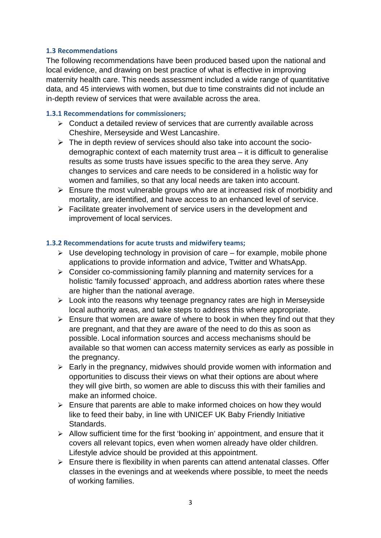## **1.3 Recommendations**

The following recommendations have been produced based upon the national and local evidence, and drawing on best practice of what is effective in improving maternity health care. This needs assessment included a wide range of quantitative data, and 45 interviews with women, but due to time constraints did not include an in-depth review of services that were available across the area.

# **1.3.1 Recommendations for commissioners;**

- $\triangleright$  Conduct a detailed review of services that are currently available across Cheshire, Merseyside and West Lancashire.
- $\triangleright$  The in depth review of services should also take into account the sociodemographic context of each maternity trust area – it is difficult to generalise results as some trusts have issues specific to the area they serve. Any changes to services and care needs to be considered in a holistic way for women and families, so that any local needs are taken into account.
- $\triangleright$  Ensure the most vulnerable groups who are at increased risk of morbidity and mortality, are identified, and have access to an enhanced level of service.
- $\triangleright$  Facilitate greater involvement of service users in the development and improvement of local services.

# **1.3.2 Recommendations for acute trusts and midwifery teams;**

- $\triangleright$  Use developing technology in provision of care for example, mobile phone applications to provide information and advice, Twitter and WhatsApp.
- $\triangleright$  Consider co-commissioning family planning and maternity services for a holistic 'family focussed' approach, and address abortion rates where these are higher than the national average.
- $\triangleright$  Look into the reasons why teenage pregnancy rates are high in Merseyside local authority areas, and take steps to address this where appropriate.
- $\triangleright$  Ensure that women are aware of where to book in when they find out that they are pregnant, and that they are aware of the need to do this as soon as possible. Local information sources and access mechanisms should be available so that women can access maternity services as early as possible in the pregnancy.
- $\triangleright$  Early in the pregnancy, midwives should provide women with information and opportunities to discuss their views on what their options are about where they will give birth, so women are able to discuss this with their families and make an informed choice.
- $\triangleright$  Ensure that parents are able to make informed choices on how they would like to feed their baby, in line with UNICEF UK Baby Friendly Initiative Standards.
- $\triangleright$  Allow sufficient time for the first 'booking in' appointment, and ensure that it covers all relevant topics, even when women already have older children. Lifestyle advice should be provided at this appointment.
- $\triangleright$  Ensure there is flexibility in when parents can attend antenatal classes. Offer classes in the evenings and at weekends where possible, to meet the needs of working families.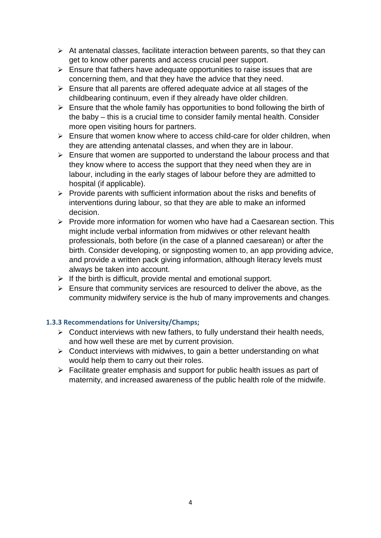- $\triangleright$  At antenatal classes, facilitate interaction between parents, so that they can get to know other parents and access crucial peer support.
- $\triangleright$  Ensure that fathers have adequate opportunities to raise issues that are concerning them, and that they have the advice that they need.
- $\triangleright$  Ensure that all parents are offered adequate advice at all stages of the childbearing continuum, even if they already have older children.
- $\triangleright$  Ensure that the whole family has opportunities to bond following the birth of the baby – this is a crucial time to consider family mental health. Consider more open visiting hours for partners.
- $\triangleright$  Ensure that women know where to access child-care for older children, when they are attending antenatal classes, and when they are in labour.
- $\triangleright$  Ensure that women are supported to understand the labour process and that they know where to access the support that they need when they are in labour, including in the early stages of labour before they are admitted to hospital (if applicable).
- $\triangleright$  Provide parents with sufficient information about the risks and benefits of interventions during labour, so that they are able to make an informed decision.
- $\triangleright$  Provide more information for women who have had a Caesarean section. This might include verbal information from midwives or other relevant health professionals, both before (in the case of a planned caesarean) or after the birth. Consider developing, or signposting women to, an app providing advice, and provide a written pack giving information, although literacy levels must always be taken into account.
- $\triangleright$  If the birth is difficult, provide mental and emotional support.
- $\triangleright$  Ensure that community services are resourced to deliver the above, as the community midwifery service is the hub of many improvements and changes.

# **1.3.3 Recommendations for University/Champs;**

- $\triangleright$  Conduct interviews with new fathers, to fully understand their health needs, and how well these are met by current provision.
- $\triangleright$  Conduct interviews with midwives, to gain a better understanding on what would help them to carry out their roles.
- $\triangleright$  Facilitate greater emphasis and support for public health issues as part of maternity, and increased awareness of the public health role of the midwife.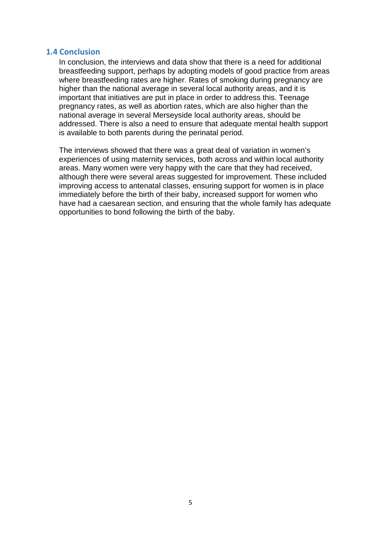## **1.4 Conclusion**

In conclusion, the interviews and data show that there is a need for additional breastfeeding support, perhaps by adopting models of good practice from areas where breastfeeding rates are higher. Rates of smoking during pregnancy are higher than the national average in several local authority areas, and it is important that initiatives are put in place in order to address this. Teenage pregnancy rates, as well as abortion rates, which are also higher than the national average in several Merseyside local authority areas, should be addressed. There is also a need to ensure that adequate mental health support is available to both parents during the perinatal period.

The interviews showed that there was a great deal of variation in women's experiences of using maternity services, both across and within local authority areas. Many women were very happy with the care that they had received, although there were several areas suggested for improvement. These included improving access to antenatal classes, ensuring support for women is in place immediately before the birth of their baby, increased support for women who have had a caesarean section, and ensuring that the whole family has adequate opportunities to bond following the birth of the baby.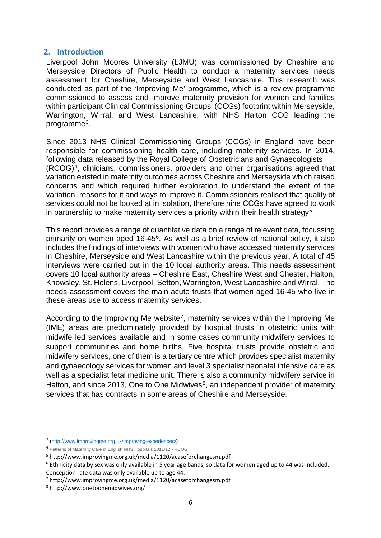## <span id="page-10-0"></span>**2. Introduction**

Liverpool John Moores University (LJMU) was commissioned by Cheshire and Merseyside Directors of Public Health to conduct a maternity services needs assessment for Cheshire, Merseyside and West Lancashire. This research was conducted as part of the 'Improving Me' programme, which is a review programme commissioned to assess and improve maternity provision for women and families within participant Clinical Commissioning Groups' (CCGs) footprint within Merseyside, Warrington, Wirral, and West Lancashire, with NHS Halton CCG leading the programme[3](#page-10-1).

Since 2013 NHS Clinical Commissioning Groups (CCGs) in England have been responsible for commissioning health care, including maternity services. In 2014, following data released by the Royal College of Obstetricians and Gynaecologists (RCOG)[4,](#page-10-2) clinicians, commissioners, providers and other organisations agreed that variation existed in maternity outcomes across Cheshire and Merseyside which raised concerns and which required further exploration to understand the extent of the variation, reasons for it and ways to improve it. Commissioners realised that quality of services could not be looked at in isolation, therefore nine CCGs have agreed to work in partnership to make maternity services a priority within their health strategy<sup>5</sup>.

This report provides a range of quantitative data on a range of relevant data, focussing primarily on women aged 16-45[6](#page-10-4). As well as a brief review of national policy, it also includes the findings of interviews with women who have accessed maternity services in Cheshire, Merseyside and West Lancashire within the previous year. A total of 45 interviews were carried out in the 10 local authority areas. This needs assessment covers 10 local authority areas – Cheshire East, Cheshire West and Chester, Halton, Knowsley, St. Helens, Liverpool, Sefton, Warrington, West Lancashire and Wirral. The needs assessment covers the main acute trusts that women aged 16-45 who live in these areas use to access maternity services.

According to the Improving Me website<sup>7</sup>, maternity services within the Improving Me (IME) areas are predominately provided by hospital trusts in obstetric units with midwife led services available and in some cases community midwifery services to support communities and home births. Five hospital trusts provide obstetric and midwifery services, one of them is a tertiary centre which provides specialist maternity and gynaecology services for women and level 3 specialist neonatal intensive care as well as a specialist fetal medicine unit. There is also a community midwifery service in Halton, and since 2013, One to One Midwives<sup>[8](#page-10-6)</sup>, an independent provider of maternity services that has contracts in some areas of Cheshire and Merseyside.

<span id="page-10-1"></span> <sup>3</sup> [\(http://www.improvingme.org.uk/improving-experiences/\)](http://www.improvingme.org.uk/improving-experiences/)

<span id="page-10-2"></span><sup>4</sup> Patterns of Maternity Care in English NHS Hospitals 2011/12 - RCOG

<span id="page-10-3"></span><sup>5</sup> http://www.improvingme.org.uk/media/1120/acaseforchangesm.pdf

<span id="page-10-4"></span><sup>&</sup>lt;sup>6</sup> Ethnicity data by sex was only available in 5 year age bands, so data for women aged up to 44 was included. Conception rate data was only available up to age 44.

<span id="page-10-5"></span><sup>7</sup> http://www.improvingme.org.uk/media/1120/acaseforchangesm.pdf

<span id="page-10-6"></span><sup>8</sup> http://www.onetoonemidwives.org/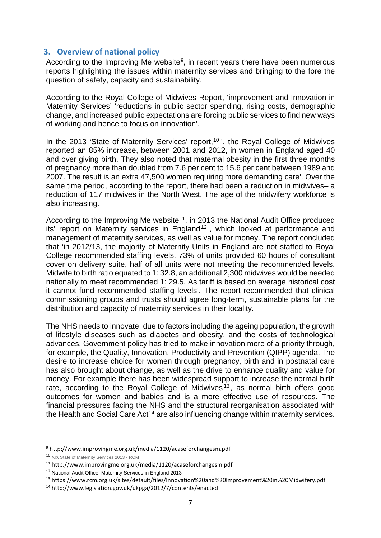# <span id="page-11-0"></span>**3. Overview of national policy**

According to the Improving Me website<sup>9</sup>, in recent years there have been numerous reports highlighting the issues within maternity services and bringing to the fore the question of safety, capacity and sustainability.

According to the Royal College of Midwives Report, 'improvement and Innovation in Maternity Services' 'reductions in public sector spending, rising costs, demographic change, and increased public expectations are forcing public services to find new ways of working and hence to focus on innovation'.

In the 2013 'State of Maternity Services' report,<sup>[10](#page-11-2)</sup>', the Royal College of Midwives reported an 85% increase, between 2001 and 2012, in women in England aged 40 and over giving birth. They also noted that maternal obesity in the first three months of pregnancy more than doubled from 7.6 per cent to 15.6 per cent between 1989 and 2007. The result is an extra 47,500 women requiring more demanding care'. Over the same time period, according to the report, there had been a reduction in midwives– a reduction of 117 midwives in the North West. The age of the midwifery workforce is also increasing.

According to the Improving Me website<sup>[11](#page-11-3)</sup>, in 2013 the National Audit Office produced its' report on Maternity services in England<sup>[12](#page-11-4)</sup>, which looked at performance and management of maternity services, as well as value for money. The report concluded that 'in 2012/13, the majority of Maternity Units in England are not staffed to Royal College recommended staffing levels. 73% of units provided 60 hours of consultant cover on delivery suite, half of all units were not meeting the recommended levels. Midwife to birth ratio equated to 1: 32.8, an additional 2,300 midwives would be needed nationally to meet recommended 1: 29.5. As tariff is based on average historical cost it cannot fund recommended staffing levels'. The report recommended that clinical commissioning groups and trusts should agree long-term, sustainable plans for the distribution and capacity of maternity services in their locality.

The NHS needs to innovate, due to factors including the ageing population, the growth of lifestyle diseases such as diabetes and obesity, and the costs of technological advances. Government policy has tried to make innovation more of a priority through, for example, the Quality, Innovation, Productivity and Prevention (QIPP) agenda. The desire to increase choice for women through pregnancy, birth and in postnatal care has also brought about change, as well as the drive to enhance quality and value for money. For example there has been widespread support to increase the normal birth rate, according to the Royal College of Midwives  $13$ , as normal birth offers good outcomes for women and babies and is a more effective use of resources. The financial pressures facing the NHS and the structural reorganisation associated with the Health and Social Care Act<sup>14</sup> are also influencing change within maternity services.

<span id="page-11-1"></span> <sup>9</sup> http://www.improvingme.org.uk/media/1120/acaseforchangesm.pdf

<span id="page-11-2"></span><sup>10</sup> XIX State of Maternity Services 2013 - RCM

<span id="page-11-3"></span><sup>11</sup> http://www.improvingme.org.uk/media/1120/acaseforchangesm.pdf

<span id="page-11-4"></span><sup>12</sup> National Audit Office: Maternity Services in England 2013

<span id="page-11-5"></span><sup>13</sup> https://www.rcm.org.uk/sites/default/files/Innovation%20and%20Improvement%20in%20Midwifery.pdf

<span id="page-11-6"></span><sup>14</sup> http://www.legislation.gov.uk/ukpga/2012/7/contents/enacted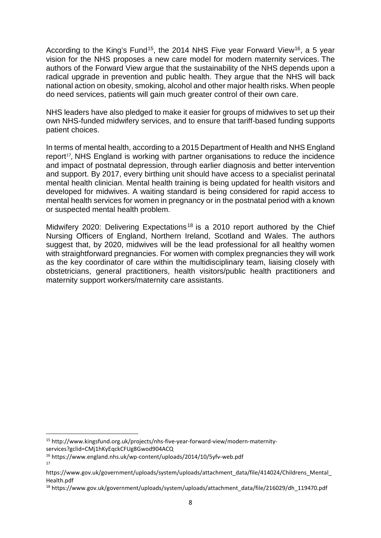According to the King's Fund<sup>15</sup>, the 2014 [NHS Five year Forward View](http://www.kingsfund.org.uk/projects/nhs-five-year-forward-view)<sup>[16](#page-12-1)</sup>, a 5 year vision for the NHS proposes a new care model for modern maternity services. The authors of the Forward View argue that the sustainability of the NHS depends upon a radical upgrade in prevention and public health. They argue that the NHS will back national action on obesity, smoking, alcohol and other major health risks. When people do need services, patients will gain much greater control of their own care.

NHS leaders have also pledged to make it easier for groups of midwives to set up their own NHS-funded midwifery services, and to ensure that tariff-based funding supports patient choices.

In terms of mental health, according to a 2015 Department of Health and NHS England report<sup>17</sup>, NHS England is working with partner organisations to reduce the incidence and impact of postnatal depression, through earlier diagnosis and better intervention and support. By 2017, every birthing unit should have access to a specialist perinatal mental health clinician. Mental health training is being updated for health visitors and developed for midwives. A waiting standard is being considered for rapid access to mental health services for women in pregnancy or in the postnatal period with a known or suspected mental health problem.

Midwifery 2020: Delivering Expectations<sup>[18](#page-12-3)</sup> is a 2010 report authored by the Chief Nursing Officers of England, Northern Ireland, Scotland and Wales. The authors suggest that, by 2020, midwives will be the lead professional for all healthy women with straightforward pregnancies. For women with complex pregnancies they will work as the key coordinator of care within the multidisciplinary team, liaising closely with obstetricians, general practitioners, health visitors/public health practitioners and maternity support workers/maternity care assistants.

<span id="page-12-0"></span> <sup>15</sup> http://www.kingsfund.org.uk/projects/nhs-five-year-forward-view/modern-maternityservices?gclid=CMj1hKyEqckCFUg8Gwod904ACQ

<span id="page-12-1"></span><sup>16</sup> https://www.england.nhs.uk/wp-content/uploads/2014/10/5yfv-web.pdf

<sup>17</sup>

<span id="page-12-2"></span>https://www.gov.uk/government/uploads/system/uploads/attachment\_data/file/414024/Childrens\_Mental\_ Health.pdf

<span id="page-12-3"></span><sup>18</sup> https://www.gov.uk/government/uploads/system/uploads/attachment\_data/file/216029/dh\_119470.pdf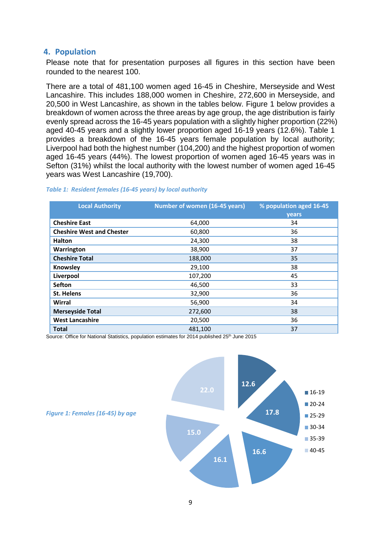# <span id="page-13-0"></span>**4. Population**

Please note that for presentation purposes all figures in this section have been rounded to the nearest 100.

There are a total of 481,100 women aged 16-45 in Cheshire, Merseyside and West Lancashire. This includes 188,000 women in Cheshire, 272,600 in Merseyside, and 20,500 in West Lancashire, as shown in the tables below. Figure 1 below provides a breakdown of women across the three areas by age group, the age distribution is fairly evenly spread across the 16-45 years population with a slightly higher proportion (22%) aged 40-45 years and a slightly lower proportion aged 16-19 years (12.6%). Table 1 provides a breakdown of the 16-45 years female population by local authority; Liverpool had both the highest number (104,200) and the highest proportion of women aged 16-45 years (44%). The lowest proportion of women aged 16-45 years was in Sefton (31%) whilst the local authority with the lowest number of women aged 16-45 years was West Lancashire (19,700).

| <b>Local Authority</b>           | Number of women (16-45 years) | % population aged 16-45<br>years |
|----------------------------------|-------------------------------|----------------------------------|
| <b>Cheshire East</b>             | 64,000                        | 34                               |
| <b>Cheshire West and Chester</b> | 60,800                        | 36                               |
| <b>Halton</b>                    | 24,300                        | 38                               |
| Warrington                       | 38,900                        | 37                               |
| <b>Cheshire Total</b>            | 188,000                       | 35                               |
| Knowsley                         | 29,100                        | 38                               |
| Liverpool                        | 107,200                       | 45                               |
| <b>Sefton</b>                    | 46,500                        | 33                               |
| <b>St. Helens</b>                | 32,900                        | 36                               |
| Wirral                           | 56,900                        | 34                               |
| <b>Merseyside Total</b>          | 272,600                       | 38                               |
| <b>West Lancashire</b>           | 20,500                        | 36                               |
| <b>Total</b>                     | 481,100                       | 37                               |

## *Table 1: Resident females (16-45 years) by local authority*

Source: Office for National Statistics, population estimates for 2014 published 25<sup>th</sup> June 2015



9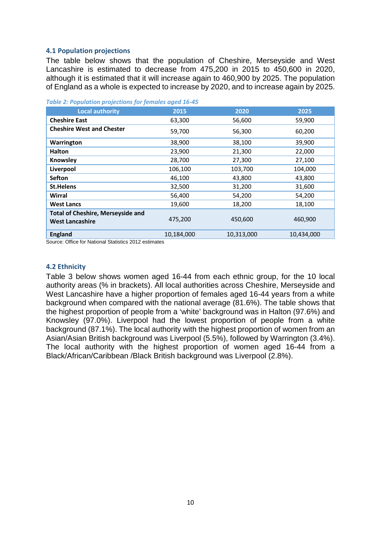## <span id="page-14-0"></span>**4.1 Population projections**

The table below shows that the population of Cheshire, Merseyside and West Lancashire is estimated to decrease from 475,200 in 2015 to 450,600 in 2020, although it is estimated that it will increase again to 460,900 by 2025. The population of England as a whole is expected to increase by 2020, and to increase again by 2025.

| <b>Local authority</b>                                             | 2015       | 2020       | 2025       |
|--------------------------------------------------------------------|------------|------------|------------|
| <b>Cheshire East</b>                                               | 63,300     | 56,600     | 59,900     |
| <b>Cheshire West and Chester</b>                                   | 59,700     | 56,300     | 60,200     |
| Warrington                                                         | 38,900     | 38,100     | 39,900     |
| <b>Halton</b>                                                      | 23,900     | 21,300     | 22,000     |
| Knowsley                                                           | 28,700     | 27,300     | 27,100     |
| Liverpool                                                          | 106,100    | 103,700    | 104,000    |
| Sefton                                                             | 46,100     | 43,800     | 43,800     |
| <b>St.Helens</b>                                                   | 32,500     | 31,200     | 31,600     |
| Wirral                                                             | 56,400     | 54,200     | 54,200     |
| <b>West Lancs</b>                                                  | 19,600     | 18,200     | 18,100     |
| <b>Total of Cheshire, Merseyside and</b><br><b>West Lancashire</b> | 475,200    | 450,600    | 460,900    |
| <b>England</b>                                                     | 10,184,000 | 10,313,000 | 10,434,000 |
| $\mathbf{r}$                                                       |            |            |            |

*Table 2: Population projections for females aged 16-45*

Source: Office for National Statistics 2012 estimates

#### <span id="page-14-1"></span>**4.2 Ethnicity**

Table 3 below shows women aged 16-44 from each ethnic group, for the 10 local authority areas (% in brackets). All local authorities across Cheshire, Merseyside and West Lancashire have a higher proportion of females aged 16-44 years from a white background when compared with the national average (81.6%). The table shows that the highest proportion of people from a 'white' background was in Halton (97.6%) and Knowsley (97.0%). Liverpool had the lowest proportion of people from a white background (87.1%). The local authority with the highest proportion of women from an Asian/Asian British background was Liverpool (5.5%), followed by Warrington (3.4%). The local authority with the highest proportion of women aged 16-44 from a Black/African/Caribbean /Black British background was Liverpool (2.8%).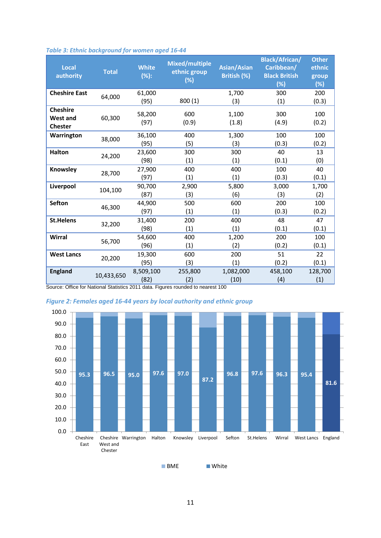| <b>Local</b><br>authority         | <b>Total</b> | <b>White</b><br>(%): | <b>Mixed/multiple</b><br>ethnic group<br>(%) | <b>Asian/Asian</b><br>British (%) | <b>Black/African/</b><br>Caribbean/<br><b>Black British</b><br>(%) | <b>Other</b><br>ethnic<br>group<br>(%) |
|-----------------------------------|--------------|----------------------|----------------------------------------------|-----------------------------------|--------------------------------------------------------------------|----------------------------------------|
| <b>Cheshire East</b>              | 64,000       | 61,000               |                                              | 1,700                             | 300                                                                | 200                                    |
|                                   |              | (95)                 | 800(1)                                       | (3)                               | (1)                                                                | (0.3)                                  |
| <b>Cheshire</b>                   |              | 58,200               | 600                                          | 1,100                             | 300                                                                | 100                                    |
| <b>West and</b><br><b>Chester</b> | 60,300       | (97)                 | (0.9)                                        | (1.8)                             | (4.9)                                                              | (0.2)                                  |
| Warrington                        |              | 36,100               | 400                                          | 1,300                             | 100                                                                | 100                                    |
|                                   | 38,000       | (95)                 | (5)                                          | (3)                               | (0.3)                                                              | (0.2)                                  |
| <b>Halton</b>                     |              | 23,600               | 300                                          | 300                               | 40                                                                 | 13                                     |
|                                   | 24,200       | (98)                 | (1)                                          | (1)                               | (0.1)                                                              | (0)                                    |
| Knowsley                          |              | 27,900               | 400                                          | 400                               | 100                                                                | 40                                     |
|                                   | 28,700       | (97)                 | (1)                                          | (1)                               | (0.3)                                                              | (0.1)                                  |
| Liverpool                         |              | 90,700               | 2,900                                        | 5,800                             | 3,000                                                              | 1,700                                  |
|                                   | 104,100      | (87)                 | (3)                                          | (6)                               | (3)                                                                | (2)                                    |
| <b>Sefton</b>                     |              | 44,900               | 500                                          | 600                               | 200                                                                | 100                                    |
|                                   | 46,300       | (97)                 | (1)                                          | (1)                               | (0.3)                                                              | (0.2)                                  |
| <b>St.Helens</b>                  |              | 31,400               | 200                                          | 400                               | 48                                                                 | 47                                     |
|                                   | 32,200       | (98)                 | (1)                                          | (1)                               | (0.1)                                                              | (0.1)                                  |
| Wirral                            |              | 54,600               | 400                                          | 1,200                             | 200                                                                | 100                                    |
|                                   | 56,700       | (96)                 | (1)                                          | (2)                               | (0.2)                                                              | (0.1)                                  |
| <b>West Lancs</b>                 |              | 19,300               | 600                                          | 200                               | 51                                                                 | 22                                     |
|                                   | 20,200       | (95)                 | (3)                                          | (1)                               | (0.2)                                                              | (0.1)                                  |
| <b>England</b>                    |              | 8,509,100            | 255,800                                      | 1,082,000                         | 458,100                                                            | 128,700                                |
|                                   | 10,433,650   | (82)                 | (2)                                          | (10)                              | (4)                                                                | (1)                                    |

## *Table 3: Ethnic background for women aged 16-44*

Source: Office for National Statistics 2011 data. Figures rounded to nearest 100



*Figure 2: Females aged 16-44 years by local authority and ethnic group*

**BME** White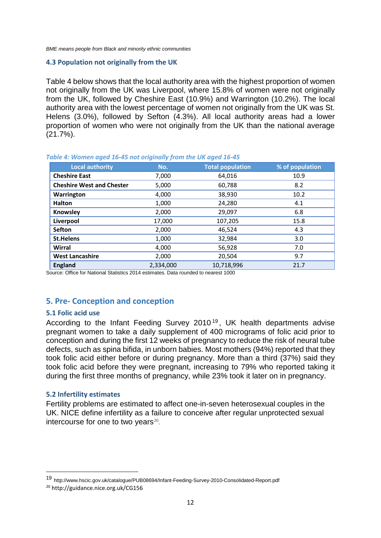*BME means people from Black and minority ethnic communities*

#### <span id="page-16-0"></span>**4.3 Population not originally from the UK**

Table 4 below shows that the local authority area with the highest proportion of women not originally from the UK was Liverpool, where 15.8% of women were not originally from the UK, followed by Cheshire East (10.9%) and Warrington (10.2%). The local authority area with the lowest percentage of women not originally from the UK was St. Helens (3.0%), followed by Sefton (4.3%). All local authority areas had a lower proportion of women who were not originally from the UK than the national average (21.7%).

| <b>Local authority</b>           | No.       | <b>Total population</b> | % of population |
|----------------------------------|-----------|-------------------------|-----------------|
| <b>Cheshire East</b>             | 7,000     | 64,016                  | 10.9            |
| <b>Cheshire West and Chester</b> | 5,000     | 60,788                  | 8.2             |
| Warrington                       | 4,000     | 38,930                  | 10.2            |
| <b>Halton</b>                    | 1,000     | 24,280                  | 4.1             |
| Knowsley                         | 2,000     | 29,097                  | 6.8             |
| Liverpool                        | 17,000    | 107,205                 | 15.8            |
| <b>Sefton</b>                    | 2,000     | 46,524                  | 4.3             |
| <b>St.Helens</b>                 | 1,000     | 32,984                  | 3.0             |
| Wirral                           | 4,000     | 56,928                  | 7.0             |
| <b>West Lancashire</b>           | 2,000     | 20,504                  | 9.7             |
| <b>England</b>                   | 2,334,000 | 10,718,996              | 21.7            |

#### *Table 4: Women aged 16-45 not originally from the UK aged 16-45*

Source: Office for National Statistics 2014 estimates. Data rounded to nearest 1000

## <span id="page-16-1"></span>**5. Pre- Conception and conception**

## <span id="page-16-2"></span>**5.1 Folic acid use**

According to the Infant Feeding Survey 2010 [19](#page-16-4) , UK health departments advise pregnant women to take a daily supplement of 400 micrograms of folic acid prior to conception and during the first 12 weeks of pregnancy to reduce the risk of neural tube defects, such as spina bifida, in unborn babies. Most mothers (94%) reported that they took folic acid either before or during pregnancy. More than a third (37%) said they took folic acid before they were pregnant, increasing to 79% who reported taking it during the first three months of pregnancy, while 23% took it later on in pregnancy.

## <span id="page-16-3"></span>**5.2 Infertility estimates**

Fertility problems are estimated to affect one-in-seven heterosexual couples in the UK. NICE define infertility as a failure to conceive after regular unprotected sexual intercourse for one to two years $20$ .

 $\overline{a}$ 

<span id="page-16-4"></span><sup>19</sup> http://www.hscic.gov.uk/catalogue/PUB08694/Infant-Feeding-Survey-2010-Consolidated-Report.pdf

<span id="page-16-5"></span><sup>20</sup> http://guidance.nice.org.uk/CG156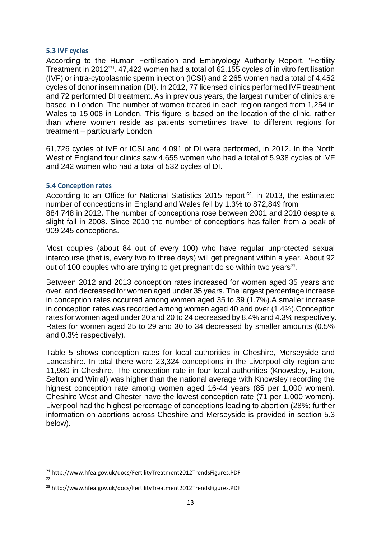## <span id="page-17-0"></span>**5.3 IVF cycles**

According to the Human Fertilisation and Embryology Authority Report, 'Fertility Treatment in 2012'[21](#page-17-2), 47,422 women had a total of 62,155 cycles of in vitro fertilisation (IVF) or intra-cytoplasmic sperm injection (ICSI) and 2,265 women had a total of 4,452 cycles of donor insemination (DI). In 2012, 77 licensed clinics performed IVF treatment and 72 performed DI treatment. As in previous years, the largest number of clinics are based in London. The number of women treated in each region ranged from 1,254 in Wales to 15,008 in London. This figure is based on the location of the clinic, rather than where women reside as patients sometimes travel to different regions for treatment – particularly London.

61,726 cycles of IVF or ICSI and 4,091 of DI were performed, in 2012. In the North West of England four clinics saw 4,655 women who had a total of 5,938 cycles of IVF and 242 women who had a total of 532 cycles of DI.

## <span id="page-17-1"></span>**5.4 Conception rates**

According to an Office for National Statistics 2015 report<sup>[22](#page-17-3)</sup>, in 2013, the estimated number of conceptions in England and Wales fell by 1.3% to 872,849 from 884,748 in 2012. The number of conceptions rose between 2001 and 2010 despite a slight fall in 2008. Since 2010 the number of conceptions has fallen from a peak of 909,245 conceptions.

Most couples (about 84 out of every 100) who have regular unprotected sexual intercourse (that is, every two to three days) will get pregnant within a year. About 92 out of 100 couples who are trying to get pregnant do so within two years<sup>23</sup>.

Between 2012 and 2013 conception rates increased for women aged 35 years and over, and decreased for women aged under 35 years. The largest percentage increase in conception rates occurred among women aged 35 to 39 (1.7%).A smaller increase in conception rates was recorded among women aged 40 and over (1.4%).Conception rates for women aged under 20 and 20 to 24 decreased by 8.4% and 4.3% respectively. Rates for women aged 25 to 29 and 30 to 34 decreased by smaller amounts (0.5% and 0.3% respectively).

Table 5 shows conception rates for local authorities in Cheshire, Merseyside and Lancashire. In total there were 23,324 conceptions in the Liverpool city region and 11,980 in Cheshire, The conception rate in four local authorities (Knowsley, Halton, Sefton and Wirral) was higher than the national average with Knowsley recording the highest conception rate among women aged 16-44 years (85 per 1,000 women). Cheshire West and Chester have the lowest conception rate (71 per 1,000 women). Liverpool had the highest percentage of conceptions leading to abortion (28%; further information on abortions across Cheshire and Merseyside is provided in section 5.3 below).

<span id="page-17-2"></span> <sup>21</sup> http://www.hfea.gov.uk/docs/FertilityTreatment2012TrendsFigures.PDF 22

<span id="page-17-4"></span><span id="page-17-3"></span><sup>23</sup> http://www.hfea.gov.uk/docs/FertilityTreatment2012TrendsFigures.PDF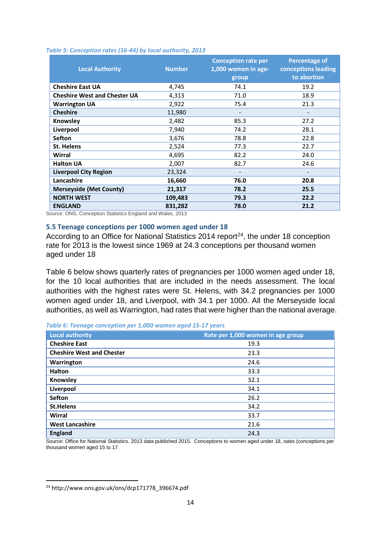| <b>Local Authority</b>              | <b>Number</b> | <b>Conception rate per</b><br>1,000 women in age-<br>group | <b>Percentage of</b><br>conceptions leading<br>to abortion |
|-------------------------------------|---------------|------------------------------------------------------------|------------------------------------------------------------|
| <b>Cheshire East UA</b>             | 4,745         | 74.1                                                       | 19.2                                                       |
| <b>Cheshire West and Chester UA</b> | 4,313         | 71.0                                                       | 18.9                                                       |
| <b>Warrington UA</b>                | 2,922         | 75.4                                                       | 21.3                                                       |
| <b>Cheshire</b>                     | 11,980        |                                                            |                                                            |
| Knowsley                            | 2,482         | 85.3                                                       | 27.2                                                       |
| Liverpool                           | 7,940         | 74.2                                                       | 28.1                                                       |
| <b>Sefton</b>                       | 3,676         | 78.8                                                       | 22.8                                                       |
| <b>St. Helens</b>                   | 2,524         | 77.3                                                       | 22.7                                                       |
| Wirral                              | 4,695         | 82.2                                                       | 24.0                                                       |
| <b>Halton UA</b>                    | 2,007         | 82.7                                                       | 24.6                                                       |
| <b>Liverpool City Region</b>        | 23,324        |                                                            |                                                            |
| Lancashire                          | 16,660        | 76.0                                                       | 20.8                                                       |
| <b>Merseyside (Met County)</b>      | 21,317        | 78.2                                                       | 25.5                                                       |
| <b>NORTH WEST</b>                   | 109,483       | 79.3                                                       | 22.2                                                       |
| <b>ENGLAND</b>                      | 831,282       | 78.0                                                       | 21.2                                                       |

#### *Table 5: Conception rates (16-44) by local authority, 2013*

Source: ONS, Conception Statistics England and Wales, 2013

## <span id="page-18-0"></span>**5.5 Teenage conceptions per 1000 women aged under 18**

According to an Office for National Statistics 2014 report<sup>24</sup>, the under 18 conception rate for 2013 is the lowest since 1969 at 24.3 conceptions per thousand women aged under 18

Table 6 below shows quarterly rates of pregnancies per 1000 women aged under 18, for the 10 local authorities that are included in the needs assessment. The local authorities with the highest rates were St. Helens, with 34.2 pregnancies per 1000 women aged under 18, and Liverpool, with 34.1 per 1000. All the Merseyside local authorities, as well as Warrington, had rates that were higher than the national average.

| <b>Local authority</b>           | Rate per 1,000 women in age group |
|----------------------------------|-----------------------------------|
| <b>Cheshire East</b>             | 19.3                              |
| <b>Cheshire West and Chester</b> | 23.3                              |
| Warrington                       | 24.6                              |
| <b>Halton</b>                    | 33.3                              |
| Knowsley                         | 32.1                              |
| Liverpool                        | 34.1                              |
| <b>Sefton</b>                    | 26.2                              |
| <b>St.Helens</b>                 | 34.2                              |
| Wirral                           | 33.7                              |
| <b>West Lancashire</b>           | 21.6                              |
| <b>England</b>                   | 24.3                              |

*Table 6: Teenage conception per 1,000 women aged 15-17 years*

Source: Office for National Statistics. 2013 data published 2015. Conceptions to women aged under 18, rates (conceptions per thousand women aged 15 to 17

<span id="page-18-1"></span> <sup>24</sup> http://www.ons.gov.uk/ons/dcp171778\_396674.pdf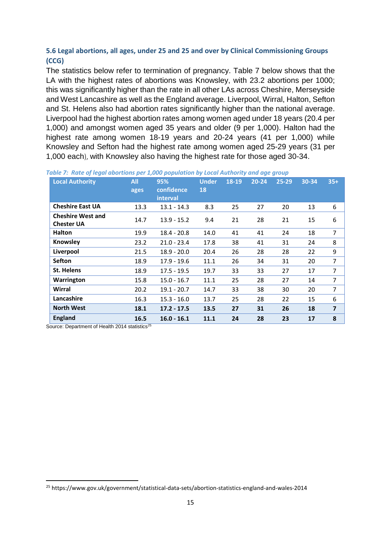# <span id="page-19-0"></span>**5.6 Legal abortions, all ages, under 25 and 25 and over by Clinical Commissioning Groups (CCG)**

The statistics below refer to termination of pregnancy. Table 7 below shows that the LA with the highest rates of abortions was Knowsley, with 23.2 abortions per 1000; this was significantly higher than the rate in all other LAs across Cheshire, Merseyside and West Lancashire as well as the England average. Liverpool, Wirral, Halton, Sefton and St. Helens also had abortion rates significantly higher than the national average. Liverpool had the highest abortion rates among women aged under 18 years (20.4 per 1,000) and amongst women aged 35 years and older (9 per 1,000). Halton had the highest rate among women 18-19 years and 20-24 years (41 per 1,000) while Knowsley and Sefton had the highest rate among women aged 25-29 years (31 per 1,000 each), with Knowsley also having the highest rate for those aged 30-34.

| <b>Local Authority</b>                        | <b>All</b><br>ages | 95%<br>confidence<br>interval | <b>Under</b><br>18 | 18-19 | 20-24 | 25-29 | 30-34 | $35+$          |
|-----------------------------------------------|--------------------|-------------------------------|--------------------|-------|-------|-------|-------|----------------|
| <b>Cheshire East UA</b>                       | 13.3               | $13.1 - 14.3$                 | 8.3                | 25    | 27    | 20    | 13    | 6              |
| <b>Cheshire West and</b><br><b>Chester UA</b> | 14.7               | $13.9 - 15.2$                 | 9.4                | 21    | 28    | 21    | 15    | 6              |
| <b>Halton</b>                                 | 19.9               | $18.4 - 20.8$                 | 14.0               | 41    | 41    | 24    | 18    | $\overline{7}$ |
| Knowsley                                      | 23.2               | $21.0 - 23.4$                 | 17.8               | 38    | 41    | 31    | 24    | 8              |
| Liverpool                                     | 21.5               | $18.9 - 20.0$                 | 20.4               | 26    | 28    | 28    | 22    | 9              |
| <b>Sefton</b>                                 | 18.9               | $17.9 - 19.6$                 | 11.1               | 26    | 34    | 31    | 20    | 7              |
| <b>St. Helens</b>                             | 18.9               | $17.5 - 19.5$                 | 19.7               | 33    | 33    | 27    | 17    | $\overline{7}$ |
| Warrington                                    | 15.8               | $15.0 - 16.7$                 | 11.1               | 25    | 28    | 27    | 14    | $\overline{7}$ |
| Wirral                                        | 20.2               | $19.1 - 20.7$                 | 14.7               | 33    | 38    | 30    | 20    | $\overline{7}$ |
| Lancashire                                    | 16.3               | $15.3 - 16.0$                 | 13.7               | 25    | 28    | 22    | 15    | 6              |
| <b>North West</b>                             | 18.1               | $17.2 - 17.5$                 | 13.5               | 27    | 31    | 26    | 18    | 7              |
| <b>England</b>                                | 16.5               | $16.0 - 16.1$                 | 11.1               | 24    | 28    | 23    | 17    | 8              |

*Table 7: Rate of legal abortions per 1,000 population by Local Authority and age group*

Source: Department of Health 2014 statistics<sup>[25](#page-19-1)</sup>

<span id="page-19-1"></span> <sup>25</sup> https://www.gov.uk/government/statistical-data-sets/abortion-statistics-england-and-wales-2014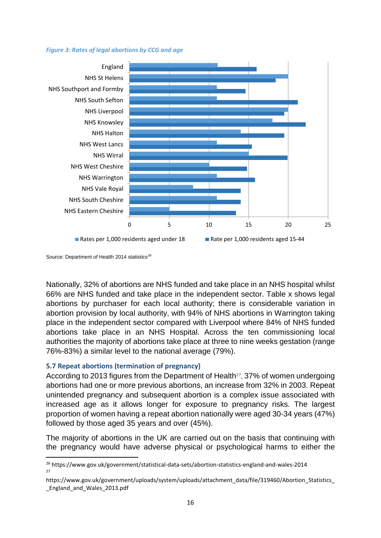#### *Figure 3: Rates of legal abortions by CCG and age*



Source: Department of Health 2014 statistics<sup>[26](#page-20-1)</sup>

Nationally, 32% of abortions are NHS funded and take place in an NHS hospital whilst 66% are NHS funded and take place in the independent sector. Table x shows legal abortions by purchaser for each local authority; there is considerable variation in abortion provision by local authority, with 94% of NHS abortions in Warrington taking place in the independent sector compared with Liverpool where 84% of NHS funded abortions take place in an NHS Hospital. Across the ten commissioning local authorities the majority of abortions take place at three to nine weeks gestation (range 76%-83%) a similar level to the national average (79%).

## <span id="page-20-0"></span>**5.7 Repeat abortions (termination of pregnancy)**

According to 2013 figures from the Department of Health<sup>27</sup>, 37% of women undergoing abortions had one or more previous abortions, an increase from 32% in 2003. Repeat unintended pregnancy and subsequent abortion is a complex issue associated with increased age as it allows longer for exposure to pregnancy risks. The largest proportion of women having a repeat abortion nationally were aged 30-34 years (47%) followed by those aged 35 years and over (45%).

The majority of abortions in the UK are carried out on the basis that continuing with the pregnancy would have adverse physical or psychological harms to either the

<span id="page-20-1"></span> <sup>26</sup> https://www.gov.uk/government/statistical-data-sets/abortion-statistics-england-and-wales-2014 27

<span id="page-20-2"></span>https://www.gov.uk/government/uploads/system/uploads/attachment\_data/file/319460/Abortion\_Statistics\_ \_England\_and\_Wales\_2013.pdf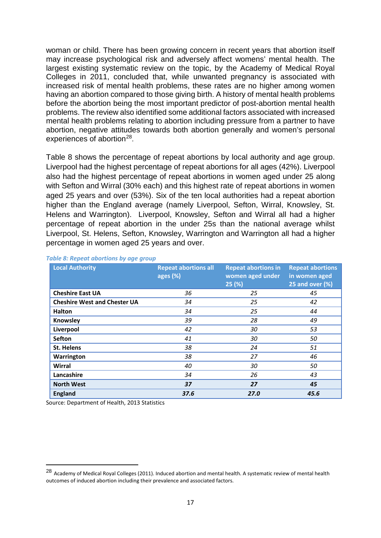woman or child. There has been growing concern in recent years that abortion itself may increase psychological risk and adversely affect womens' mental health. The largest existing systematic review on the topic, by the Academy of Medical Royal Colleges in 2011, concluded that, while unwanted pregnancy is associated with increased risk of mental health problems, these rates are no higher among women having an abortion compared to those giving birth. A history of mental health problems before the abortion being the most important predictor of post-abortion mental health problems. The review also identified some additional factors associated with increased mental health problems relating to abortion including pressure from a partner to have abortion, negative attitudes towards both abortion generally and women's personal experiences of abortion<sup>[28](#page-21-0)</sup>.

Table 8 shows the percentage of repeat abortions by local authority and age group. Liverpool had the highest percentage of repeat abortions for all ages (42%). Liverpool also had the highest percentage of repeat abortions in women aged under 25 along with Sefton and Wirral (30% each) and this highest rate of repeat abortions in women aged 25 years and over (53%). Six of the ten local authorities had a repeat abortion higher than the England average (namely Liverpool, Sefton, Wirral, Knowsley, St. Helens and Warrington). Liverpool, Knowsley, Sefton and Wirral all had a higher percentage of repeat abortion in the under 25s than the national average whilst Liverpool, St. Helens, Sefton, Knowsley, Warrington and Warrington all had a higher percentage in women aged 25 years and over.

| <b>Local Authority</b>              | <b>Repeat abortions all</b><br>ages (%) | <b>Repeat abortions in</b><br>women aged under<br>25(%) | <b>Repeat abortions</b><br>in women aged<br>25 and over (%) |
|-------------------------------------|-----------------------------------------|---------------------------------------------------------|-------------------------------------------------------------|
| <b>Cheshire East UA</b>             | 36                                      | 25                                                      | 45                                                          |
| <b>Cheshire West and Chester UA</b> | 34                                      | 25                                                      | 42                                                          |
| Halton                              | 34                                      | 25                                                      | 44                                                          |
| Knowsley                            | 39                                      | 28                                                      | 49                                                          |
| Liverpool                           | 42                                      | 30                                                      | 53                                                          |
| <b>Sefton</b>                       | 41                                      | 30                                                      | 50                                                          |
| <b>St. Helens</b>                   | 38                                      | 24                                                      | 51                                                          |
| Warrington                          | 38                                      | 27                                                      | 46                                                          |
| Wirral                              | 40                                      | 30                                                      | 50                                                          |
| Lancashire                          | 34                                      | 26                                                      | 43                                                          |
| <b>North West</b>                   | 37                                      | 27                                                      | 45                                                          |
| <b>England</b>                      | 37.6                                    | 27.0                                                    | 45.6                                                        |

#### *Table 8: Repeat abortions by age group*

Source: Department of Health, 2013 Statistics

 $\overline{a}$ 

<span id="page-21-0"></span><sup>28</sup> Academy of Medical Royal Colleges (2011). Induced abortion and mental health. A systematic review of mental health outcomes of induced abortion including their prevalence and associated factors.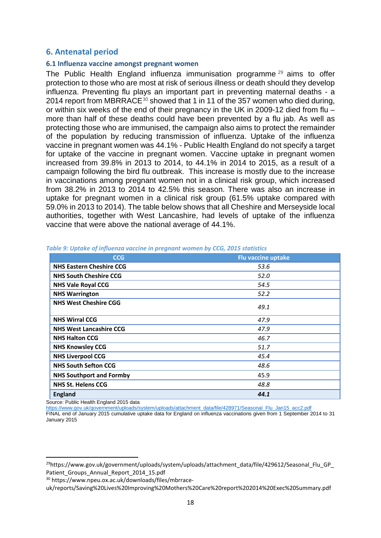## <span id="page-22-0"></span>**6. Antenatal period**

## **6.1 Influenza vaccine amongst pregnant women**

The Public Health England influenza immunisation programme<sup>[29](#page-22-1)</sup> aims to offer protection to those who are most at risk of serious illness or death should they develop influenza. Preventing flu plays an important part in preventing maternal deaths - a 2014 report from MBRRACE<sup>[30](#page-22-2)</sup> showed that 1 in 11 of the 357 women who died during, or within six weeks of the end of their pregnancy in the UK in 2009-12 died from flu – more than half of these deaths could have been prevented by a flu jab. As well as protecting those who are immunised, the campaign also aims to protect the remainder of the population by reducing transmission of influenza. Uptake of the influenza vaccine in pregnant women was 44.1% - Public Health England do not specify a target for uptake of the vaccine in pregnant women. Vaccine uptake in pregnant women increased from 39.8% in 2013 to 2014, to 44.1% in 2014 to 2015, as a result of a campaign following the bird flu outbreak. This increase is mostly due to the increase in vaccinations among pregnant women not in a clinical risk group, which increased from 38.2% in 2013 to 2014 to 42.5% this season. There was also an increase in uptake for pregnant women in a clinical risk group (61.5% uptake compared with 59.0% in 2013 to 2014). The table below shows that all Cheshire and Merseyside local authorities, together with West Lancashire, had levels of uptake of the influenza vaccine that were above the national average of 44.1%.

| <b>CCG</b>                      | <b>Flu vaccine uptake</b> |
|---------------------------------|---------------------------|
| <b>NHS Eastern Cheshire CCG</b> | 53.6                      |
| <b>NHS South Cheshire CCG</b>   | 52.0                      |
| <b>NHS Vale Royal CCG</b>       | 54.5                      |
| <b>NHS Warrington</b>           | 52.2                      |
| <b>NHS West Cheshire CGG</b>    | 49.1                      |
| <b>NHS Wirral CCG</b>           | 47.9                      |
| <b>NHS West Lancashire CCG</b>  | 47.9                      |
| <b>NHS Halton CCG</b>           | 46.7                      |
| <b>NHS Knowsley CCG</b>         | 51.7                      |
| <b>NHS Liverpool CCG</b>        | 45.4                      |
| <b>NHS South Sefton CCG</b>     | 48.6                      |
| <b>NHS Southport and Formby</b> | 45.9                      |
| <b>NHS St. Helens CCG</b>       | 48.8                      |
| <b>England</b>                  | 44.1                      |

*Table 9: Uptake of influenza vaccine in pregnant women by CCG, 2015 statistics*

Source: Public Health England 2015 data

[https://www.gov.uk/government/uploads/system/uploads/attachment\\_data/file/428971/Seasonal\\_Flu\\_Jan15\\_acc2.pdf](https://www.gov.uk/government/uploads/system/uploads/attachment_data/file/428971/Seasonal_Flu_Jan15_acc2.pdf) FINAL end of January 2015 cumulative uptake data for England on influenza vaccinations given from 1 September 2014 to 31

January 2015

<span id="page-22-1"></span><sup>&</sup>lt;sup>29</sup>https://www.gov.uk/government/uploads/system/uploads/attachment\_data/file/429612/Seasonal\_Flu\_GP Patient Groups Annual Report 2014 15.pdf

<span id="page-22-2"></span><sup>30</sup> https://www.npeu.ox.ac.uk/downloads/files/mbrrace-

uk/reports/Saving%20Lives%20Improving%20Mothers%20Care%20report%202014%20Exec%20Summary.pdf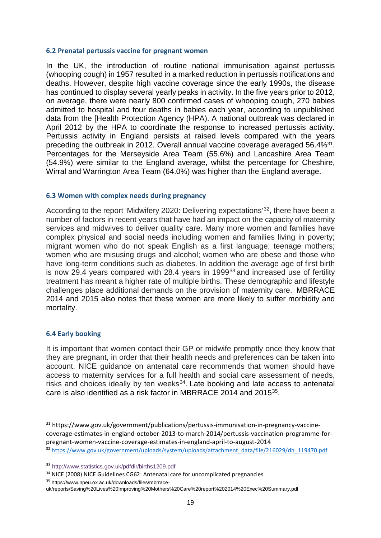## **6.2 Prenatal pertussis vaccine for pregnant women**

In the UK, the introduction of routine national immunisation against pertussis (whooping cough) in 1957 resulted in a marked reduction in pertussis notifications and deaths. However, despite high vaccine coverage since the early 1990s, the disease has continued to display several yearly peaks in activity. In the five years prior to 2012, on average, there were nearly 800 confirmed cases of whooping cough, 270 babies admitted to hospital and four deaths in babies each year, according to unpublished data from the [Health Protection Agency (HPA). A national outbreak was declared in April 2012 by the HPA to coordinate the response to increased pertussis activity. Pertussis activity in England persists at raised levels compared with the years preceding the outbreak in 2012. Overall annual vaccine coverage averaged 56.4%[31](#page-23-0). Percentages for the Merseyside Area Team (55.6%) and Lancashire Area Team (54.9%) were similar to the England average, whilst the percentage for Cheshire, Wirral and Warrington Area Team (64.0%) was higher than the England average.

## **6.3 Women with complex needs during pregnancy**

According to the report 'Midwifery 2020: Delivering expectations'[32](#page-23-1), there have been a number of factors in recent years that have had an impact on the capacity of maternity services and midwives to deliver quality care. Many more women and families have complex physical and social needs including women and families living in poverty; migrant women who do not speak English as a first language; teenage mothers; women who are misusing drugs and alcohol; women who are obese and those who have long-term conditions such as diabetes. In addition the average age of first birth is now 29.4 years compared with 28.4 years in 1999<sup>[33](#page-23-2)</sup> and increased use of fertility treatment has meant a higher rate of multiple births. These demographic and lifestyle challenges place additional demands on the provision of maternity care. MBRRACE 2014 and 2015 also notes that these women are more likely to suffer morbidity and mortality.

#### **6.4 Early booking**

It is important that women contact their GP or midwife promptly once they know that they are pregnant, in order that their health needs and preferences can be taken into account. NICE guidance on antenatal care recommends that women should have access to maternity services for a full health and social care assessment of needs, risks and choices ideally by ten weeks $34$ . Late booking and late access to antenatal care is also identified as a risk factor in MBRRACE 2014 and 2015[35](#page-23-4).

<span id="page-23-4"></span><sup>35</sup> https://www.npeu.ox.ac.uk/downloads/files/mbrrace-

<span id="page-23-0"></span> <sup>31</sup> https://www.gov.uk/government/publications/pertussis-immunisation-in-pregnancy-vaccinecoverage-estimates-in-england-october-2013-to-march-2014/pertussis-vaccination-programme-forpregnant-women-vaccine-coverage-estimates-in-england-april-to-august-2014 32 [https://www.gov.uk/government/uploads/system/uploads/attachment\\_data/file/216029/dh\\_119470.pdf](https://www.gov.uk/government/uploads/system/uploads/attachment_data/file/216029/dh_119470.pdf)

<span id="page-23-1"></span>

<span id="page-23-2"></span><sup>33</sup> http://www.statistics.gov.uk/pdfdir/births1209.pdf

<span id="page-23-3"></span><sup>&</sup>lt;sup>34</sup> NICE (2008) NICE Guidelines CG62: Antenatal care for uncomplicated pregnancies

uk/reports/Saving%20Lives%20Improving%20Mothers%20Care%20report%202014%20Exec%20Summary.pdf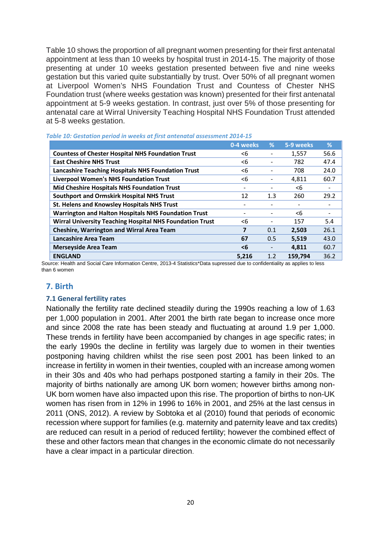Table 10 shows the proportion of all pregnant women presenting for their first antenatal appointment at less than 10 weeks by hospital trust in 2014-15. The majority of those presenting at under 10 weeks gestation presented between five and nine weeks gestation but this varied quite substantially by trust. Over 50% of all pregnant women at Liverpool Women's NHS Foundation Trust and Countess of Chester NHS Foundation trust (where weeks gestation was known) presented for their first antenatal appointment at 5-9 weeks gestation. In contrast, just over 5% of those presenting for antenatal care at Wirral University Teaching Hospital NHS Foundation Trust attended at 5-8 weeks gestation.

|                                                                 | 0-4 weeks | %   | 5-9 weeks | ℅    |
|-----------------------------------------------------------------|-----------|-----|-----------|------|
| <b>Countess of Chester Hospital NHS Foundation Trust</b>        | <6        |     | 1,557     | 56.6 |
| <b>East Cheshire NHS Trust</b>                                  | <6        |     | 782       | 47.4 |
| <b>Lancashire Teaching Hospitals NHS Foundation Trust</b>       | <6        |     | 708       | 24.0 |
| <b>Liverpool Women's NHS Foundation Trust</b>                   | <6        |     | 4,811     | 60.7 |
| Mid Cheshire Hospitals NHS Foundation Trust                     | -         |     | <6        |      |
| <b>Southport and Ormskirk Hospital NHS Trust</b>                | 12        | 1.3 | 260       | 29.2 |
| St. Helens and Knowsley Hospitals NHS Trust                     |           |     |           |      |
| <b>Warrington and Halton Hospitals NHS Foundation Trust</b>     |           |     | <6        |      |
| <b>Wirral University Teaching Hospital NHS Foundation Trust</b> | <6        |     | 157       | 5.4  |
| <b>Cheshire, Warrington and Wirral Area Team</b>                | 7         | 0.1 | 2.503     | 26.1 |
| <b>Lancashire Area Team</b>                                     | 67        | 0.5 | 5.519     | 43.0 |
| <b>Merseyside Area Team</b>                                     | <6        |     | 4.811     | 60.7 |
| <b>ENGLAND</b>                                                  | 5.216     | 1.2 | 159.794   | 36.2 |

| Table 10: Gestation period in weeks at first antenatal assessment 2014-15 |  |
|---------------------------------------------------------------------------|--|
|---------------------------------------------------------------------------|--|

Source: Health and Social Care Information Centre, 2013-4 Statistics\*Data supressed due to confidentiality as applies to less than 6 women

## <span id="page-24-0"></span>**7. Birth**

## <span id="page-24-1"></span>**7.1 General fertility rates**

Nationally the fertility rate declined steadily during the 1990s reaching a low of 1.63 per 1,000 population in 2001. After 2001 the birth rate began to increase once more and since 2008 the rate has been steady and fluctuating at around 1.9 per 1,000. These trends in fertility have been accompanied by changes in age specific rates; in the early 1990s the decline in fertility was largely due to women in their twenties postponing having children whilst the rise seen post 2001 has been linked to an increase in fertility in women in their twenties, coupled with an increase among women in their 30s and 40s who had perhaps postponed starting a family in their 20s. The majority of births nationally are among UK born women; however births among non-UK born women have also impacted upon this rise. The proportion of births to non-UK women has risen from in 12% in 1996 to 16% in 2001, and 25% at the last census in 2011 (ONS, 2012). A review by Sobtoka et al (2010) found that periods of economic recession where support for families (e.g. maternity and paternity leave and tax credits) are reduced can result in a period of reduced fertility; however the combined effect of these and other factors mean that changes in the economic climate do not necessarily have a clear impact in a particular direction.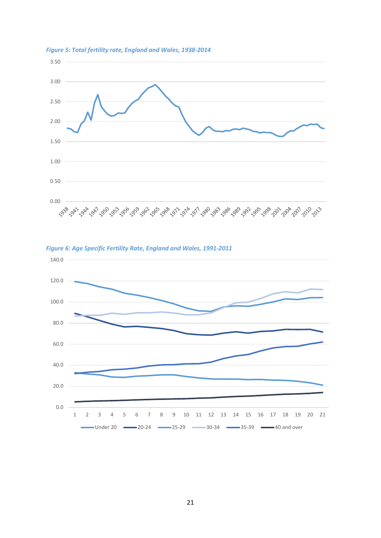

*Figure 5: Total fertility rate, England and Wales, 1938-2014*



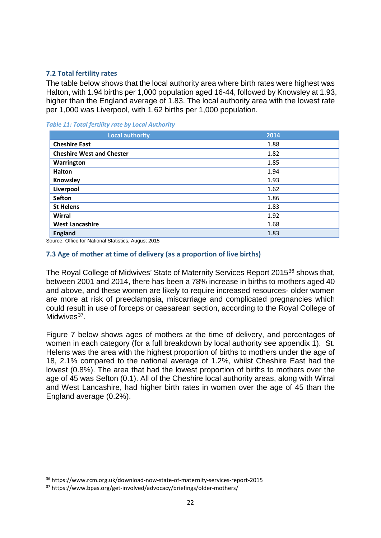## <span id="page-26-0"></span>**7.2 Total fertility rates**

The table below shows that the local authority area where birth rates were highest was Halton, with 1.94 births per 1,000 population aged 16-44, followed by Knowsley at 1.93, higher than the England average of 1.83. The local authority area with the lowest rate per 1,000 was Liverpool, with 1.62 births per 1,000 population.

*Table 11: Total fertility rate by Local Authority*

| <b>Local authority</b>           | 2014 |
|----------------------------------|------|
| <b>Cheshire East</b>             | 1.88 |
| <b>Cheshire West and Chester</b> | 1.82 |
| Warrington                       | 1.85 |
| Halton                           | 1.94 |
| Knowsley                         | 1.93 |
| Liverpool                        | 1.62 |
| <b>Sefton</b>                    | 1.86 |
| <b>St Helens</b>                 | 1.83 |
| Wirral                           | 1.92 |
| <b>West Lancashire</b>           | 1.68 |
| <b>England</b>                   | 1.83 |

Source: Office for National Statistics, August 2015

## <span id="page-26-1"></span>**7.3 Age of mother at time of delivery (as a proportion of live births)**

The Royal College of Midwives' State of Maternity Services Report 2015<sup>[36](#page-26-2)</sup> shows that, between 2001 and 2014, there has been a 78% increase in births to mothers aged 40 and above, and these women are likely to require increased resources- older women are more at risk of preeclampsia, miscarriage and complicated pregnancies which could result in use of forceps or caesarean section, according to the Royal College of Midwives $37$ .

Figure 7 below shows ages of mothers at the time of delivery, and percentages of women in each category (for a full breakdown by local authority see appendix 1). St. Helens was the area with the highest proportion of births to mothers under the age of 18, 2.1% compared to the national average of 1.2%, whilst Cheshire East had the lowest (0.8%). The area that had the lowest proportion of births to mothers over the age of 45 was Sefton (0.1). All of the Cheshire local authority areas, along with Wirral and West Lancashire, had higher birth rates in women over the age of 45 than the England average (0.2%).

<span id="page-26-2"></span> <sup>36</sup> https://www.rcm.org.uk/download-now-state-of-maternity-services-report-2015

<span id="page-26-3"></span><sup>37</sup> https://www.bpas.org/get-involved/advocacy/briefings/older-mothers/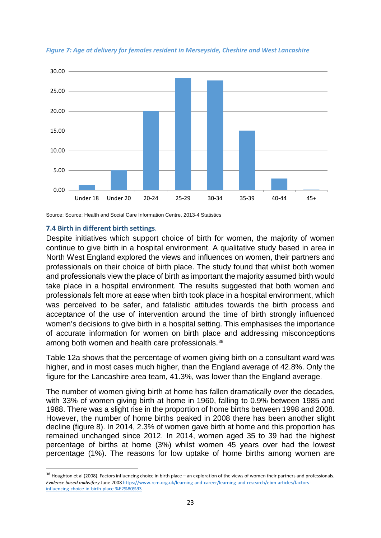



Source: Source: Health and Social Care Information Centre, 2013-4 Statistics

# <span id="page-27-0"></span>**7.4 Birth in different birth settings**.

Despite initiatives which support choice of birth for women, the majority of women continue to give birth in a hospital environment. A qualitative study based in area in North West England explored the views and influences on women, their partners and professionals on their choice of birth place. The study found that whilst both women and professionals view the place of birth as important the majority assumed birth would take place in a hospital environment. The results suggested that both women and professionals felt more at ease when birth took place in a hospital environment, which was perceived to be safer, and fatalistic attitudes towards the birth process and acceptance of the use of intervention around the time of birth strongly influenced women's decisions to give birth in a hospital setting. This emphasises the importance of accurate information for women on birth place and addressing misconceptions among both women and health care professionals.[38](#page-27-1)

Table 12a shows that the percentage of women giving birth on a consultant ward was higher, and in most cases much higher, than the England average of 42.8%. Only the figure for the Lancashire area team, 41.3%, was lower than the England average.

The number of women giving birth at home has fallen dramatically over the decades, with 33% of women giving birth at home in 1960, falling to 0.9% between 1985 and 1988. There was a slight rise in the proportion of home births between 1998 and 2008. However, the number of home births peaked in 2008 there has been another slight decline (figure 8). In 2014, 2.3% of women gave birth at home and this proportion has remained unchanged since 2012. In 2014, women aged 35 to 39 had the highest percentage of births at home (3%) whilst women 45 years over had the lowest percentage (1%). The reasons for low uptake of home births among women are

<span id="page-27-1"></span><sup>38</sup> Houghton et al (2008). Factors influencing choice in birth place – an exploration of the views of women their partners and professionals. *Evidence based midwifery* June 200[8 https://www.rcm.org.uk/learning-and-career/learning-and-research/ebm-articles/factors](https://www.rcm.org.uk/learning-and-career/learning-and-research/ebm-articles/factors-influencing-choice-in-birth-place-%E2%80%93)[influencing-choice-in-birth-place-%E2%80%93](https://www.rcm.org.uk/learning-and-career/learning-and-research/ebm-articles/factors-influencing-choice-in-birth-place-%E2%80%93)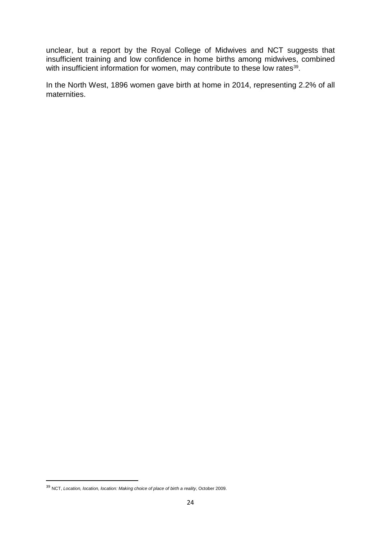unclear, but a report by the Royal College of Midwives and NCT suggests that insufficient training and low confidence in home births among midwives, combined with insufficient information for women, may contribute to these low rates<sup>[39](#page-28-0)</sup>.

In the North West, 1896 women gave birth at home in 2014, representing 2.2% of all maternities.

<span id="page-28-0"></span> <sup>39</sup> NCT, *Location, location, location: Making choice of place of birth a reality*, October 2009.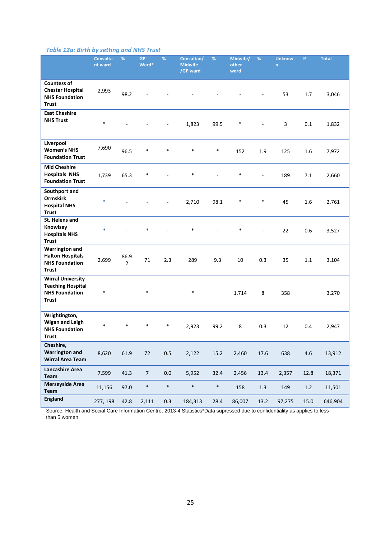# *Table 12a: Birth by setting and NHS Trust*

|                                                                                               | <b>Consulta</b><br>nt ward | %                      | <b>GP</b><br>Ward* | %              | Consultan/<br><b>Midwife</b><br>/GP ward | %      | Midwife/<br>other<br>ward | %       | <b>Unknow</b><br>n. | %       | <b>Total</b> |
|-----------------------------------------------------------------------------------------------|----------------------------|------------------------|--------------------|----------------|------------------------------------------|--------|---------------------------|---------|---------------------|---------|--------------|
| <b>Countess of</b><br><b>Chester Hospital</b><br><b>NHS Foundation</b><br><b>Trust</b>        | 2,993                      | 98.2                   |                    |                |                                          |        |                           |         | 53                  | 1.7     | 3,046        |
| <b>East Cheshire</b><br><b>NHS Trust</b>                                                      | $\ast$                     |                        |                    | $\blacksquare$ | 1,823                                    | 99.5   | $\ast$                    |         | 3                   | 0.1     | 1,832        |
| Liverpool<br><b>Women's NHS</b><br><b>Foundation Trust</b>                                    | 7,690                      | 96.5                   | $\ast$             | $\ast$         | $\ast$                                   | $\ast$ | 152                       | 1.9     | 125                 | 1.6     | 7,972        |
| <b>Mid Cheshire</b><br><b>Hospitals NHS</b><br><b>Foundation Trust</b>                        | 1,739                      | 65.3                   | *                  |                | $\ast$                                   |        | *                         |         | 189                 | 7.1     | 2,660        |
| Southport and<br><b>Ormskirk</b><br><b>Hospital NHS</b><br><b>Trust</b>                       | $\ast$                     |                        |                    | ÷              | 2,710                                    | 98.1   | *                         | *       | 45                  | 1.6     | 2,761        |
| St. Helens and<br>Knowlsey<br><b>Hospitals NHS</b><br><b>Trust</b>                            | $\ast$                     |                        | $\ast$             |                | $\ast$                                   |        | $\ast$                    |         | 22                  | 0.6     | 3,527        |
| <b>Warrington and</b><br><b>Halton Hospitals</b><br><b>NHS Foundation</b><br><b>Trust</b>     | 2,699                      | 86.9<br>$\overline{2}$ | 71                 | 2.3            | 289                                      | 9.3    | 10                        | 0.3     | 35                  | 1.1     | 3,104        |
| <b>Wirral University</b><br><b>Teaching Hospital</b><br><b>NHS Foundation</b><br><b>Trust</b> | $\ast$                     |                        | $\ast$             |                | $\ast$                                   |        | 1,714                     | 8       | 358                 |         | 3,270        |
| Wrightington,<br><b>Wigan and Leigh</b><br><b>NHS Foundation</b><br><b>Trust</b>              | $\ast$                     |                        |                    | $\ast$         | 2,923                                    | 99.2   | 8                         | 0.3     | 12                  | 0.4     | 2,947        |
| Cheshire,<br><b>Warrington and</b><br><b>Wirral Area Team</b>                                 | 8,620                      | 61.9                   | 72                 | $0.5\,$        | 2,122                                    | 15.2   | 2,460                     | 17.6    | 638                 | $4.6\,$ | 13,912       |
| <b>Lancashire Area</b><br>Team                                                                | 7,599                      | 41.3                   | $\overline{7}$     | $0.0\,$        | 5,952                                    | 32.4   | 2,456                     | 13.4    | 2,357               | 12.8    | 18,371       |
| <b>Merseyside Area</b><br>Team                                                                | 11,156                     | 97.0                   | $\ast$             | $\ast$         | $\ast$                                   | $\ast$ | 158                       | $1.3\,$ | 149                 | 1.2     | 11,501       |
| <b>England</b>                                                                                | 277, 198                   | 42.8                   | 2,111              | 0.3            | 184,313                                  | 28.4   | 86,007                    | 13.2    | 97,275              | 15.0    | 646,904      |

Source: Health and Social Care Information Centre, 2013-4 Statistics\*Data supressed due to confidentiality as applies to less than 5 women.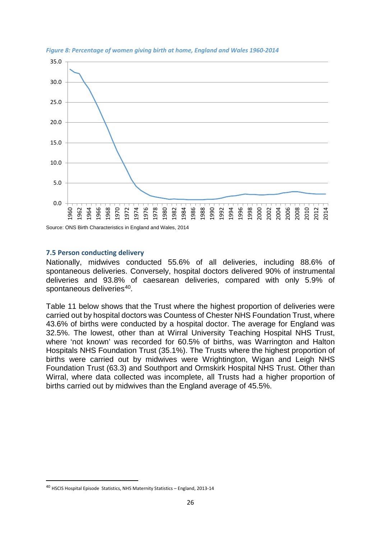

*Figure 8: Percentage of women giving birth at home, England and Wales 1960-2014*

Source: ONS Birth Characteristics in England and Wales, 2014

## <span id="page-30-0"></span>**7.5 Person conducting delivery**

Nationally, midwives conducted 55.6% of all deliveries, including 88.6% of spontaneous deliveries. Conversely, hospital doctors delivered 90% of instrumental deliveries and 93.8% of caesarean deliveries, compared with only 5.9% of spontaneous deliveries<sup>[40](#page-30-1)</sup>.

Table 11 below shows that the Trust where the highest proportion of deliveries were carried out by hospital doctors was Countess of Chester NHS Foundation Trust, where 43.6% of births were conducted by a hospital doctor. The average for England was 32.5%. The lowest, other than at Wirral University Teaching Hospital NHS Trust, where 'not known' was recorded for 60.5% of births, was Warrington and Halton Hospitals NHS Foundation Trust (35.1%). The Trusts where the highest proportion of births were carried out by midwives were Wrightington, Wigan and Leigh NHS Foundation Trust (63.3) and Southport and Ormskirk Hospital NHS Trust. Other than Wirral, where data collected was incomplete, all Trusts had a higher proportion of births carried out by midwives than the England average of 45.5%.

<span id="page-30-1"></span> <sup>40</sup> HSCIS Hospital Episode Statistics, NHS Maternity Statistics – England, 2013-14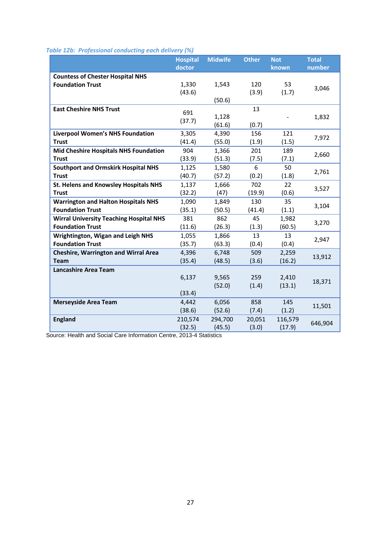## *Table 12b: Professional conducting each delivery (%)*

|                                                                    | , , ,<br><b>Hospital</b><br>doctor | <b>Midwife</b> | <b>Other</b> | <b>Not</b><br>known | <b>Total</b><br>number |  |
|--------------------------------------------------------------------|------------------------------------|----------------|--------------|---------------------|------------------------|--|
|                                                                    |                                    |                |              |                     |                        |  |
| <b>Countess of Chester Hospital NHS</b><br><b>Foundation Trust</b> | 1,330                              | 1,543          | 120          | 53                  |                        |  |
|                                                                    | (43.6)                             |                | (3.9)        | (1.7)               | 3,046                  |  |
|                                                                    |                                    | (50.6)         |              |                     |                        |  |
| <b>East Cheshire NHS Trust</b>                                     |                                    |                | 13           |                     |                        |  |
|                                                                    | 691                                | 1,128          |              |                     | 1,832                  |  |
|                                                                    | (37.7)                             | (61.6)         | (0.7)        |                     |                        |  |
| <b>Liverpool Women's NHS Foundation</b>                            | 3,305                              | 4,390          | 156          | 121                 |                        |  |
| <b>Trust</b>                                                       | (41.4)                             | (55.0)         | (1.9)        | (1.5)               | 7,972                  |  |
| <b>Mid Cheshire Hospitals NHS Foundation</b>                       | 904                                | 1,366          | 201          | 189                 |                        |  |
| <b>Trust</b>                                                       | (33.9)                             | (51.3)         | (7.5)        | (7.1)               | 2,660                  |  |
| <b>Southport and Ormskirk Hospital NHS</b>                         | 1,125                              | 1,580          | 6            | 50                  | 2,761                  |  |
| <b>Trust</b>                                                       | (40.7)                             | (57.2)         | (0.2)        | (1.8)               |                        |  |
| St. Helens and Knowsley Hospitals NHS                              | 1,137                              | 1,666          | 702          | 22                  | 3,527                  |  |
| <b>Trust</b>                                                       | (32.2)                             | (47)           | (19.9)       | (0.6)               |                        |  |
| <b>Warrington and Halton Hospitals NHS</b>                         | 1,090                              | 1,849          | 130          | 35                  | 3,104                  |  |
| <b>Foundation Trust</b>                                            | (35.1)                             | (50.5)         | (41.4)       | (1.1)               |                        |  |
| <b>Wirral University Teaching Hospital NHS</b>                     | 381                                | 862            | 45           | 1,982               | 3,270                  |  |
| <b>Foundation Trust</b>                                            | (11.6)                             | (26.3)         | (1.3)        | (60.5)              |                        |  |
| <b>Wrightington, Wigan and Leigh NHS</b>                           | 1,055                              | 1,866          | 13           | 13                  | 2,947                  |  |
| <b>Foundation Trust</b>                                            | (35.7)                             | (63.3)         | (0.4)        | (0.4)               |                        |  |
| <b>Cheshire, Warrington and Wirral Area</b>                        | 4,396                              | 6,748          | 509          | 2,259               | 13,912                 |  |
| <b>Team</b>                                                        | (35.4)                             | (48.5)         | (3.6)        | (16.2)              |                        |  |
| <b>Lancashire Area Team</b>                                        |                                    |                |              |                     |                        |  |
|                                                                    | 6,137                              | 9,565          | 259          | 2,410               | 18,371                 |  |
|                                                                    |                                    | (52.0)         | (1.4)        | (13.1)              |                        |  |
|                                                                    | (33.4)                             |                |              |                     |                        |  |
| <b>Merseyside Area Team</b>                                        | 4,442                              | 6,056          | 858          | 145                 | 11,501                 |  |
|                                                                    | (38.6)                             | (52.6)         | (7.4)        | (1.2)               |                        |  |
| <b>England</b>                                                     | 210,574                            | 294,700        | 20,051       | 116,579             | 646,904                |  |
|                                                                    | (32.5)                             | (45.5)         | (3.0)        | (17.9)              |                        |  |

Source: Health and Social Care Information Centre, 2013-4 Statistics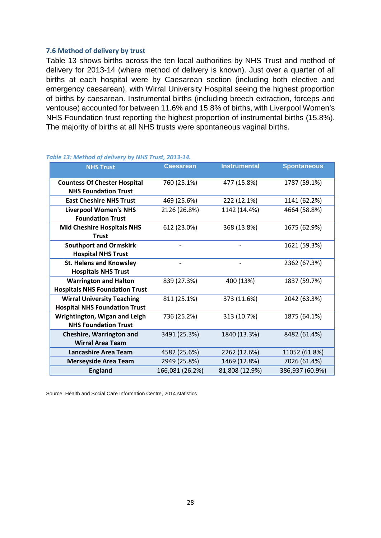## <span id="page-32-0"></span>**7.6 Method of delivery by trust**

Table 13 shows births across the ten local authorities by NHS Trust and method of delivery for 2013-14 (where method of delivery is known). Just over a quarter of all births at each hospital were by Caesarean section (including both elective and emergency caesarean), with Wirral University Hospital seeing the highest proportion of births by caesarean. Instrumental births (including breech extraction, forceps and ventouse) accounted for between 11.6% and 15.8% of births, with Liverpool Women's NHS Foundation trust reporting the highest proportion of instrumental births (15.8%). The majority of births at all NHS trusts were spontaneous vaginal births.

| <b>NHS Trust</b>                                                   | <b>Caesarean</b> | <b>Instrumental</b> | <b>Spontaneous</b> |  |  |
|--------------------------------------------------------------------|------------------|---------------------|--------------------|--|--|
|                                                                    |                  |                     |                    |  |  |
| <b>Countess Of Chester Hospital</b><br><b>NHS Foundation Trust</b> | 760 (25.1%)      | 477 (15.8%)         | 1787 (59.1%)       |  |  |
| <b>East Cheshire NHS Trust</b>                                     | 469 (25.6%)      |                     |                    |  |  |
|                                                                    |                  | 222 (12.1%)         | 1141 (62.2%)       |  |  |
| <b>Liverpool Women's NHS</b>                                       | 2126 (26.8%)     | 1142 (14.4%)        | 4664 (58.8%)       |  |  |
| <b>Foundation Trust</b>                                            |                  |                     |                    |  |  |
| <b>Mid Cheshire Hospitals NHS</b>                                  | 612 (23.0%)      | 368 (13.8%)         | 1675 (62.9%)       |  |  |
| <b>Trust</b>                                                       |                  |                     |                    |  |  |
| <b>Southport and Ormskirk</b>                                      |                  |                     | 1621 (59.3%)       |  |  |
| <b>Hospital NHS Trust</b>                                          |                  |                     |                    |  |  |
| <b>St. Helens and Knowsley</b>                                     |                  |                     | 2362 (67.3%)       |  |  |
| <b>Hospitals NHS Trust</b>                                         |                  |                     |                    |  |  |
| <b>Warrington and Halton</b>                                       | 839 (27.3%)      | 400 (13%)           | 1837 (59.7%)       |  |  |
| <b>Hospitals NHS Foundation Trust</b>                              |                  |                     |                    |  |  |
| <b>Wirral University Teaching</b>                                  | 811 (25.1%)      | 373 (11.6%)         | 2042 (63.3%)       |  |  |
| <b>Hospital NHS Foundation Trust</b>                               |                  |                     |                    |  |  |
| Wrightington, Wigan and Leigh                                      | 736 (25.2%)      | 313 (10.7%)         | 1875 (64.1%)       |  |  |
| <b>NHS Foundation Trust</b>                                        |                  |                     |                    |  |  |
| <b>Cheshire, Warrington and</b>                                    | 3491 (25.3%)     | 1840 (13.3%)        | 8482 (61.4%)       |  |  |
| <b>Wirral Area Team</b>                                            |                  |                     |                    |  |  |
| <b>Lancashire Area Team</b>                                        | 4582 (25.6%)     | 2262 (12.6%)        | 11052 (61.8%)      |  |  |
| <b>Merseyside Area Team</b>                                        | 2949 (25.8%)     | 1469 (12.8%)        | 7026 (61.4%)       |  |  |
| <b>England</b>                                                     | 166,081 (26.2%)  | 81,808 (12.9%)      | 386,937 (60.9%)    |  |  |

#### *Table 13: Method of delivery by NHS Trust, 2013-14.*

Source: Health and Social Care Information Centre, 2014 statistics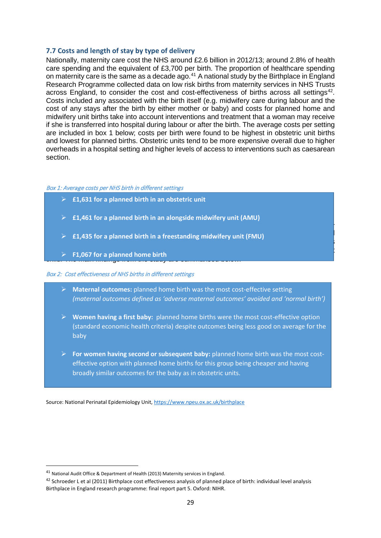## <span id="page-33-0"></span>**7.7 Costs and length of stay by type of delivery**

Nationally, maternity care cost the NHS around £2.6 billion in 2012/13; around 2.8% of health care spending and the equivalent of £3,700 per birth. The proportion of healthcare spending on maternity care is the same as a decade ago.<sup>[41](#page-33-1)</sup> A national study by the Birthplace in England Research Programme collected data on low risk births from maternity services in NHS Trusts across England, to consider the cost and cost-effectiveness of births across all settings<sup>42</sup>. Costs included any associated with the birth itself (e.g. midwifery care during labour and the cost of any stays after the birth by either mother or baby) and costs for planned home and midwifery unit births take into account interventions and treatment that a woman may receive if she is transferred into hospital during labour or after the birth. The average costs per setting are included in box 1 below; costs per birth were found to be highest in obstetric unit births and lowest for planned births. Obstetric units tend to be more expensive overall due to higher overheads in a hospital setting and higher levels of access to interventions such as caesarean section.

#### Box 1: Average costs per NHS birth in different settings

- **£1,631 for a planned birth in an obstetric unit**
- **£1,461 for a planned birth in an alongside midwifery unit (AMU)**
- **Example in relation to planned birth in a freestanding midwifery unit (FMU) Example 20 Fig. 2016** cost effectiveness of these settings varied depending on whether the focus was on outcomes was on outcomes on
- for the mother or outcomes for the mother or outcomes for the mother was having her first having her first her first her first her first her first her first her first her first her first her first her first her first her **Example F1,067 for a planned home birth**<br> **F1,067 for a planned home birth**

#### Box 2: Cost effectiveness of NHS births in different settings

 **Maternal outcomes:** planned home birth was the most cost-effective setting *(maternal outcomes defined as 'adverse maternal outcomes' avoided and 'normal birth')*

The study concluded that home births in a  $\mathcal{F}_{\mathcal{A}}$  in an AMU were all cost-

- **Women having a first baby:** planned home births were the most cost-effective option (standard economic health criteria) despite outcomes being less good on average for the baby
- **For women having second or subsequent baby:** planned home birth was the most costeffective option with planned home births for this group being cheaper and having broadly similar outcomes for the baby as in obstetric units.

Source: National Perinatal Epidemiology Unit,<https://www.npeu.ox.ac.uk/birthplace>

<span id="page-33-1"></span> <sup>41</sup> National Audit Office & Department of Health (2013) Maternity services in England.

<span id="page-33-2"></span><sup>42</sup> Schroeder L et al (2011) Birthplace cost effectiveness analysis of planned place of birth: individual level analysis Birthplace in England research programme: final report part 5. Oxford: NIHR.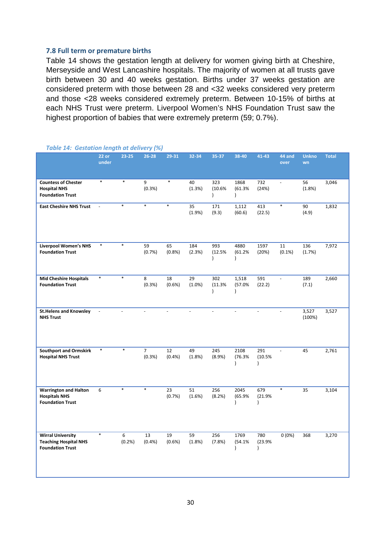## <span id="page-34-0"></span>**7.8 Full term or premature births**

Table 14 shows the gestation length at delivery for women giving birth at Cheshire, Merseyside and West Lancashire hospitals. The majority of women at all trusts gave birth between 30 and 40 weeks gestation. Births under 37 weeks gestation are considered preterm with those between 28 and <32 weeks considered very preterm and those <28 weeks considered extremely preterm. Between 10-15% of births at each NHS Trust were preterm. Liverpool Women's NHS Foundation Trust saw the highest proportion of babies that were extremely preterm (59; 0.7%).

|                                                                                     | $22$ or<br>under | $23 - 25$  | . .<br>$26 - 28$         | 29-31          | 32-34           | 35-37                      | 38-40                           | 41-43                      | 44 and<br>over  | <b>Unkno</b><br>wn | <b>Total</b> |
|-------------------------------------------------------------------------------------|------------------|------------|--------------------------|----------------|-----------------|----------------------------|---------------------------------|----------------------------|-----------------|--------------------|--------------|
| <b>Countess of Chester</b><br><b>Hospital NHS</b><br><b>Foundation Trust</b>        | $\ast$           | $\ast$     | 9<br>(0.3%)              | $\ast$         | 40<br>(1.3%)    | 323<br>(10.6%<br>$\lambda$ | 1868<br>(61.3%<br>$\mathcal{E}$ | 732<br>(24%)               | $\Box$          | 56<br>(1.8%)       | 3,046        |
| <b>East Cheshire NHS Trust</b>                                                      |                  | $\ast$     | $\ast$                   | $\ast$         | 35<br>(1.9%)    | 171<br>(9.3)               | 1,112<br>(60.6)                 | 413<br>(22.5)              | $\ast$          | 90<br>(4.9)        | 1,832        |
| <b>Liverpool Women's NHS</b><br><b>Foundation Trust</b>                             | $\ast$           | $\ast$     | 59<br>(0.7%)             | 65<br>(0.8%)   | 184<br>(2.3%)   | 993<br>(12.5%<br>$\lambda$ | 4880<br>(61.2%<br>$\lambda$     | 1597<br>(20%)              | 11<br>$(0.1\%)$ | 136<br>(1.7%)      | 7,972        |
| <b>Mid Cheshire Hospitals</b><br><b>Foundation Trust</b>                            | *                | $\ast$     | 8<br>(0.3%)              | 18<br>(0.6%)   | 29<br>$(1.0\%)$ | 302<br>(11.3%<br>$\lambda$ | 1,518<br>(57.0%<br>$\lambda$    | 591<br>(22.2)              | $\omega$        | 189<br>(7.1)       | 2,660        |
| <b>St.Helens and Knowsley</b><br><b>NHS Trust</b>                                   | $\blacksquare$   |            | $\overline{a}$           | $\overline{a}$ | $\overline{a}$  | $\overline{a}$             | $\overline{a}$                  | $\overline{a}$             | $\overline{a}$  | 3,527<br>(100%)    | 3,527        |
| <b>Southport and Ormskirk</b><br><b>Hospital NHS Trust</b>                          | $\ast$           | $\ast$     | $\overline{7}$<br>(0.3%) | 12<br>(0.4% )  | 49<br>(1.8%)    | 245<br>(8.9%)              | 2108<br>(76.3%<br>$\lambda$     | 291<br>(10.5%<br>$\lambda$ | $\mathbf{r}$    | 45                 | 2,761        |
| <b>Warrington and Halton</b><br><b>Hospitals NHS</b><br><b>Foundation Trust</b>     | 6                | $\ast$     | $\ast$                   | 23<br>(0.7%)   | 51<br>(1.6%)    | 256<br>(8.2%)              | 2045<br>(65.9%                  | 679<br>(21.9%<br>١         | $\ast$          | 35                 | 3,104        |
| <b>Wirral University</b><br><b>Teaching Hospital NHS</b><br><b>Foundation Trust</b> | $\ast$           | 6<br>(0.2% | 13<br>(0.4% )            | 19<br>(0.6%)   | 59<br>(1.8%)    | 256<br>(7.8%)              | 1769<br>(54.1%<br>$\lambda$     | 780<br>(23.9%<br>$\lambda$ | 0(0%)           | 368                | 3,270        |

#### *Table 14: Gestation length at delivery (%)*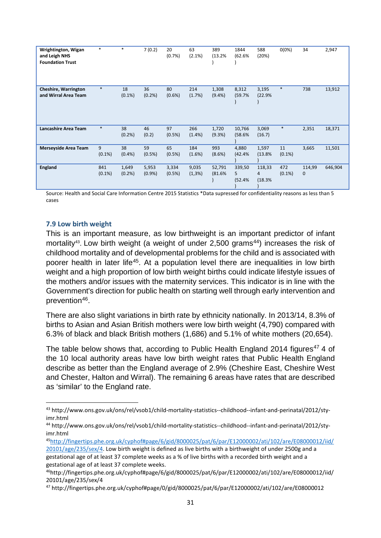| Wrightington, Wigan<br>and Leigh NHS<br><b>Foundation Trust</b> | *                | $\ast$             | 7(0.2)             | 20<br>(0.7%     | 63<br>(2.1%)     | 389<br>(13.2%      | 1844<br>(62.6%        | 588<br>(20%)          | $0(0\%)$         | 34                    | 2,947   |
|-----------------------------------------------------------------|------------------|--------------------|--------------------|-----------------|------------------|--------------------|-----------------------|-----------------------|------------------|-----------------------|---------|
| <b>Cheshire, Warrington</b><br>and Wirral Area Team             | $\ast$           | 18<br>$(0.1\%)$    | 36<br>(0.2%        | 80<br>(0.6% )   | 214<br>(1.7%)    | 1,308<br>$(9.4\%)$ | 8,312<br>(59.7%       | 3,195<br>(22.9%       | $\ast$           | 738                   | 13,912  |
| Lancashire Area Team                                            | $\ast$           | 38<br>(0.2%        | 46<br>(0.2)        | 97<br>(0.5%     | 266<br>$(1.4\%)$ | 1,720<br>(9.3%)    | 10,766<br>(58.6%      | 3,069<br>(16.7)       | $\ast$           | 2,351                 | 18,371  |
| <b>Merseyside Area Team</b>                                     | 9<br>$(0.1\%)$   | 38<br>(0.4% )      | 59<br>(0.5%)       | 65<br>(0.5%)    | 184<br>(1.6%)    | 993<br>$(8.6\%)$   | 4,880<br>(42.4%       | 1,597<br>(13.8%       | 11<br>$(0.1\%)$  | 3,665                 | 11,501  |
| <b>England</b>                                                  | 841<br>$(0.1\%)$ | 1,649<br>$(0.2\%)$ | 5,953<br>$(0.9\%)$ | 3,334<br>(0.5%) | 9,035<br>(1,3%)  | 52,791<br>(81.6%   | 339,50<br>5<br>(52.4% | 118,33<br>4<br>(18.3% | 472<br>$(0.1\%)$ | 114,99<br>$\mathbf 0$ | 646,904 |

Source: Health and Social Care Information Centre 2015 Statistics \*Data supressed for confidentiality reasons as less than 5 cases

## <span id="page-35-0"></span>**7.9 Low birth weight**

This is an important measure, as low birthweight is an important predictor of infant mortality<sup>43</sup>. Low birth weight (a weight of under  $2,500$  grams<sup>[44](#page-35-2)</sup>) increases the risk of childhood mortality and of developmental problems for the child and is associated with poorer health in later life[45.](#page-35-3) At a population level there are inequalities in low birth weight and a high proportion of low birth weight births could indicate lifestyle issues of the mothers and/or issues with the maternity services. This indicator is in line with the Government's direction for public health on starting well through early intervention and prevention<sup>[46](#page-35-4)</sup>.

There are also slight variations in birth rate by ethnicity nationally. In 2013/14, 8.3% of births to Asian and Asian British mothers were low birth weight (4,790) compared with 6.3% of black and black British mothers (1,686) and 5.1% of white mothers (20,654).

The table below shows that, according to Public Health England 2014 figures<sup>[47](#page-35-5)</sup> 4 of the 10 local authority areas have low birth weight rates that Public Health England describe as better than the England average of 2.9% (Cheshire East, Cheshire West and Chester, Halton and Wirral). The remaining 6 areas have rates that are described as 'similar' to the England rate.

<span id="page-35-1"></span> <sup>43</sup> http://www.ons.gov.uk/ons/rel/vsob1/child-mortality-statistics--childhood--infant-and-perinatal/2012/styimr.html

<span id="page-35-2"></span><sup>44</sup> http://www.ons.gov.uk/ons/rel/vsob1/child-mortality-statistics--childhood--infant-and-perinatal/2012/styimr.html

<span id="page-35-3"></span><sup>4</sup>[5http://fingertips.phe.org.uk/cyphof#page/6/gid/8000025/pat/6/par/E12000002/ati/102/are/E08000012/iid/](http://fingertips.phe.org.uk/cyphof#page/6/gid/8000025/pat/6/par/E12000002/ati/102/are/E08000012/iid/20101/age/235/sex/4) [20101/age/235/sex/4.](http://fingertips.phe.org.uk/cyphof#page/6/gid/8000025/pat/6/par/E12000002/ati/102/are/E08000012/iid/20101/age/235/sex/4) Low birth weight is defined as live births with a birthweight of under 2500g and a gestational age of at least 37 complete weeks as a % of live births with a recorded birth weight and a gestational age of at least 37 complete weeks.

<span id="page-35-4"></span><sup>46</sup>http://fingertips.phe.org.uk/cyphof#page/6/gid/8000025/pat/6/par/E12000002/ati/102/are/E08000012/iid/ 20101/age/235/sex/4

<span id="page-35-5"></span><sup>47</sup> http://fingertips.phe.org.uk/cyphof#page/0/gid/8000025/pat/6/par/E12000002/ati/102/are/E08000012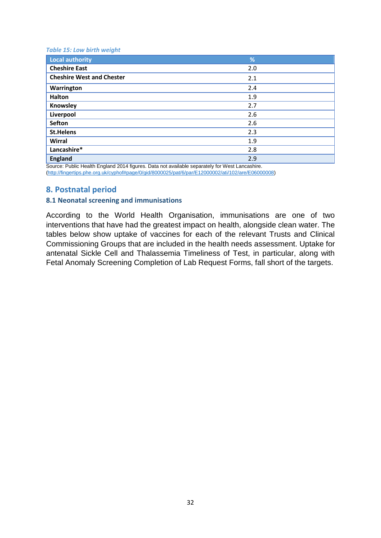#### *Table 15: Low birth weight*

| <b>Local authority</b>           | %        |
|----------------------------------|----------|
| <b>Cheshire East</b>             | 2.0      |
| <b>Cheshire West and Chester</b> | 2.1      |
| Warrington                       | 2.4      |
| <b>Halton</b>                    | 1.9      |
| Knowsley                         | 2.7      |
| Liverpool                        | 2.6      |
| <b>Sefton</b>                    | 2.6      |
| <b>St.Helens</b>                 | 2.3      |
| Wirral                           | 1.9      |
| Lancashire*                      | 2.8      |
| <b>England</b><br>.              | 2.9<br>. |

Source: Public Health England 2014 figures. Data not available separately for West Lancashire. [\(http://fingertips.phe.org.uk/cyphof#page/0/gid/8000025/pat/6/par/E12000002/ati/102/are/E06000008\)](http://fingertips.phe.org.uk/cyphof#page/0/gid/8000025/pat/6/par/E12000002/ati/102/are/E06000008)

### **8. Postnatal period**

### **8.1 Neonatal screening and immunisations**

According to the World Health Organisation, immunisations are one of two interventions that have had the greatest impact on health, alongside clean water. The tables below show uptake of vaccines for each of the relevant Trusts and Clinical Commissioning Groups that are included in the health needs assessment. Uptake for antenatal Sickle Cell and Thalassemia Timeliness of Test, in particular, along with Fetal Anomaly Screening Completion of Lab Request Forms, fall short of the targets.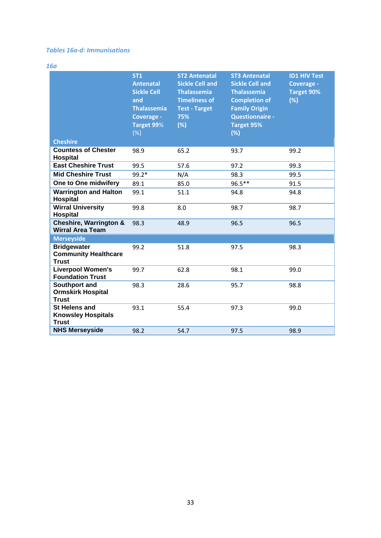### *Tables 16a-d: Immunisations*

*16a*

|                                                                   | <b>ST1</b><br><b>Antenatal</b><br><b>Sickle Cell</b><br>and<br><b>Thalassemia</b><br>Coverage -<br>Target 99%<br>(%) | <b>ST2 Antenatal</b><br><b>Sickle Cell and</b><br><b>Thalassemia</b><br><b>Timeliness of</b><br><b>Test - Target</b><br>75%<br>(%) | <b>ST3 Antenatal</b><br><b>Sickle Cell and</b><br><b>Thalassemia</b><br><b>Completion of</b><br><b>Family Origin</b><br><b>Questionnaire -</b><br><b>Target 95%</b><br>(%) | <b>ID1 HIV Test</b><br>Coverage -<br><b>Target 90%</b><br>(%) |
|-------------------------------------------------------------------|----------------------------------------------------------------------------------------------------------------------|------------------------------------------------------------------------------------------------------------------------------------|----------------------------------------------------------------------------------------------------------------------------------------------------------------------------|---------------------------------------------------------------|
| <b>Cheshire</b>                                                   |                                                                                                                      |                                                                                                                                    |                                                                                                                                                                            |                                                               |
| <b>Countess of Chester</b><br>Hospital                            | 98.9                                                                                                                 | 65.2                                                                                                                               | 93.7                                                                                                                                                                       | 99.2                                                          |
| <b>East Cheshire Trust</b>                                        | 99.5                                                                                                                 | 57.6                                                                                                                               | 97.2                                                                                                                                                                       | 99.3                                                          |
| <b>Mid Cheshire Trust</b>                                         | 99.2*                                                                                                                | N/A                                                                                                                                | 98.3                                                                                                                                                                       | 99.5                                                          |
| One to One midwifery                                              | 89.1                                                                                                                 | 85.0                                                                                                                               | 96.5**                                                                                                                                                                     | 91.5                                                          |
| <b>Warrington and Halton</b><br><b>Hospital</b>                   | 99.1                                                                                                                 | 51.1                                                                                                                               | 94.8                                                                                                                                                                       | 94.8                                                          |
| <b>Wirral University</b><br><b>Hospital</b>                       | 99.8                                                                                                                 | 8.0                                                                                                                                | 98.7                                                                                                                                                                       | 98.7                                                          |
| <b>Cheshire, Warrington &amp;</b><br><b>Wirral Area Team</b>      | 98.3                                                                                                                 | 48.9                                                                                                                               | 96.5                                                                                                                                                                       | 96.5                                                          |
| <b>Merseyside</b>                                                 |                                                                                                                      |                                                                                                                                    |                                                                                                                                                                            |                                                               |
| <b>Bridgewater</b><br><b>Community Healthcare</b><br><b>Trust</b> | 99.2                                                                                                                 | 51.8                                                                                                                               | 97.5                                                                                                                                                                       | 98.3                                                          |
| <b>Liverpool Women's</b><br><b>Foundation Trust</b>               | 99.7                                                                                                                 | 62.8                                                                                                                               | 98.1                                                                                                                                                                       | 99.0                                                          |
| Southport and<br><b>Ormskirk Hospital</b><br><b>Trust</b>         | 98.3                                                                                                                 | 28.6                                                                                                                               | 95.7                                                                                                                                                                       | 98.8                                                          |
| St Helens and<br><b>Knowsley Hospitals</b><br><b>Trust</b>        | 93.1                                                                                                                 | 55.4                                                                                                                               | 97.3                                                                                                                                                                       | 99.0                                                          |
| <b>NHS Merseyside</b>                                             | 98.2                                                                                                                 | 54.7                                                                                                                               | 97.5                                                                                                                                                                       | 98.9                                                          |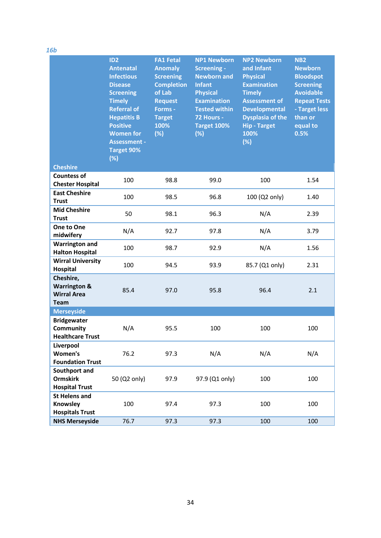| 16b                                                                       |                                                                                                                                                                                                                                                       |                                                                                                                                                    |                                                                                                                                                                                      |                                                                                                                                                                                                             |                                                                                                                                                                      |
|---------------------------------------------------------------------------|-------------------------------------------------------------------------------------------------------------------------------------------------------------------------------------------------------------------------------------------------------|----------------------------------------------------------------------------------------------------------------------------------------------------|--------------------------------------------------------------------------------------------------------------------------------------------------------------------------------------|-------------------------------------------------------------------------------------------------------------------------------------------------------------------------------------------------------------|----------------------------------------------------------------------------------------------------------------------------------------------------------------------|
|                                                                           | ID <sub>2</sub><br><b>Antenatal</b><br><b>Infectious</b><br><b>Disease</b><br><b>Screening</b><br><b>Timely</b><br><b>Referral of</b><br><b>Hepatitis B</b><br><b>Positive</b><br><b>Women for</b><br><b>Assessment -</b><br><b>Target 90%</b><br>(%) | <b>FA1 Fetal</b><br><b>Anomaly</b><br><b>Screening</b><br><b>Completion</b><br>of Lab<br><b>Request</b><br>Forms -<br><b>Target</b><br>100%<br>(%) | <b>NP1 Newborn</b><br><b>Screening -</b><br><b>Newborn and</b><br><b>Infant</b><br><b>Physical</b><br><b>Examination</b><br><b>Tested within</b><br>72 Hours -<br>Target 100%<br>(%) | <b>NP2 Newborn</b><br>and Infant<br><b>Physical</b><br><b>Examination</b><br><b>Timely</b><br><b>Assessment of</b><br><b>Developmental</b><br><b>Dysplasia of the</b><br><b>Hip - Target</b><br>100%<br>(%) | NB <sub>2</sub><br><b>Newborn</b><br><b>Bloodspot</b><br><b>Screening</b><br><b>Avoidable</b><br><b>Repeat Tests</b><br>- Target less<br>than or<br>equal to<br>0.5% |
| <b>Cheshire</b>                                                           |                                                                                                                                                                                                                                                       |                                                                                                                                                    |                                                                                                                                                                                      |                                                                                                                                                                                                             |                                                                                                                                                                      |
| <b>Countess of</b><br><b>Chester Hospital</b>                             | 100                                                                                                                                                                                                                                                   | 98.8                                                                                                                                               | 99.0                                                                                                                                                                                 | 100                                                                                                                                                                                                         | 1.54                                                                                                                                                                 |
| <b>East Cheshire</b><br><b>Trust</b>                                      | 100                                                                                                                                                                                                                                                   | 98.5                                                                                                                                               | 96.8                                                                                                                                                                                 | 100 (Q2 only)                                                                                                                                                                                               | 1.40                                                                                                                                                                 |
| <b>Mid Cheshire</b><br><b>Trust</b>                                       | 50                                                                                                                                                                                                                                                    | 98.1                                                                                                                                               | 96.3                                                                                                                                                                                 | N/A                                                                                                                                                                                                         | 2.39                                                                                                                                                                 |
| One to One<br>midwifery                                                   | N/A                                                                                                                                                                                                                                                   | 92.7                                                                                                                                               | 97.8                                                                                                                                                                                 | N/A                                                                                                                                                                                                         | 3.79                                                                                                                                                                 |
| <b>Warrington and</b><br><b>Halton Hospital</b>                           | 100                                                                                                                                                                                                                                                   | 98.7                                                                                                                                               | 92.9                                                                                                                                                                                 | N/A                                                                                                                                                                                                         | 1.56                                                                                                                                                                 |
| <b>Wirral University</b><br>Hospital                                      | 100                                                                                                                                                                                                                                                   | 94.5                                                                                                                                               | 93.9                                                                                                                                                                                 | 85.7 (Q1 only)                                                                                                                                                                                              | 2.31                                                                                                                                                                 |
| Cheshire,<br><b>Warrington &amp;</b><br><b>Wirral Area</b><br><b>Team</b> | 85.4                                                                                                                                                                                                                                                  | 97.0                                                                                                                                               | 95.8                                                                                                                                                                                 | 96.4                                                                                                                                                                                                        | 2.1                                                                                                                                                                  |
| <b>Merseyside</b>                                                         |                                                                                                                                                                                                                                                       |                                                                                                                                                    |                                                                                                                                                                                      |                                                                                                                                                                                                             |                                                                                                                                                                      |
| <b>Bridgewater</b><br>Community<br><b>Healthcare Trust</b>                | N/A                                                                                                                                                                                                                                                   | 95.5                                                                                                                                               | 100                                                                                                                                                                                  | 100                                                                                                                                                                                                         | 100                                                                                                                                                                  |
| Liverpool<br><b>Women's</b><br><b>Foundation Trust</b>                    | 76.2                                                                                                                                                                                                                                                  | 97.3                                                                                                                                               | N/A                                                                                                                                                                                  | N/A                                                                                                                                                                                                         | N/A                                                                                                                                                                  |
| Southport and<br><b>Ormskirk</b><br><b>Hospital Trust</b>                 | 50 (Q2 only)                                                                                                                                                                                                                                          | 97.9                                                                                                                                               | 97.9 (Q1 only)                                                                                                                                                                       | 100                                                                                                                                                                                                         | 100                                                                                                                                                                  |
| <b>St Helens and</b><br>Knowsley<br><b>Hospitals Trust</b>                | 100                                                                                                                                                                                                                                                   | 97.4                                                                                                                                               | 97.3                                                                                                                                                                                 | 100                                                                                                                                                                                                         | 100                                                                                                                                                                  |
| <b>NHS Merseyside</b>                                                     | 76.7                                                                                                                                                                                                                                                  | 97.3                                                                                                                                               | 97.3                                                                                                                                                                                 | 100                                                                                                                                                                                                         | 100                                                                                                                                                                  |

34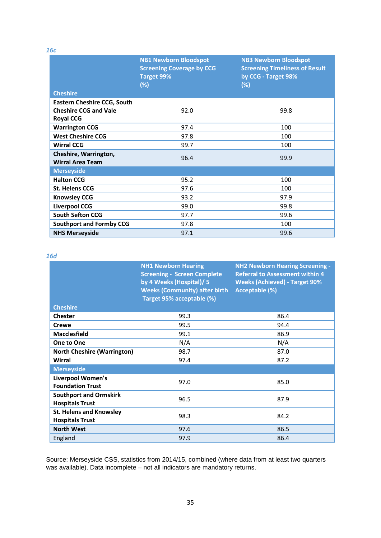*16c*

|                                                                                        | <b>NB1 Newborn Bloodspot</b><br><b>Screening Coverage by CCG</b><br>Target 99%<br>(%) | <b>NB3 Newborn Bloodspot</b><br><b>Screening Timeliness of Result</b><br>by CCG - Target 98%<br>(%) |
|----------------------------------------------------------------------------------------|---------------------------------------------------------------------------------------|-----------------------------------------------------------------------------------------------------|
| <b>Cheshire</b>                                                                        |                                                                                       |                                                                                                     |
| <b>Eastern Cheshire CCG, South</b><br><b>Cheshire CCG and Vale</b><br><b>Royal CCG</b> | 92.0                                                                                  | 99.8                                                                                                |
| <b>Warrington CCG</b>                                                                  | 97.4                                                                                  | 100                                                                                                 |
| <b>West Cheshire CCG</b>                                                               | 97.8                                                                                  | 100                                                                                                 |
| <b>Wirral CCG</b>                                                                      | 99.7                                                                                  | 100                                                                                                 |
| Cheshire, Warrington,<br><b>Wirral Area Team</b>                                       | 96.4                                                                                  | 99.9                                                                                                |
| <b>Merseyside</b>                                                                      |                                                                                       |                                                                                                     |
| <b>Halton CCG</b>                                                                      | 95.2                                                                                  | 100                                                                                                 |
| <b>St. Helens CCG</b>                                                                  | 97.6                                                                                  | 100                                                                                                 |
| <b>Knowsley CCG</b>                                                                    | 93.2                                                                                  | 97.9                                                                                                |
| <b>Liverpool CCG</b>                                                                   | 99.0                                                                                  | 99.8                                                                                                |
| <b>South Sefton CCG</b>                                                                | 97.7                                                                                  | 99.6                                                                                                |
| <b>Southport and Formby CCG</b>                                                        | 97.8                                                                                  | 100                                                                                                 |
| <b>NHS Merseyside</b>                                                                  | 97.1                                                                                  | 99.6                                                                                                |

#### *16d*

|                                                          | <b>NH1 Newborn Hearing</b><br><b>Screening - Screen Complete</b><br>by 4 Weeks (Hospital)/ 5<br><b>Weeks (Community) after birth</b><br>Target 95% acceptable (%) | <b>NH2 Newborn Hearing Screening -</b><br><b>Referral to Assessment within 4</b><br><b>Weeks (Achieved) - Target 90%</b><br>Acceptable (%) |
|----------------------------------------------------------|-------------------------------------------------------------------------------------------------------------------------------------------------------------------|--------------------------------------------------------------------------------------------------------------------------------------------|
| <b>Cheshire</b>                                          |                                                                                                                                                                   |                                                                                                                                            |
| <b>Chester</b>                                           | 99.3                                                                                                                                                              | 86.4                                                                                                                                       |
| Crewe                                                    | 99.5                                                                                                                                                              | 94.4                                                                                                                                       |
| <b>Macclesfield</b>                                      | 99.1                                                                                                                                                              | 86.9                                                                                                                                       |
| One to One                                               | N/A                                                                                                                                                               | N/A                                                                                                                                        |
| <b>North Cheshire (Warrington)</b>                       | 98.7                                                                                                                                                              | 87.0                                                                                                                                       |
| Wirral                                                   | 97.4                                                                                                                                                              | 87.2                                                                                                                                       |
| <b>Merseyside</b>                                        |                                                                                                                                                                   |                                                                                                                                            |
| <b>Liverpool Women's</b><br><b>Foundation Trust</b>      | 97.0                                                                                                                                                              | 85.0                                                                                                                                       |
| <b>Southport and Ormskirk</b><br><b>Hospitals Trust</b>  | 96.5                                                                                                                                                              | 87.9                                                                                                                                       |
| <b>St. Helens and Knowsley</b><br><b>Hospitals Trust</b> | 98.3                                                                                                                                                              | 84.2                                                                                                                                       |
| <b>North West</b>                                        | 97.6                                                                                                                                                              | 86.5                                                                                                                                       |
| England                                                  | 97.9                                                                                                                                                              | 86.4                                                                                                                                       |

Source: Merseyside CSS, statistics from 2014/15, combined (where data from at least two quarters was available). Data incomplete – not all indicators are mandatory returns.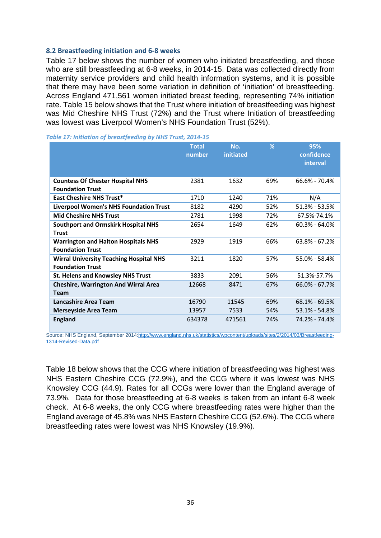#### **8.2 Breastfeeding initiation and 6-8 weeks**

Table 17 below shows the number of women who initiated breastfeeding, and those who are still breastfeeding at 6-8 weeks, in 2014-15. Data was collected directly from maternity service providers and child health information systems, and it is possible that there may have been some variation in definition of 'initiation' of breastfeeding. Across England 471,561 women initiated breast feeding, representing 74% initiation rate. Table 15 below shows that the Trust where initiation of breastfeeding was highest was Mid Cheshire NHS Trust (72%) and the Trust where Initiation of breastfeeding was lowest was Liverpool Women's NHS Foundation Trust (52%).

|                                                                           | <b>Total</b><br>number | No.<br>initiated | %   | 95%<br>confidence<br>interval |
|---------------------------------------------------------------------------|------------------------|------------------|-----|-------------------------------|
| <b>Countess Of Chester Hospital NHS</b>                                   | 2381                   | 1632             | 69% | 66.6% - 70.4%                 |
| <b>Foundation Trust</b>                                                   |                        |                  |     |                               |
| <b>East Cheshire NHS Trust*</b>                                           | 1710                   | 1240             | 71% | N/A                           |
| <b>Liverpool Women's NHS Foundation Trust</b>                             | 8182                   | 4290             | 52% | $51.3\% - 53.5\%$             |
| <b>Mid Cheshire NHS Trust</b>                                             | 2781                   | 1998             | 72% | 67.5%-74.1%                   |
| <b>Southport and Ormskirk Hospital NHS</b><br><b>Trust</b>                | 2654                   | 1649             | 62% | $60.3\% - 64.0\%$             |
| <b>Warrington and Halton Hospitals NHS</b><br><b>Foundation Trust</b>     | 2929                   | 1919             | 66% | 63.8% - 67.2%                 |
| <b>Wirral University Teaching Hospital NHS</b><br><b>Foundation Trust</b> | 3211                   | 1820             | 57% | 55.0% - 58.4%                 |
| <b>St. Helens and Knowsley NHS Trust</b>                                  | 3833                   | 2091             | 56% | 51.3%-57.7%                   |
| <b>Cheshire, Warrington And Wirral Area</b>                               | 12668                  | 8471             | 67% | $66.0\% - 67.7\%$             |
| Team                                                                      |                        |                  |     |                               |
| Lancashire Area Team                                                      | 16790                  | 11545            | 69% | $68.1\% - 69.5\%$             |
| <b>Merseyside Area Team</b>                                               | 13957                  | 7533             | 54% | 53.1% - 54.8%                 |
| <b>England</b>                                                            | 634378                 | 471561           | 74% | 74.2% - 74.4%                 |

Source: NHS England, September 2014[:http://www.england.nhs.uk/statistics/wpcontent/uploads/sites/2/2014/03/Breastfeeding-](http://www.england.nhs.uk/statistics/wpcontent/uploads/sites/2/2014/03/Breastfeeding-1314-Revised-Data.pdf)[1314-Revised-Data.pdf](http://www.england.nhs.uk/statistics/wpcontent/uploads/sites/2/2014/03/Breastfeeding-1314-Revised-Data.pdf)

Table 18 below shows that the CCG where initiation of breastfeeding was highest was NHS Eastern Cheshire CCG (72.9%), and the CCG where it was lowest was NHS Knowsley CCG (44.9). Rates for all CCGs were lower than the England average of 73.9%. Data for those breastfeeding at 6-8 weeks is taken from an infant 6-8 week check. At 6-8 weeks, the only CCG where breastfeeding rates were higher than the England average of 45.8% was NHS Eastern Cheshire CCG (52.6%). The CCG where breastfeeding rates were lowest was NHS Knowsley (19.9%).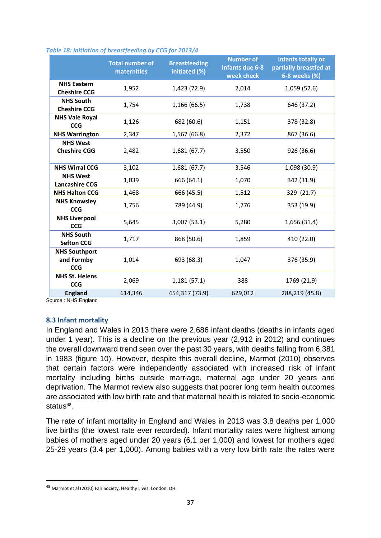|                                                  | <b>Total number of</b><br>maternities | <b>Breastfeeding</b><br>initiated (%) | <b>Number of</b><br>infants due 6-8<br>week check | <b>Infants totally or</b><br>partially breastfed at<br>6-8 weeks (%) |
|--------------------------------------------------|---------------------------------------|---------------------------------------|---------------------------------------------------|----------------------------------------------------------------------|
| <b>NHS Eastern</b><br><b>Cheshire CCG</b>        | 1,952                                 | 1,423 (72.9)                          | 2,014                                             | 1,059 (52.6)                                                         |
| <b>NHS South</b><br><b>Cheshire CCG</b>          | 1,754                                 | 1,166 (66.5)                          | 1,738                                             | 646 (37.2)                                                           |
| <b>NHS Vale Royal</b><br><b>CCG</b>              | 1,126                                 | 682 (60.6)                            | 1,151                                             | 378 (32.8)                                                           |
| <b>NHS Warrington</b>                            | 2,347                                 | 1,567 (66.8)                          | 2,372                                             | 867 (36.6)                                                           |
| <b>NHS West</b><br><b>Cheshire CGG</b>           | 2,482                                 | 1,681(67.7)                           | 3,550                                             | 926 (36.6)                                                           |
| <b>NHS Wirral CCG</b>                            | 3,102                                 | 1,681 (67.7)                          | 3,546                                             | 1,098 (30.9)                                                         |
| <b>NHS West</b><br><b>Lancashire CCG</b>         | 1,039                                 | 666 (64.1)                            | 1,070                                             | 342 (31.9)                                                           |
| <b>NHS Halton CCG</b>                            | 1,468                                 | 666 (45.5)                            | 1,512                                             | 329 (21.7)                                                           |
| <b>NHS Knowsley</b><br><b>CCG</b>                | 1,756                                 | 789 (44.9)                            | 1,776                                             | 353 (19.9)                                                           |
| <b>NHS Liverpool</b><br><b>CCG</b>               | 5,645                                 | 3,007(53.1)                           | 5,280                                             | 1,656 (31.4)                                                         |
| <b>NHS South</b><br><b>Sefton CCG</b>            | 1,717                                 | 868 (50.6)                            | 1,859                                             | 410 (22.0)                                                           |
| <b>NHS Southport</b><br>and Formby<br><b>CCG</b> | 1,014                                 | 693 (68.3)                            | 1,047                                             | 376 (35.9)                                                           |
| <b>NHS St. Helens</b><br><b>CCG</b>              | 2,069                                 | 1,181(57.1)                           | 388                                               | 1769 (21.9)                                                          |
| <b>England</b>                                   | 614,346                               | 454,317 (73.9)                        | 629,012                                           | 288,219 (45.8)                                                       |

#### *Table 18: Initiation of breastfeeding by CCG for 2013/4*

Source : NHS England

#### **8.3 Infant mortality**

In England and Wales in 2013 there were 2,686 infant deaths (deaths in infants aged under 1 year). This is a decline on the previous year (2,912 in 2012) and continues the overall downward trend seen over the past 30 years, with deaths falling from 6,381 in 1983 (figure 10). However, despite this overall decline, Marmot (2010) observes that certain factors were independently associated with increased risk of infant mortality including births outside marriage, maternal age under 20 years and deprivation. The Marmot review also suggests that poorer long term health outcomes are associated with low birth rate and that maternal health is related to socio-economic status $48$ .

The rate of infant mortality in England and Wales in 2013 was 3.8 deaths per 1,000 live births (the lowest rate ever recorded). Infant mortality rates were highest among babies of mothers aged under 20 years (6.1 per 1,000) and lowest for mothers aged 25-29 years (3.4 per 1,000). Among babies with a very low birth rate the rates were

<span id="page-41-0"></span> <sup>48</sup> Marmot et al (2010) Fair Society, Healthy Lives. London: DH.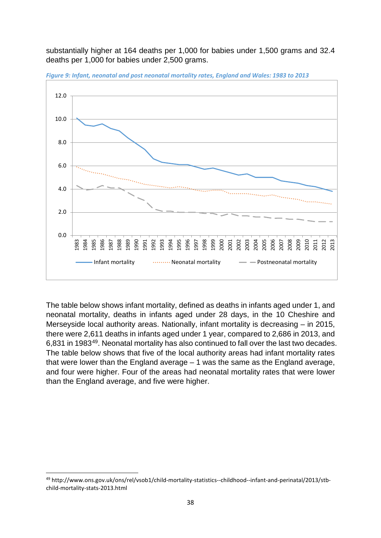substantially higher at 164 deaths per 1,000 for babies under 1,500 grams and 32.4 deaths per 1,000 for babies under 2,500 grams.



*Figure 9: Infant, neonatal and post neonatal mortality rates, England and Wales: 1983 to 2013*

The table below shows infant mortality, defined as deaths in infants aged under 1, and neonatal mortality, deaths in infants aged under 28 days, in the 10 Cheshire and Merseyside local authority areas. Nationally, infant mortality is decreasing – in 2015, there were 2,611 deaths in infants aged under 1 year, compared to 2,686 in 2013, and 6,831 in 1983[49.](#page-42-0) Neonatal mortality has also continued to fall over the last two decades. The table below shows that five of the local authority areas had infant mortality rates that were lower than the England average  $-1$  was the same as the England average, and four were higher. Four of the areas had neonatal mortality rates that were lower than the England average, and five were higher.

<span id="page-42-0"></span> <sup>49</sup> http://www.ons.gov.uk/ons/rel/vsob1/child-mortality-statistics--childhood--infant-and-perinatal/2013/stbchild-mortality-stats-2013.html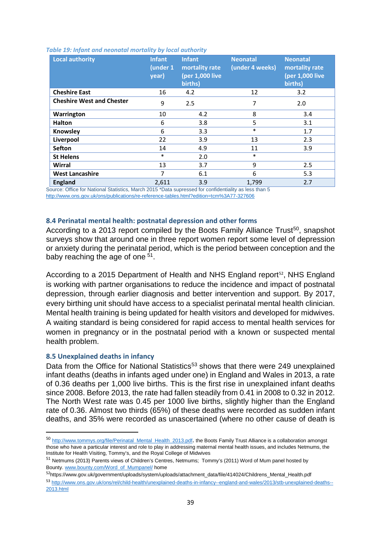| <b>Local authority</b>                                                                                                 | <b>Infant</b><br>(under 1<br>year) | <b>Infant</b><br>mortality rate<br>(per 1,000 live<br>births) | <b>Neonatal</b><br>(under 4 weeks) | <b>Neonatal</b><br>mortality rate<br>(per 1,000 live<br>births) |
|------------------------------------------------------------------------------------------------------------------------|------------------------------------|---------------------------------------------------------------|------------------------------------|-----------------------------------------------------------------|
| <b>Cheshire East</b>                                                                                                   | 16                                 | 4.2                                                           | 12                                 | 3.2                                                             |
| <b>Cheshire West and Chester</b>                                                                                       | 9                                  | 2.5                                                           | 7                                  | 2.0                                                             |
| Warrington                                                                                                             | 10                                 | 4.2                                                           | 8                                  | 3.4                                                             |
| <b>Halton</b>                                                                                                          | 6                                  | 3.8                                                           | 5                                  | 3.1                                                             |
| Knowsley                                                                                                               | 6                                  | 3.3                                                           | $\ast$                             | 1.7                                                             |
| Liverpool                                                                                                              | 22                                 | 3.9                                                           | 13                                 | 2.3                                                             |
| <b>Sefton</b>                                                                                                          | 14                                 | 4.9                                                           | 11                                 | 3.9                                                             |
| <b>St Helens</b>                                                                                                       | $\ast$                             | 2.0                                                           | $\ast$                             |                                                                 |
| Wirral                                                                                                                 | 13                                 | 3.7                                                           | 9                                  | 2.5                                                             |
| <b>West Lancashire</b>                                                                                                 | $\overline{7}$                     | 6.1                                                           | 6                                  | 5.3                                                             |
| <b>England</b><br>Course Office for National Ctotistics, March 2015 *Data currenced for confidentiality on logo than E | 2,611                              | 3.9                                                           | 1.799                              | 2.7                                                             |

#### *Table 19: Infant and neonatal mortality by local authority*

Source: Office for National Statistics, March 2015 \*Data supressed for confidentiality as less than 5 <http://www.ons.gov.uk/ons/publications/re-reference-tables.html?edition=tcm%3A77-327606>

### **8.4 Perinatal mental health: postnatal depression and other forms**

According to a 2013 report compiled by the Boots Family Alliance Trust<sup>50</sup>, snapshot surveys show that around one in three report women report some level of depression or anxiety during the perinatal period, which is the period between conception and the baby reaching the age of one [51](#page-43-1).

According to a 2015 Department of Health and NHS England report<sup>[52](#page-43-2)</sup>, NHS England is working with partner organisations to reduce the incidence and impact of postnatal depression, through earlier diagnosis and better intervention and support. By 2017, every birthing unit should have access to a specialist perinatal mental health clinician. Mental health training is being updated for health visitors and developed for midwives. A waiting standard is being considered for rapid access to mental health services for women in pregnancy or in the postnatal period with a known or suspected mental health problem.

#### **8.5 Unexplained deaths in infancy**

Data from the Office for National Statistics<sup>53</sup> shows that there were 249 unexplained infant deaths (deaths in infants aged under one) in England and Wales in 2013, a rate of 0.36 deaths per 1,000 live births. This is the first rise in unexplained infant deaths since 2008. Before 2013, the rate had fallen steadily from 0.41 in 2008 to 0.32 in 2012. The North West rate was 0.45 per 1000 live births, slightly higher than the England rate of 0.36. Almost two thirds (65%) of these deaths were recorded as sudden infant deaths, and 35% were recorded as unascertained (where no other cause of death is

<span id="page-43-0"></span> <sup>50</sup> [http://www.tommys.org/file/Perinatal\\_Mental\\_Health\\_2013.pdf](http://www.tommys.org/file/Perinatal_Mental_Health_2013.pdf). the Boots Family Trust Alliance is a collaboration amongst those who have a particular interest and role to play in addressing maternal mental health issues, and includes Netmums, the Institute for Health Visiting, Tommy's, and the Royal College of Midwives

<span id="page-43-1"></span><sup>51</sup> Netmums (2013) Parents views of Children's Centres, Netmums; Tommy's (2011) Word of Mum panel hosted by Bounty[. www.bounty.com/Word\\_of\\_Mumpanel/](http://www.bounty.com/Word_of_Mumpanel/) home

<span id="page-43-3"></span><span id="page-43-2"></span><sup>52</sup>https://www.gov.uk/government/uploads/system/uploads/attachment\_data/file/414024/Childrens\_Mental\_Health.pdf <sup>53</sup> [http://www.ons.gov.uk/ons/rel/child-health/unexplained-deaths-in-infancy--england-and-wales/2013/stb-unexplained-deaths--](http://www.ons.gov.uk/ons/rel/child-health/unexplained-deaths-in-infancy--england-and-wales/2013/stb-unexplained-deaths--2013.html) [2013.html](http://www.ons.gov.uk/ons/rel/child-health/unexplained-deaths-in-infancy--england-and-wales/2013/stb-unexplained-deaths--2013.html)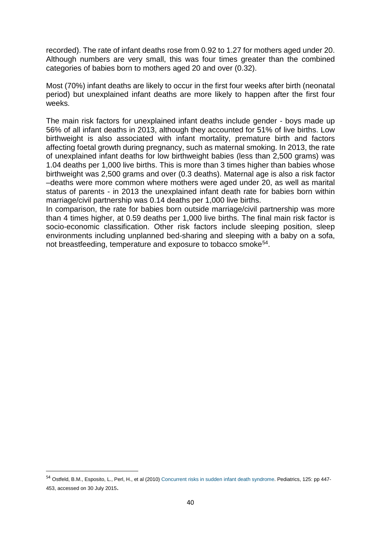recorded). The rate of infant deaths rose from 0.92 to 1.27 for mothers aged under 20. Although numbers are very small, this was four times greater than the combined categories of babies born to mothers aged 20 and over (0.32).

Most (70%) infant deaths are likely to occur in the first four weeks after birth (neonatal period) but unexplained infant deaths are more likely to happen after the first four weeks.

The main risk factors for unexplained infant deaths include gender - boys made up 56% of all infant deaths in 2013, although they accounted for 51% of live births. Low birthweight is also associated with infant mortality, premature birth and factors affecting foetal growth during pregnancy, such as maternal smoking. In 2013, the rate of unexplained infant deaths for low birthweight babies (less than 2,500 grams) was 1.04 deaths per 1,000 live births. This is more than 3 times higher than babies whose birthweight was 2,500 grams and over (0.3 deaths). Maternal age is also a risk factor –deaths were more common where mothers were aged under 20, as well as marital status of parents - in 2013 the unexplained infant death rate for babies born within marriage/civil partnership was 0.14 deaths per 1,000 live births.

In comparison, the rate for babies born outside marriage/civil partnership was more than 4 times higher, at 0.59 deaths per 1,000 live births. The final main risk factor is socio-economic classification. Other risk factors include sleeping position, sleep environments including unplanned bed-sharing and sleeping with a baby on a sofa, not breastfeeding, temperature and exposure to tobacco smoke[54.](#page-44-0)

<span id="page-44-0"></span> <sup>54</sup> Ostfeld, B.M., Esposito, L., Perl, H., et al (2010) Concurrent risks in sudden infant death syndrome. Pediatrics, 125: pp 447- 453, accessed on 30 July 2015.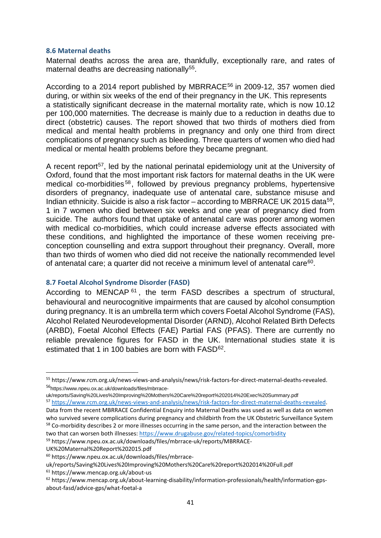#### **8.6 Maternal deaths**

Maternal deaths across the area are, thankfully, exceptionally rare, and rates of maternal deaths are decreasing nationally<sup>[55](#page-45-0)</sup>.

According to a 2014 report published by MBRRACE<sup>[56](#page-45-1)</sup> in 2009-12, 357 women died during, or within six weeks of the end of their pregnancy in the UK. This represents a statistically significant decrease in the maternal mortality rate, which is now 10.12 per 100,000 maternities. The decrease is mainly due to a reduction in deaths due to direct (obstetric) causes. The report showed that two thirds of mothers died from medical and mental health problems in pregnancy and only one third from direct complications of pregnancy such as bleeding. Three quarters of women who died had medical or mental health problems before they became pregnant.

A recent report<sup>[57](#page-45-2)</sup>, led by the national perinatal epidemiology unit at the University of Oxford, found that the most important risk factors for maternal deaths in the UK were medical co-morbidities [58](#page-45-3), followed by previous pregnancy problems, hypertensive disorders of pregnancy, inadequate use of antenatal care, substance misuse and Indian ethnicity. Suicide is also a risk factor – according to MBRRACE UK 2015 data<sup>59</sup>. 1 in 7 women who died between six weeks and one year of pregnancy died from suicide. The authors found that uptake of antenatal care was poorer among women with medical co-morbidities, which could increase adverse effects associated with these conditions, and highlighted the importance of these women receiving preconception counselling and extra support throughout their pregnancy. Overall, more than two thirds of women who died did not receive the nationally recommended level of antenatal care; a quarter did not receive a minimum level of antenatal care<sup>60</sup>.

#### **8.7 Foetal Alcohol Syndrome Disorder (FASD)**

According to MENCAP<sup>[61](#page-45-6)</sup>, the term FASD describes a spectrum of structural, behavioural and neurocognitive impairments that are caused by alcohol consumption during pregnancy. It is an umbrella term which covers Foetal Alcohol Syndrome (FAS), Alcohol Related Neurodevelopmental Disorder (ARND), Alcohol Related Birth Defects (ARBD), Foetal Alcohol Effects (FAE) Partial FAS (PFAS). There are currently no reliable prevalence figures for FASD in the UK. International studies state it is estimated that 1 in 100 babies are born with FASD<sup>62</sup>.

<span id="page-45-0"></span> <sup>55</sup> https://www.rcm.org.uk/news-views-and-analysis/news/risk-factors-for-direct-maternal-deaths-revealed. <sup>56</sup>https://www.npeu.ox.ac.uk/downloads/files/mbrrace-

<span id="page-45-2"></span><span id="page-45-1"></span>uk/reports/Saving%20Lives%20Improving%20Mothers%20Care%20report%202014%20Exec%20Summary.pdf <sup>57</sup> [https://www.rcm.org.uk/news-views-and-analysis/news/risk-factors-for-direct-maternal-deaths-revealed.](https://www.rcm.org.uk/news-views-and-analysis/news/risk-factors-for-direct-maternal-deaths-revealed)  Data from the recent MBRRACE Confidential Enquiry into Maternal Deaths was used as well as data on women

<span id="page-45-3"></span>who survived severe complications during pregnancy and childbirth from the UK Obstetric Surveillance System <sup>58</sup> Co-morbidity describes 2 or more illnesses occurring in the same person, and the interaction between the two that can worsen both illnesses:<https://www.drugabuse.gov/related-topics/comorbidity>

<span id="page-45-4"></span><sup>59</sup> https://www.npeu.ox.ac.uk/downloads/files/mbrrace-uk/reports/MBRRACE-

UK%20Maternal%20Report%202015.pdf

<span id="page-45-5"></span><sup>60</sup> https://www.npeu.ox.ac.uk/downloads/files/mbrrace-

uk/reports/Saving%20Lives%20Improving%20Mothers%20Care%20report%202014%20Full.pdf

<span id="page-45-6"></span><sup>61</sup> https://www.mencap.org.uk/about-us

<span id="page-45-7"></span><sup>62</sup> https://www.mencap.org.uk/about-learning-disability/information-professionals/health/information-gpsabout-fasd/advice-gps/what-foetal-a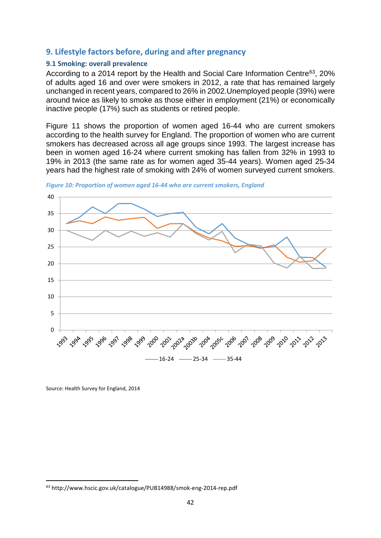# **9. Lifestyle factors before, during and after pregnancy**

### **9.1 Smoking: overall prevalence**

According to a 2014 report by the Health and Social Care Information Centre<sup>63</sup>, 20% of adults aged 16 and over were smokers in 2012, a rate that has remained largely unchanged in recent years, compared to 26% in 2002.Unemployed people (39%) were around twice as likely to smoke as those either in employment (21%) or economically inactive people (17%) such as students or retired people.

Figure 11 shows the proportion of women aged 16-44 who are current smokers according to the health survey for England. The proportion of women who are current smokers has decreased across all age groups since 1993. The largest increase has been in women aged 16-24 where current smoking has fallen from 32% in 1993 to 19% in 2013 (the same rate as for women aged 35-44 years). Women aged 25-34 years had the highest rate of smoking with 24% of women surveyed current smokers.





Source: Health Survey for England, 2014

<span id="page-46-0"></span> <sup>63</sup> http://www.hscic.gov.uk/catalogue/PUB14988/smok-eng-2014-rep.pdf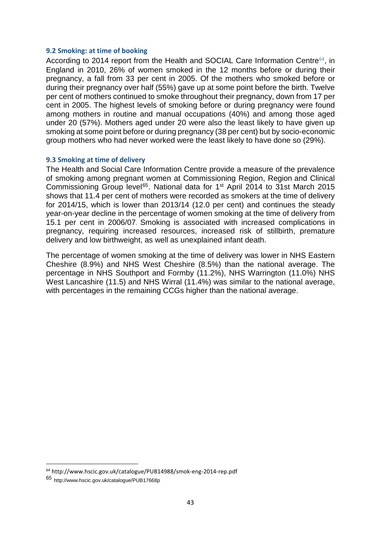#### **9.2 Smoking: at time of booking**

According to 2014 report from the Health and SOCIAL Care Information Centre<sup>[64](#page-47-0)</sup>, in England in 2010, 26% of women smoked in the 12 months before or during their pregnancy, a fall from 33 per cent in 2005. Of the mothers who smoked before or during their pregnancy over half (55%) gave up at some point before the birth. Twelve per cent of mothers continued to smoke throughout their pregnancy, down from 17 per cent in 2005. The highest levels of smoking before or during pregnancy were found among mothers in routine and manual occupations (40%) and among those aged under 20 (57%). Mothers aged under 20 were also the least likely to have given up smoking at some point before or during pregnancy (38 per cent) but by socio-economic group mothers who had never worked were the least likely to have done so (29%).

#### **9.3 Smoking at time of delivery**

The Health and Social Care Information Centre provide a measure of the prevalence of smoking among pregnant women at Commissioning Region, Region and Clinical Commissioning Group level<sup>65</sup>. National data for 1<sup>st</sup> April 2014 to 31st March 2015 shows that 11.4 per cent of mothers were recorded as smokers at the time of delivery for 2014/15, which is lower than 2013/14 (12.0 per cent) and continues the steady year-on-year decline in the percentage of women smoking at the time of delivery from 15.1 per cent in 2006/07. Smoking is associated with increased complications in pregnancy, requiring increased resources, increased risk of stillbirth, premature delivery and low birthweight, as well as unexplained infant death.

The percentage of women smoking at the time of delivery was lower in NHS Eastern Cheshire (8.9%) and NHS West Cheshire (8.5%) than the national average. The percentage in NHS Southport and Formby (11.2%), NHS Warrington (11.0%) NHS West Lancashire (11.5) and NHS Wirral (11.4%) was similar to the national average, with percentages in the remaining CCGs higher than the national average.

<span id="page-47-0"></span> <sup>64</sup> http://www.hscic.gov.uk/catalogue/PUB14988/smok-eng-2014-rep.pdf

<span id="page-47-1"></span><sup>65</sup> [http://www.hscic.gov.uk/catalogue/PUB17668p](http://www.hscic.gov.uk/article/2021/Website-Search?productid=18750&q=SMOKING+PREVALENCE&sort=Relevance&size=10&page=1&area=both#top)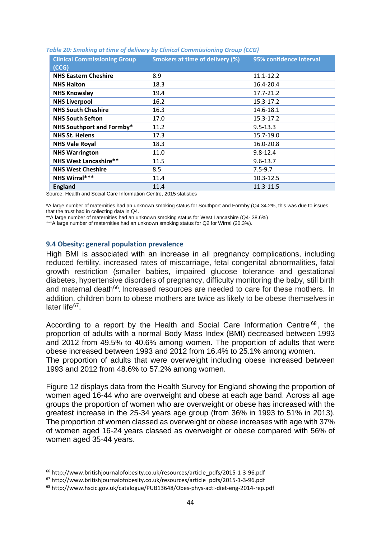| <b>Clinical Commissioning Group</b><br>(CCG) | <b>Smokers at time of delivery (%)</b> | 95% confidence interval |
|----------------------------------------------|----------------------------------------|-------------------------|
| <b>NHS Eastern Cheshire</b>                  | 8.9                                    | 11.1-12.2               |
| <b>NHS Halton</b>                            | 18.3                                   | 16.4-20.4               |
| <b>NHS Knowsley</b>                          | 19.4                                   | 17.7-21.2               |
| <b>NHS Liverpool</b>                         | 16.2                                   | 15.3-17.2               |
| <b>NHS South Cheshire</b>                    | 16.3                                   | 14.6-18.1               |
| <b>NHS South Sefton</b>                      | 17.0                                   | 15.3-17.2               |
| NHS Southport and Formby*                    | 11.2                                   | $9.5 - 13.3$            |
| <b>NHS St. Helens</b>                        | 17.3                                   | 15.7-19.0               |
| <b>NHS Vale Royal</b>                        | 18.3                                   | 16.0-20.8               |
| <b>NHS Warrington</b>                        | 11.0                                   | $9.8 - 12.4$            |
| <b>NHS West Lancashire**</b>                 | 11.5                                   | $9.6 - 13.7$            |
| <b>NHS West Cheshire</b>                     | 8.5                                    | $7.5 - 9.7$             |
| NHS Wirral***                                | 11.4                                   | $10.3 - 12.5$           |
| <b>England</b>                               | 11.4                                   | 11.3-11.5               |

#### *Table 20: Smoking at time of delivery by Clinical Commissioning Group (CCG)*

Source: Health and Social Care Information Centre, 2015 statistics

\*A large number of maternities had an unknown smoking status for Southport and Formby (Q4 34.2%, this was due to issues that the trust had in collecting data in Q4.

\*\*A large number of maternities had an unknown smoking status for West Lancashire (Q4- 38.6%)

\*\*\*A large number of maternities had an unknown smoking status for Q2 for Wirral (20.3%).

#### **9.4 Obesity: general population prevalence**

High BMI is associated with an increase in all pregnancy complications, including reduced fertility, increased rates of miscarriage, fetal congenital abnormalities, fatal growth restriction (smaller babies, impaired glucose tolerance and gestational diabetes, hypertensive disorders of pregnancy, difficulty monitoring the baby, still birth and maternal death<sup>[66](#page-48-0)</sup>. Increased resources are needed to care for these mothers. In addition, children born to obese mothers are twice as likely to be obese themselves in later life $67$ .

According to a report by the Health and Social Care Information Centre<sup>[68](#page-48-2)</sup>, the proportion of adults with a normal Body Mass Index (BMI) decreased between 1993 and 2012 from 49.5% to 40.6% among women. The proportion of adults that were obese increased between 1993 and 2012 from 16.4% to 25.1% among women. The proportion of adults that were overweight including obese increased between 1993 and 2012 from 48.6% to 57.2% among women.

Figure 12 displays data from the Health Survey for England showing the proportion of women aged 16-44 who are overweight and obese at each age band. Across all age groups the proportion of women who are overweight or obese has increased with the greatest increase in the 25-34 years age group (from 36% in 1993 to 51% in 2013). The proportion of women classed as overweight or obese increases with age with 37% of women aged 16-24 years classed as overweight or obese compared with 56% of women aged 35-44 years.

<span id="page-48-0"></span> <sup>66</sup> http://www.britishjournalofobesity.co.uk/resources/article\_pdfs/2015-1-3-96.pdf

<span id="page-48-1"></span><sup>67</sup> http://www.britishjournalofobesity.co.uk/resources/article\_pdfs/2015-1-3-96.pdf

<span id="page-48-2"></span><sup>68</sup> http://www.hscic.gov.uk/catalogue/PUB13648/Obes-phys-acti-diet-eng-2014-rep.pdf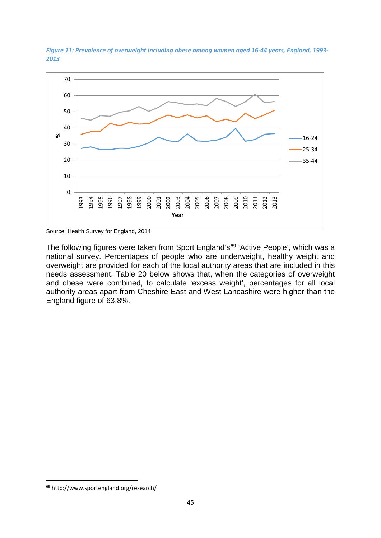

*Figure 11: Prevalence of overweight including obese among women aged 16-44 years, England, 1993- 2013*

The following figures were taken from Sport England's<sup>[69](#page-49-0)</sup> 'Active People', which was a national survey. Percentages of people who are underweight, healthy weight and overweight are provided for each of the local authority areas that are included in this needs assessment. Table 20 below shows that, when the categories of overweight and obese were combined, to calculate 'excess weight', percentages for all local authority areas apart from Cheshire East and West Lancashire were higher than the England figure of 63.8%.

Source: Health Survey for England, 2014

<span id="page-49-0"></span> <sup>69</sup> http://www.sportengland.org/research/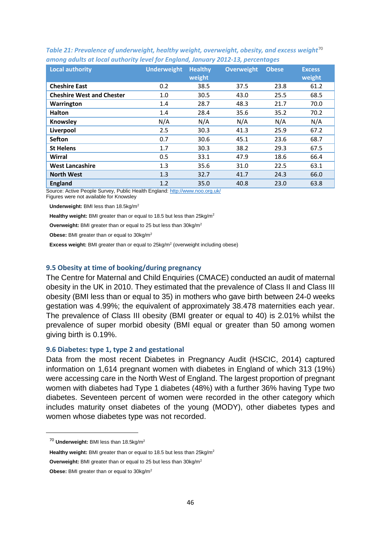| <b>Local authority</b>           | <b>Underweight</b> | <b>Healthy</b> | <b>Overweight</b> | <b>Obese</b> | <b>Excess</b> |
|----------------------------------|--------------------|----------------|-------------------|--------------|---------------|
|                                  |                    | weight         |                   |              | weight        |
| <b>Cheshire East</b>             | 0.2                | 38.5           | 37.5              | 23.8         | 61.2          |
| <b>Cheshire West and Chester</b> | 1.0                | 30.5           | 43.0              | 25.5         | 68.5          |
| Warrington                       | 1.4                | 28.7           | 48.3              | 21.7         | 70.0          |
| Halton                           | 1.4                | 28.4           | 35.6              | 35.2         | 70.2          |
| Knowsley                         | N/A                | N/A            | N/A               | N/A          | N/A           |
| Liverpool                        | 2.5                | 30.3           | 41.3              | 25.9         | 67.2          |
| <b>Sefton</b>                    | 0.7                | 30.6           | 45.1              | 23.6         | 68.7          |
| <b>St Helens</b>                 | 1.7                | 30.3           | 38.2              | 29.3         | 67.5          |
| Wirral                           | 0.5                | 33.1           | 47.9              | 18.6         | 66.4          |
| <b>West Lancashire</b>           | 1.3                | 35.6           | 31.0              | 22.5         | 63.1          |
| <b>North West</b>                | 1.3                | 32.7           | 41.7              | 24.3         | 66.0          |
| <b>England</b>                   | 1.2                | 35.0           | 40.8              | 23.0         | 63.8          |

*Table 21: Prevalence of underweight, healthy weight, overweight, obesity, and excess weight*<sup>[70](#page-50-0)</sup> *among adults at local authority level for England, January 2012-13, percentages*

Source: Active People Survey, Public Health England[: http://www.noo.org.uk/](http://www.noo.org.uk/)

Figures were not available for Knowsley

Underweight: BMI less than 18.5kg/m<sup>2</sup>

**Healthy weight:** BMI greater than or equal to 18.5 but less than 25kg/m2

**Overweight:** BMI greater than or equal to 25 but less than 30kg/m2

**Obese:** BMI greater than or equal to 30kg/m2

**Excess weight:** BMI greater than or equal to 25kg/m<sup>2</sup> (overweight including obese)

#### **9.5 Obesity at time of booking/during pregnancy**

The Centre for Maternal and Child Enquiries (CMACE) conducted an audit of maternal obesity in the UK in 2010. They estimated that the prevalence of Class II and Class III obesity (BMI less than or equal to 35) in mothers who gave birth between 24-0 weeks gestation was 4.99%; the equivalent of approximately 38.478 maternities each year. The prevalence of Class III obesity (BMI greater or equal to 40) is 2.01% whilst the prevalence of super morbid obesity (BMI equal or greater than 50 among women giving birth is 0.19%.

#### **9.6 Diabetes: type 1, type 2 and gestational**

Data from the most recent Diabetes in Pregnancy Audit (HSCIC, 2014) captured information on 1,614 pregnant women with diabetes in England of which 313 (19%) were accessing care in the North West of England. The largest proportion of pregnant women with diabetes had Type 1 diabetes (48%) with a further 36% having Type two diabetes. Seventeen percent of women were recorded in the other category which includes maturity onset diabetes of the young (MODY), other diabetes types and women whose diabetes type was not recorded.

**Healthy weight:** BMI greater than or equal to 18.5 but less than 25kg/m2

**Overweight:** BMI greater than or equal to 25 but less than 30kg/m2

<span id="page-50-0"></span> <sup>70</sup> **Underweight:** BMI less than 18.5kg/m2

**Obese:** BMI greater than or equal to 30kg/m2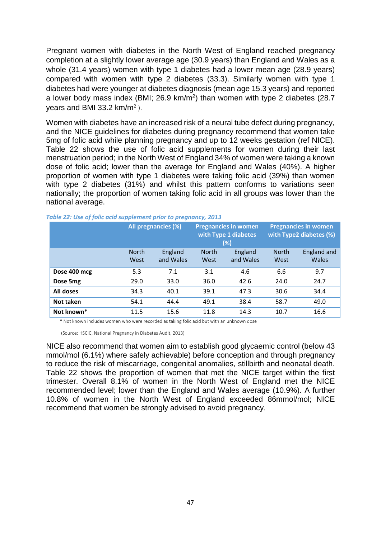Pregnant women with diabetes in the North West of England reached pregnancy completion at a slightly lower average age (30.9 years) than England and Wales as a whole (31.4 years) women with type 1 diabetes had a lower mean age (28.9 years) compared with women with type 2 diabetes (33.3). Similarly women with type 1 diabetes had were younger at diabetes diagnosis (mean age 15.3 years) and reported a lower body mass index (BMI; 26.9 km/m<sup>2</sup>) than women with type 2 diabetes (28.7 vears and BMI 33.2  $km/m^2$ ).

Women with diabetes have an increased risk of a neural tube defect during pregnancy, and the NICE guidelines for diabetes during pregnancy recommend that women take 5mg of folic acid while planning pregnancy and up to 12 weeks gestation (ref NICE). Table 22 shows the use of folic acid supplements for women during their last menstruation period; in the North West of England 34% of women were taking a known dose of folic acid; lower than the average for England and Wales (40%). A higher proportion of women with type 1 diabetes were taking folic acid (39%) than women with type 2 diabetes (31%) and whilst this pattern conforms to variations seen nationally; the proportion of women taking folic acid in all groups was lower than the national average.

|              |                      | All pregnancies (%)                                                  |      | <b>Pregnancies in women</b><br>with Type 1 diabetes<br>(%) |                      | <b>Pregnancies in women</b><br>with Type2 diabetes (%) |  |
|--------------|----------------------|----------------------------------------------------------------------|------|------------------------------------------------------------|----------------------|--------------------------------------------------------|--|
|              | <b>North</b><br>West | England<br><b>North</b><br>England<br>and Wales<br>and Wales<br>West |      |                                                            | <b>North</b><br>West | England and<br>Wales                                   |  |
| Dose 400 mcg | 5.3                  | 7.1                                                                  | 3.1  | 4.6                                                        | 6.6                  | 9.7                                                    |  |
| Dose 5mg     | 29.0                 | 33.0                                                                 | 36.0 | 42.6                                                       | 24.0                 | 24.7                                                   |  |
| All doses    | 34.3                 | 40.1                                                                 | 39.1 | 47.3                                                       | 30.6                 | 34.4                                                   |  |
| Not taken    | 54.1                 | 44.4                                                                 | 49.1 | 38.4                                                       | 58.7                 | 49.0                                                   |  |
| Not known*   | 11.5                 | 15.6                                                                 | 11.8 | 14.3                                                       | 10.7                 | 16.6                                                   |  |

*Table 22: Use of folic acid supplement prior to pregnancy, 2013*

\* Not known includes women who were recorded as taking folic acid but with an unknown dose

(Source: HSCIC, National Pregnancy in Diabetes Audit, 2013)

NICE also recommend that women aim to establish good glycaemic control (below 43 mmol/mol (6.1%) where safely achievable) before conception and through pregnancy to reduce the risk of miscarriage, congenital anomalies, stillbirth and neonatal death. Table 22 shows the proportion of women that met the NICE target within the first trimester. Overall 8.1% of women in the North West of England met the NICE recommended level; lower than the England and Wales average (10.9%). A further 10.8% of women in the North West of England exceeded 86mmol/mol; NICE recommend that women be strongly advised to avoid pregnancy.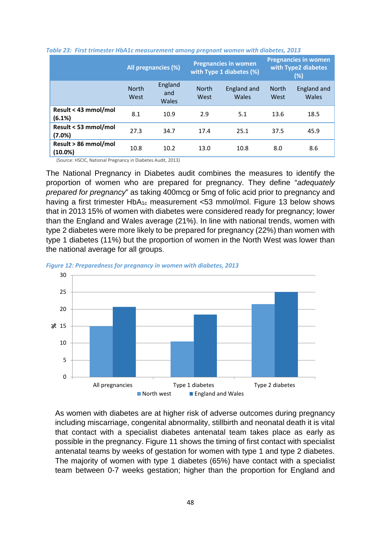|                                 | All pregnancies (%)  |                         | <b>Pregnancies in women</b><br>with Type 1 diabetes (%) |                      | <b>Pregnancies in women</b><br>with Type2 diabetes<br>(%) |                      |
|---------------------------------|----------------------|-------------------------|---------------------------------------------------------|----------------------|-----------------------------------------------------------|----------------------|
|                                 | <b>North</b><br>West | England<br>and<br>Wales | <b>North</b><br>West                                    | England and<br>Wales | <b>North</b><br>West                                      | England and<br>Wales |
| Result < 43 mmol/mol<br>(6.1%)  | 8.1                  | 10.9                    | 2.9                                                     | 5.1                  | 13.6                                                      | 18.5                 |
| Result < 53 mmol/mol<br>(7.0%)  | 27.3                 | 34.7                    | 17.4                                                    | 25.1                 | 37.5                                                      | 45.9                 |
| Result > 86 mmol/mol<br>(10.0%) | 10.8                 | 10.2                    | 13.0                                                    | 10.8                 | 8.0                                                       | 8.6                  |



(Source: HSCIC, National Pregnancy in Diabetes Audit, 2013)

The National Pregnancy in Diabetes audit combines the measures to identify the proportion of women who are prepared for pregnancy. They define "*adequately prepared for pregnancy*" as taking 400mcg or 5mg of folic acid prior to pregnancy and having a first trimester HbA<sub>1c</sub> measurement <53 mmol/mol. Figure 13 below shows that in 2013 15% of women with diabetes were considered ready for pregnancy; lower than the England and Wales average (21%). In line with national trends, women with type 2 diabetes were more likely to be prepared for pregnancy (22%) than women with type 1 diabetes (11%) but the proportion of women in the North West was lower than the national average for all groups.





As women with diabetes are at higher risk of adverse outcomes during pregnancy including miscarriage, congenital abnormality, stillbirth and neonatal death it is vital that contact with a specialist diabetes antenatal team takes place as early as possible in the pregnancy. Figure 11 shows the timing of first contact with specialist antenatal teams by weeks of gestation for women with type 1 and type 2 diabetes. The majority of women with type 1 diabetes (65%) have contact with a specialist team between 0-7 weeks gestation; higher than the proportion for England and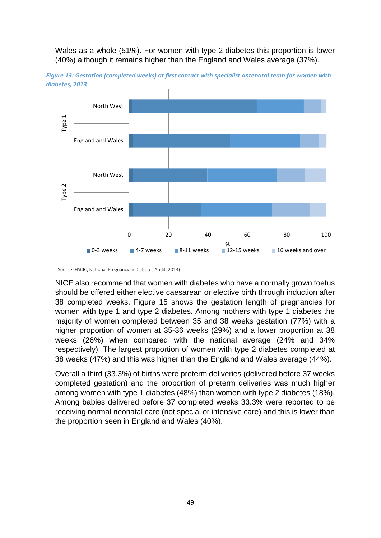Wales as a whole (51%). For women with type 2 diabetes this proportion is lower (40%) although it remains higher than the England and Wales average (37%).



*Figure 13: Gestation (completed weeks) at first contact with specialist antenatal team for women with diabetes, 2013*

(Source: HSCIC, National Pregnancy in Diabetes Audit, 2013)

NICE also recommend that women with diabetes who have a normally grown foetus should be offered either elective caesarean or elective birth through induction after 38 completed weeks. Figure 15 shows the gestation length of pregnancies for women with type 1 and type 2 diabetes. Among mothers with type 1 diabetes the majority of women completed between 35 and 38 weeks gestation (77%) with a higher proportion of women at 35-36 weeks (29%) and a lower proportion at 38 weeks (26%) when compared with the national average (24% and 34% respectively). The largest proportion of women with type 2 diabetes completed at 38 weeks (47%) and this was higher than the England and Wales average (44%).

Overall a third (33.3%) of births were preterm deliveries (delivered before 37 weeks completed gestation) and the proportion of preterm deliveries was much higher among women with type 1 diabetes (48%) than women with type 2 diabetes (18%). Among babies delivered before 37 completed weeks 33.3% were reported to be receiving normal neonatal care (not special or intensive care) and this is lower than the proportion seen in England and Wales (40%).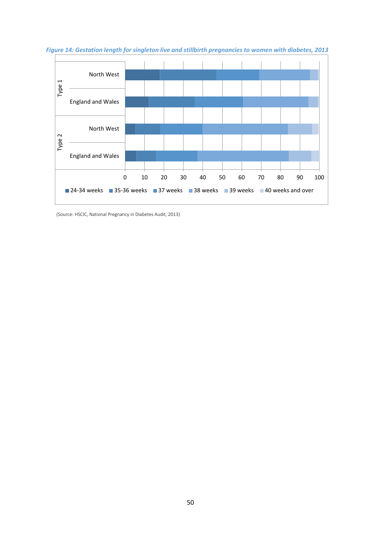

*Figure 14: Gestation length for singleton live and stillbirth pregnancies to women with diabetes, 2013*

(Source: HSCIC, National Pregnancy in Diabetes Audit, 2013)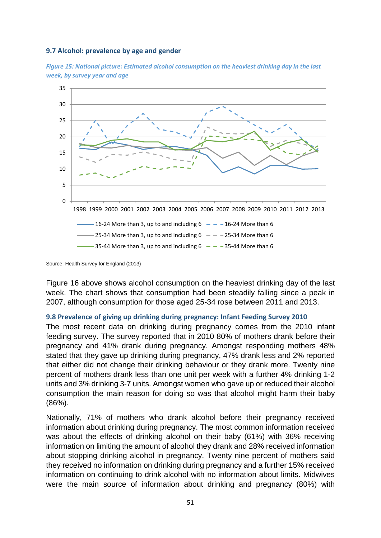#### **9.7 Alcohol: prevalence by age and gender**





Source: Health Survey for England (2013)

Figure 16 above shows alcohol consumption on the heaviest drinking day of the last week. The chart shows that consumption had been steadily falling since a peak in 2007, although consumption for those aged 25-34 rose between 2011 and 2013.

#### **9.8 Prevalence of giving up drinking during pregnancy: Infant Feeding Survey 2010**

The most recent data on drinking during pregnancy comes from the 2010 infant feeding survey. The survey reported that in 2010 80% of mothers drank before their pregnancy and 41% drank during pregnancy. Amongst responding mothers 48% stated that they gave up drinking during pregnancy, 47% drank less and 2% reported that either did not change their drinking behaviour or they drank more. Twenty nine percent of mothers drank less than one unit per week with a further 4% drinking 1-2 units and 3% drinking 3-7 units. Amongst women who gave up or reduced their alcohol consumption the main reason for doing so was that alcohol might harm their baby (86%).

Nationally, 71% of mothers who drank alcohol before their pregnancy received information about drinking during pregnancy. The most common information received was about the effects of drinking alcohol on their baby (61%) with 36% receiving information on limiting the amount of alcohol they drank and 28% received information about stopping drinking alcohol in pregnancy. Twenty nine percent of mothers said they received no information on drinking during pregnancy and a further 15% received information on continuing to drink alcohol with no information about limits. Midwives were the main source of information about drinking and pregnancy (80%) with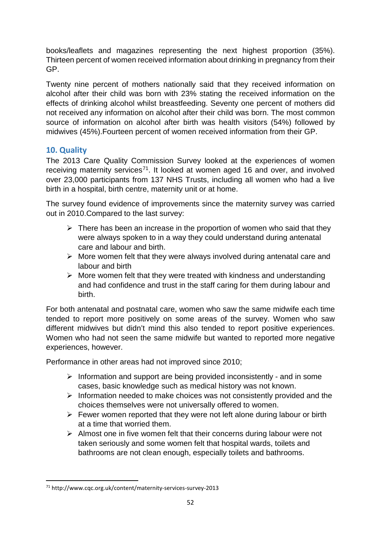books/leaflets and magazines representing the next highest proportion (35%). Thirteen percent of women received information about drinking in pregnancy from their GP.

Twenty nine percent of mothers nationally said that they received information on alcohol after their child was born with 23% stating the received information on the effects of drinking alcohol whilst breastfeeding. Seventy one percent of mothers did not received any information on alcohol after their child was born. The most common source of information on alcohol after birth was health visitors (54%) followed by midwives (45%).Fourteen percent of women received information from their GP.

# **10. Quality**

The 2013 Care Quality Commission Survey looked at the experiences of women receiving maternity services<sup>71</sup>. It looked at women aged 16 and over, and involved over 23,000 participants from 137 NHS Trusts, including all women who had a live birth in a hospital, birth centre, maternity unit or at home.

The survey found evidence of improvements since the maternity survey was carried out in 2010.Compared to the last survey:

- $\triangleright$  There has been an increase in the proportion of women who said that they were always spoken to in a way they could understand during antenatal care and labour and birth.
- $\triangleright$  More women felt that they were always involved during antenatal care and labour and birth
- $\triangleright$  More women felt that they were treated with kindness and understanding and had confidence and trust in the staff caring for them during labour and birth.

For both antenatal and postnatal care, women who saw the same midwife each time tended to report more positively on some areas of the survey. Women who saw different midwives but didn't mind this also tended to report positive experiences. Women who had not seen the same midwife but wanted to reported more negative experiences, however.

Performance in other areas had not improved since 2010;

- $\triangleright$  Information and support are being provided inconsistently and in some cases, basic knowledge such as medical history was not known.
- $\triangleright$  Information needed to make choices was not consistently provided and the choices themselves were not universally offered to women.
- $\triangleright$  Fewer women reported that they were not left alone during labour or birth at a time that worried them.
- $\triangleright$  Almost one in five women felt that their concerns during labour were not taken seriously and some women felt that hospital wards, toilets and bathrooms are not clean enough, especially toilets and bathrooms.

<span id="page-56-0"></span> <sup>71</sup> http://www.cqc.org.uk/content/maternity-services-survey-2013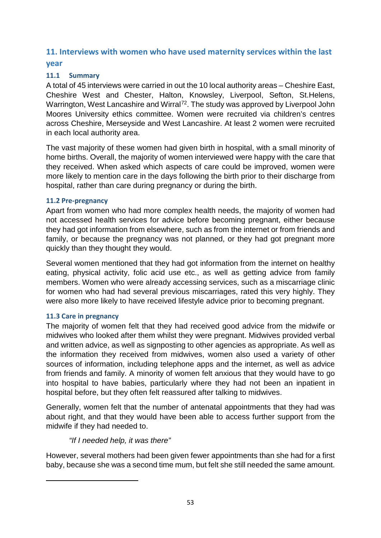# **11. Interviews with women who have used maternity services within the last year**

# **11.1 Summary**

A total of 45 interviews were carried in out the 10 local authority areas – Cheshire East, Cheshire West and Chester, Halton, Knowsley, Liverpool, Sefton, St.Helens, Warrington, West Lancashire and Wirral<sup>[72](#page-57-0)</sup>. The study was approved by Liverpool John Moores University ethics committee. Women were recruited via children's centres across Cheshire, Merseyside and West Lancashire. At least 2 women were recruited in each local authority area.

The vast majority of these women had given birth in hospital, with a small minority of home births. Overall, the majority of women interviewed were happy with the care that they received. When asked which aspects of care could be improved, women were more likely to mention care in the days following the birth prior to their discharge from hospital, rather than care during pregnancy or during the birth.

# **11.2 Pre-pregnancy**

Apart from women who had more complex health needs, the majority of women had not accessed health services for advice before becoming pregnant, either because they had got information from elsewhere, such as from the internet or from friends and family, or because the pregnancy was not planned, or they had got pregnant more quickly than they thought they would.

Several women mentioned that they had got information from the internet on healthy eating, physical activity, folic acid use etc., as well as getting advice from family members. Women who were already accessing services, such as a miscarriage clinic for women who had had several previous miscarriages, rated this very highly. They were also more likely to have received lifestyle advice prior to becoming pregnant.

# **11.3 Care in pregnancy**

<span id="page-57-0"></span> $\overline{a}$ 

The majority of women felt that they had received good advice from the midwife or midwives who looked after them whilst they were pregnant. Midwives provided verbal and written advice, as well as signposting to other agencies as appropriate. As well as the information they received from midwives, women also used a variety of other sources of information, including telephone apps and the internet, as well as advice from friends and family. A minority of women felt anxious that they would have to go into hospital to have babies, particularly where they had not been an inpatient in hospital before, but they often felt reassured after talking to midwives.

Generally, women felt that the number of antenatal appointments that they had was about right, and that they would have been able to access further support from the midwife if they had needed to.

# *"If I needed help, it was there"*

However, several mothers had been given fewer appointments than she had for a first baby, because she was a second time mum, but felt she still needed the same amount.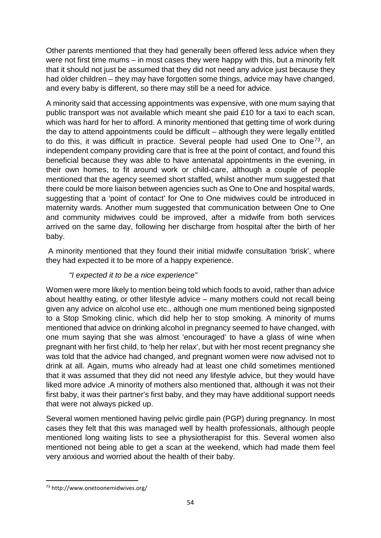Other parents mentioned that they had generally been offered less advice when they were not first time mums – in most cases they were happy with this, but a minority felt that it should not just be assumed that they did not need any advice just because they had older children – they may have forgotten some things, advice may have changed, and every baby is different, so there may still be a need for advice.

A minority said that accessing appointments was expensive, with one mum saying that public transport was not available which meant she paid £10 for a taxi to each scan, which was hard for her to afford. A minority mentioned that getting time of work during the day to attend appointments could be difficult – although they were legally entitled to do this, it was difficult in practice. Several people had used One to One<sup>[73](#page-58-0)</sup>, an independent company providing care that is free at the point of contact, and found this beneficial because they was able to have antenatal appointments in the evening, in their own homes, to fit around work or child-care, although a couple of people mentioned that the agency seemed short staffed, whilst another mum suggested that there could be more liaison between agencies such as One to One and hospital wards, suggesting that a 'point of contact' for One to One midwives could be introduced in maternity wards. Another mum suggested that communication between One to One and community midwives could be improved, after a midwife from both services arrived on the same day, following her discharge from hospital after the birth of her baby.

A minority mentioned that they found their initial midwife consultation 'brisk', where they had expected it to be more of a happy experience.

# *"I expected it to be a nice experience"*

Women were more likely to mention being told which foods to avoid, rather than advice about healthy eating, or other lifestyle advice – many mothers could not recall being given any advice on alcohol use etc., although one mum mentioned being signposted to a Stop Smoking clinic, which did help her to stop smoking. A minority of mums mentioned that advice on drinking alcohol in pregnancy seemed to have changed, with one mum saying that she was almost 'encouraged' to have a glass of wine when pregnant with her first child, to 'help her relax', but with her most recent pregnancy she was told that the advice had changed, and pregnant women were now advised not to drink at all. Again, mums who already had at least one child sometimes mentioned that it was assumed that they did not need any lifestyle advice, but they would have liked more advice .A minority of mothers also mentioned that, although it was not their first baby, it was their partner's first baby, and they may have additional support needs that were not always picked up.

Several women mentioned having pelvic girdle pain (PGP) during pregnancy. In most cases they felt that this was managed well by health professionals, although people mentioned long waiting lists to see a physiotherapist for this. Several women also mentioned not being able to get a scan at the weekend, which had made them feel very anxious and worried about the health of their baby.

<span id="page-58-0"></span> <sup>73</sup> http://www.onetoonemidwives.org/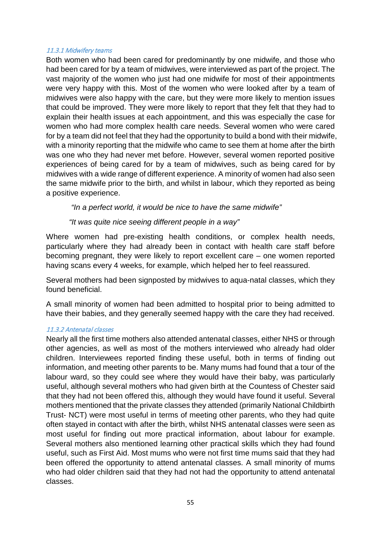#### 11.3.1 Midwifery teams

Both women who had been cared for predominantly by one midwife, and those who had been cared for by a team of midwives, were interviewed as part of the project. The vast majority of the women who just had one midwife for most of their appointments were very happy with this. Most of the women who were looked after by a team of midwives were also happy with the care, but they were more likely to mention issues that could be improved. They were more likely to report that they felt that they had to explain their health issues at each appointment, and this was especially the case for women who had more complex health care needs. Several women who were cared for by a team did not feel that they had the opportunity to build a bond with their midwife, with a minority reporting that the midwife who came to see them at home after the birth was one who they had never met before. However, several women reported positive experiences of being cared for by a team of midwives, such as being cared for by midwives with a wide range of different experience. A minority of women had also seen the same midwife prior to the birth, and whilst in labour, which they reported as being a positive experience.

*"In a perfect world, it would be nice to have the same midwife"*

### *"It was quite nice seeing different people in a way"*

Where women had pre-existing health conditions, or complex health needs, particularly where they had already been in contact with health care staff before becoming pregnant, they were likely to report excellent care – one women reported having scans every 4 weeks, for example, which helped her to feel reassured.

Several mothers had been signposted by midwives to aqua-natal classes, which they found beneficial.

A small minority of women had been admitted to hospital prior to being admitted to have their babies, and they generally seemed happy with the care they had received.

#### 11.3.2 Antenatal classes

Nearly all the first time mothers also attended antenatal classes, either NHS or through other agencies, as well as most of the mothers interviewed who already had older children. Interviewees reported finding these useful, both in terms of finding out information, and meeting other parents to be. Many mums had found that a tour of the labour ward, so they could see where they would have their baby, was particularly useful, although several mothers who had given birth at the Countess of Chester said that they had not been offered this, although they would have found it useful. Several mothers mentioned that the private classes they attended (primarily National Childbirth Trust- NCT) were most useful in terms of meeting other parents, who they had quite often stayed in contact with after the birth, whilst NHS antenatal classes were seen as most useful for finding out more practical information, about labour for example. Several mothers also mentioned learning other practical skills which they had found useful, such as First Aid. Most mums who were not first time mums said that they had been offered the opportunity to attend antenatal classes. A small minority of mums who had older children said that they had not had the opportunity to attend antenatal classes.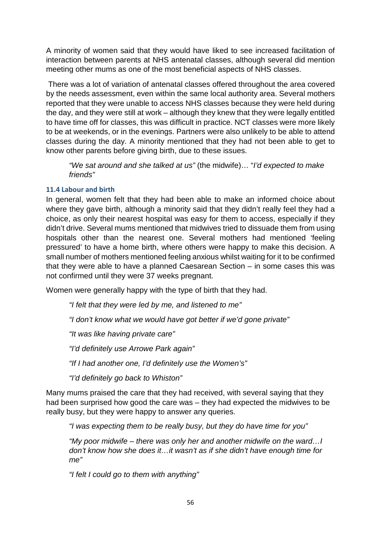A minority of women said that they would have liked to see increased facilitation of interaction between parents at NHS antenatal classes, although several did mention meeting other mums as one of the most beneficial aspects of NHS classes.

There was a lot of variation of antenatal classes offered throughout the area covered by the needs assessment, even within the same local authority area. Several mothers reported that they were unable to access NHS classes because they were held during the day, and they were still at work – although they knew that they were legally entitled to have time off for classes, this was difficult in practice. NCT classes were more likely to be at weekends, or in the evenings. Partners were also unlikely to be able to attend classes during the day. A minority mentioned that they had not been able to get to know other parents before giving birth, due to these issues.

*"We sat around and she talked at us"* (the midwife)… "*I'd expected to make friends"*

## **11.4 Labour and birth**

In general, women felt that they had been able to make an informed choice about where they gave birth, although a minority said that they didn't really feel they had a choice, as only their nearest hospital was easy for them to access, especially if they didn't drive. Several mums mentioned that midwives tried to dissuade them from using hospitals other than the nearest one. Several mothers had mentioned 'feeling pressured' to have a home birth, where others were happy to make this decision. A small number of mothers mentioned feeling anxious whilst waiting for it to be confirmed that they were able to have a planned Caesarean Section – in some cases this was not confirmed until they were 37 weeks pregnant.

Women were generally happy with the type of birth that they had.

*"I felt that they were led by me, and listened to me"*

*"I don't know what we would have got better if we'd gone private"*

*"It was like having private care"*

*"I'd definitely use Arrowe Park again"*

*"If I had another one, I'd definitely use the Women's"*

*"I'd definitely go back to Whiston"*

Many mums praised the care that they had received, with several saying that they had been surprised how good the care was – they had expected the midwives to be really busy, but they were happy to answer any queries.

*"I was expecting them to be really busy, but they do have time for you"*

*"My poor midwife – there was only her and another midwife on the ward…I don't know how she does it…it wasn't as if she didn't have enough time for me"*

*"I felt I could go to them with anything"*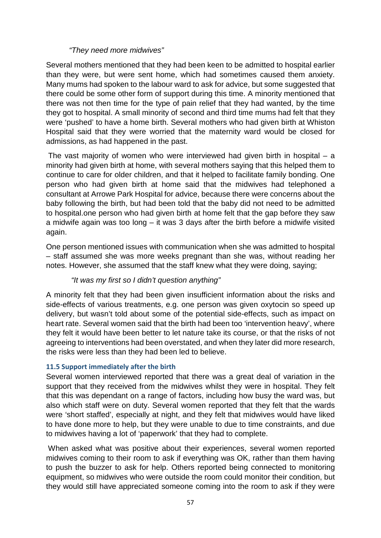### *"They need more midwives"*

Several mothers mentioned that they had been keen to be admitted to hospital earlier than they were, but were sent home, which had sometimes caused them anxiety. Many mums had spoken to the labour ward to ask for advice, but some suggested that there could be some other form of support during this time. A minority mentioned that there was not then time for the type of pain relief that they had wanted, by the time they got to hospital. A small minority of second and third time mums had felt that they were 'pushed' to have a home birth. Several mothers who had given birth at Whiston Hospital said that they were worried that the maternity ward would be closed for admissions, as had happened in the past.

The vast majority of women who were interviewed had given birth in hospital – a minority had given birth at home, with several mothers saying that this helped them to continue to care for older children, and that it helped to facilitate family bonding. One person who had given birth at home said that the midwives had telephoned a consultant at Arrowe Park Hospital for advice, because there were concerns about the baby following the birth, but had been told that the baby did not need to be admitted to hospital.one person who had given birth at home felt that the gap before they saw a midwife again was too long – it was 3 days after the birth before a midwife visited again.

One person mentioned issues with communication when she was admitted to hospital – staff assumed she was more weeks pregnant than she was, without reading her notes. However, she assumed that the staff knew what they were doing, saying;

# *"It was my first so I didn't question anything"*

A minority felt that they had been given insufficient information about the risks and side-effects of various treatments, e.g. one person was given oxytocin so speed up delivery, but wasn't told about some of the potential side-effects, such as impact on heart rate. Several women said that the birth had been too 'intervention heavy', where they felt it would have been better to let nature take its course, or that the risks of not agreeing to interventions had been overstated, and when they later did more research, the risks were less than they had been led to believe.

# **11.5 Support immediately after the birth**

Several women interviewed reported that there was a great deal of variation in the support that they received from the midwives whilst they were in hospital. They felt that this was dependant on a range of factors, including how busy the ward was, but also which staff were on duty. Several women reported that they felt that the wards were 'short staffed', especially at night, and they felt that midwives would have liked to have done more to help, but they were unable to due to time constraints, and due to midwives having a lot of 'paperwork' that they had to complete.

When asked what was positive about their experiences, several women reported midwives coming to their room to ask if everything was OK, rather than them having to push the buzzer to ask for help. Others reported being connected to monitoring equipment, so midwives who were outside the room could monitor their condition, but they would still have appreciated someone coming into the room to ask if they were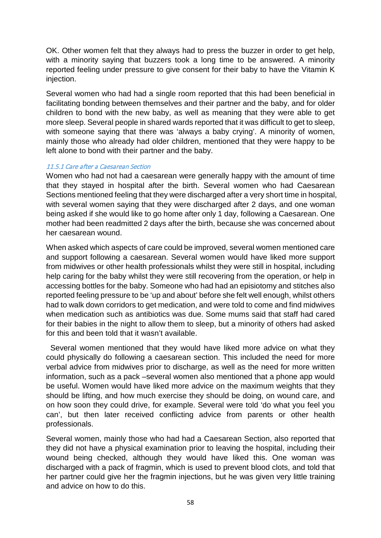OK. Other women felt that they always had to press the buzzer in order to get help, with a minority saying that buzzers took a long time to be answered. A minority reported feeling under pressure to give consent for their baby to have the Vitamin K injection.

Several women who had had a single room reported that this had been beneficial in facilitating bonding between themselves and their partner and the baby, and for older children to bond with the new baby, as well as meaning that they were able to get more sleep. Several people in shared wards reported that it was difficult to get to sleep, with someone saying that there was 'always a baby crying'. A minority of women, mainly those who already had older children, mentioned that they were happy to be left alone to bond with their partner and the baby.

### 11.5.1 Care after a Caesarean Section

Women who had not had a caesarean were generally happy with the amount of time that they stayed in hospital after the birth. Several women who had Caesarean Sections mentioned feeling that they were discharged after a very short time in hospital, with several women saying that they were discharged after 2 days, and one woman being asked if she would like to go home after only 1 day, following a Caesarean. One mother had been readmitted 2 days after the birth, because she was concerned about her caesarean wound.

When asked which aspects of care could be improved, several women mentioned care and support following a caesarean. Several women would have liked more support from midwives or other health professionals whilst they were still in hospital, including help caring for the baby whilst they were still recovering from the operation, or help in accessing bottles for the baby. Someone who had had an episiotomy and stitches also reported feeling pressure to be 'up and about' before she felt well enough, whilst others had to walk down corridors to get medication, and were told to come and find midwives when medication such as antibiotics was due. Some mums said that staff had cared for their babies in the night to allow them to sleep, but a minority of others had asked for this and been told that it wasn't available.

 Several women mentioned that they would have liked more advice on what they could physically do following a caesarean section. This included the need for more verbal advice from midwives prior to discharge, as well as the need for more written information, such as a pack –several women also mentioned that a phone app would be useful. Women would have liked more advice on the maximum weights that they should be lifting, and how much exercise they should be doing, on wound care, and on how soon they could drive, for example. Several were told 'do what you feel you can', but then later received conflicting advice from parents or other health professionals.

Several women, mainly those who had had a Caesarean Section, also reported that they did not have a physical examination prior to leaving the hospital, including their wound being checked, although they would have liked this. One woman was discharged with a pack of fragmin, which is used to prevent blood clots, and told that her partner could give her the fragmin injections, but he was given very little training and advice on how to do this.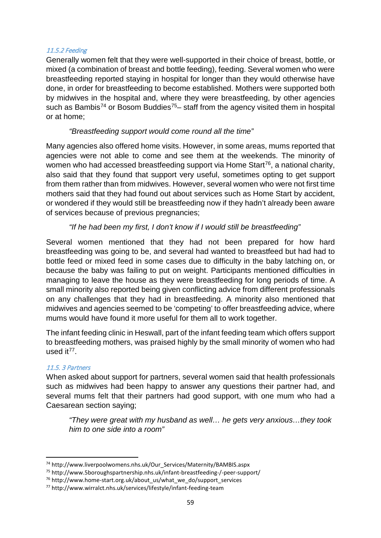### 11.5.2 Feeding

Generally women felt that they were well-supported in their choice of breast, bottle, or mixed (a combination of breast and bottle feeding), feeding. Several women who were breastfeeding reported staying in hospital for longer than they would otherwise have done, in order for breastfeeding to become established. Mothers were supported both by midwives in the hospital and, where they were breastfeeding, by other agencies such as Bambis<sup>[74](#page-63-0)</sup> or Bosom Buddies<sup>75</sup>– staff from the agency visited them in hospital or at home;

# *"Breastfeeding support would come round all the time"*

Many agencies also offered home visits. However, in some areas, mums reported that agencies were not able to come and see them at the weekends. The minority of women who had accessed breastfeeding support via Home Start<sup>[76](#page-63-2)</sup>, a national charity, also said that they found that support very useful, sometimes opting to get support from them rather than from midwives. However, several women who were not first time mothers said that they had found out about services such as Home Start by accident, or wondered if they would still be breastfeeding now if they hadn't already been aware of services because of previous pregnancies;

# *"If he had been my first, I don't know if I would still be breastfeeding"*

Several women mentioned that they had not been prepared for how hard breastfeeding was going to be, and several had wanted to breastfeed but had had to bottle feed or mixed feed in some cases due to difficulty in the baby latching on, or because the baby was failing to put on weight. Participants mentioned difficulties in managing to leave the house as they were breastfeeding for long periods of time. A small minority also reported being given conflicting advice from different professionals on any challenges that they had in breastfeeding. A minority also mentioned that midwives and agencies seemed to be 'competing' to offer breastfeeding advice, where mums would have found it more useful for them all to work together.

The infant feeding clinic in Heswall, part of the infant feeding team which offers support to breastfeeding mothers, was praised highly by the small minority of women who had used it[77.](#page-63-3)

### 11.5. 3 Partners

When asked about support for partners, several women said that health professionals such as midwives had been happy to answer any questions their partner had, and several mums felt that their partners had good support, with one mum who had a Caesarean section saying;

*"They were great with my husband as well… he gets very anxious…they took him to one side into a room"*

<span id="page-63-0"></span> <sup>74</sup> http://www.liverpoolwomens.nhs.uk/Our\_Services/Maternity/BAMBIS.aspx

<span id="page-63-1"></span><sup>75</sup> http://www.5boroughspartnership.nhs.uk/infant-breastfeeding-/-peer-support/

<span id="page-63-2"></span><sup>&</sup>lt;sup>76</sup> http://www.home-start.org.uk/about\_us/what\_we\_do/support\_services

<span id="page-63-3"></span><sup>77</sup> http://www.wirralct.nhs.uk/services/lifestyle/infant-feeding-team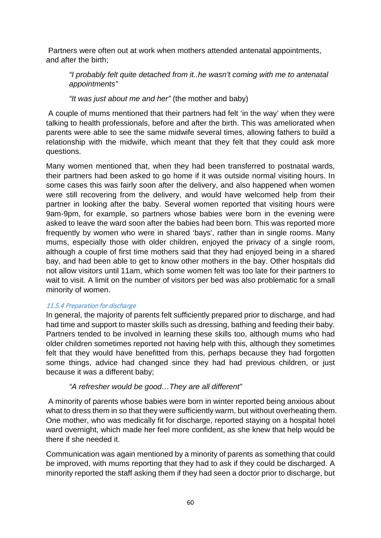Partners were often out at work when mothers attended antenatal appointments, and after the birth;

*"I probably felt quite detached from it..he wasn't coming with me to antenatal appointments"*

*"It was just about me and her"* (the mother and baby)

A couple of mums mentioned that their partners had felt 'in the way' when they were talking to health professionals, before and after the birth. This was ameliorated when parents were able to see the same midwife several times, allowing fathers to build a relationship with the midwife, which meant that they felt that they could ask more questions.

Many women mentioned that, when they had been transferred to postnatal wards, their partners had been asked to go home if it was outside normal visiting hours. In some cases this was fairly soon after the delivery, and also happened when women were still recovering from the delivery, and would have welcomed help from their partner in looking after the baby. Several women reported that visiting hours were 9am-9pm, for example, so partners whose babies were born in the evening were asked to leave the ward soon after the babies had been born. This was reported more frequently by women who were in shared 'bays', rather than in single rooms. Many mums, especially those with older children, enjoyed the privacy of a single room, although a couple of first time mothers said that they had enjoyed being in a shared bay, and had been able to get to know other mothers in the bay. Other hospitals did not allow visitors until 11am, which some women felt was too late for their partners to wait to visit. A limit on the number of visitors per bed was also problematic for a small minority of women.

### 11.5.4 Preparation for discharge

In general, the majority of parents felt sufficiently prepared prior to discharge, and had had time and support to master skills such as dressing, bathing and feeding their baby. Partners tended to be involved in learning these skills too, although mums who had older children sometimes reported not having help with this, although they sometimes felt that they would have benefitted from this, perhaps because they had forgotten some things, advice had changed since they had had previous children, or just because it was a different baby;

# *"A refresher would be good…They are all different"*

A minority of parents whose babies were born in winter reported being anxious about what to dress them in so that they were sufficiently warm, but without overheating them. One mother, who was medically fit for discharge, reported staying on a hospital hotel ward overnight, which made her feel more confident, as she knew that help would be there if she needed it.

Communication was again mentioned by a minority of parents as something that could be improved, with mums reporting that they had to ask if they could be discharged. A minority reported the staff asking them if they had seen a doctor prior to discharge, but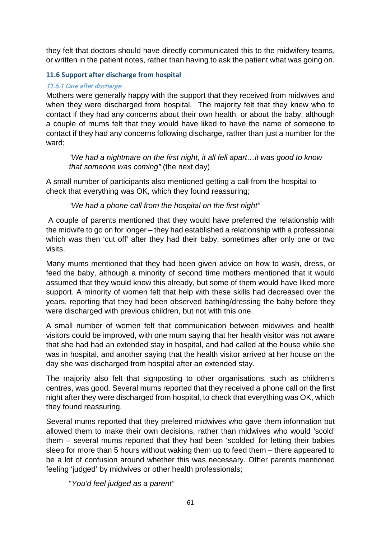they felt that doctors should have directly communicated this to the midwifery teams, or written in the patient notes, rather than having to ask the patient what was going on.

## **11.6 Support after discharge from hospital**

### 11.6.1 Care after discharge

Mothers were generally happy with the support that they received from midwives and when they were discharged from hospital. The majority felt that they knew who to contact if they had any concerns about their own health, or about the baby, although a couple of mums felt that they would have liked to have the name of someone to contact if they had any concerns following discharge, rather than just a number for the ward;

*"We had a nightmare on the first night, it all fell apart…it was good to know that someone was coming"* (the next day)

A small number of participants also mentioned getting a call from the hospital to check that everything was OK, which they found reassuring;

*"We had a phone call from the hospital on the first night"*

A couple of parents mentioned that they would have preferred the relationship with the midwife to go on for longer – they had established a relationship with a professional which was then 'cut off' after they had their baby, sometimes after only one or two visits.

Many mums mentioned that they had been given advice on how to wash, dress, or feed the baby, although a minority of second time mothers mentioned that it would assumed that they would know this already, but some of them would have liked more support. A minority of women felt that help with these skills had decreased over the years, reporting that they had been observed bathing/dressing the baby before they were discharged with previous children, but not with this one.

A small number of women felt that communication between midwives and health visitors could be improved, with one mum saying that her health visitor was not aware that she had had an extended stay in hospital, and had called at the house while she was in hospital, and another saying that the health visitor arrived at her house on the day she was discharged from hospital after an extended stay.

The majority also felt that signposting to other organisations, such as children's centres, was good. Several mums reported that they received a phone call on the first night after they were discharged from hospital, to check that everything was OK, which they found reassuring.

Several mums reported that they preferred midwives who gave them information but allowed them to make their own decisions, rather than midwives who would 'scold' them – several mums reported that they had been 'scolded' for letting their babies sleep for more than 5 hours without waking them up to feed them – there appeared to be a lot of confusion around whether this was necessary. Other parents mentioned feeling 'judged' by midwives or other health professionals;

"*You'd feel judged as a parent"*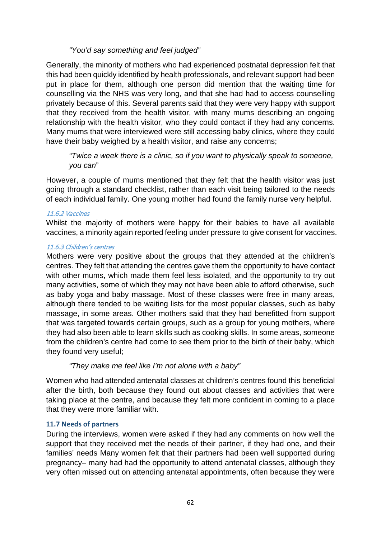# *"You'd say something and feel judged"*

Generally, the minority of mothers who had experienced postnatal depression felt that this had been quickly identified by health professionals, and relevant support had been put in place for them, although one person did mention that the waiting time for counselling via the NHS was very long, and that she had had to access counselling privately because of this. Several parents said that they were very happy with support that they received from the health visitor, with many mums describing an ongoing relationship with the health visitor, who they could contact if they had any concerns. Many mums that were interviewed were still accessing baby clinics, where they could have their baby weighed by a health visitor, and raise any concerns;

*"Twice a week there is a clinic, so if you want to physically speak to someone, you can*"

However, a couple of mums mentioned that they felt that the health visitor was just going through a standard checklist, rather than each visit being tailored to the needs of each individual family. One young mother had found the family nurse very helpful.

### 11.6.2 Vaccines

Whilst the majority of mothers were happy for their babies to have all available vaccines, a minority again reported feeling under pressure to give consent for vaccines.

### 11.6.3 Children's centres

Mothers were very positive about the groups that they attended at the children's centres. They felt that attending the centres gave them the opportunity to have contact with other mums, which made them feel less isolated, and the opportunity to try out many activities, some of which they may not have been able to afford otherwise, such as baby yoga and baby massage. Most of these classes were free in many areas, although there tended to be waiting lists for the most popular classes, such as baby massage, in some areas. Other mothers said that they had benefitted from support that was targeted towards certain groups, such as a group for young mothers, where they had also been able to learn skills such as cooking skills. In some areas, someone from the children's centre had come to see them prior to the birth of their baby, which they found very useful;

### *"They make me feel like I'm not alone with a baby"*

Women who had attended antenatal classes at children's centres found this beneficial after the birth, both because they found out about classes and activities that were taking place at the centre, and because they felt more confident in coming to a place that they were more familiar with.

### **11.7 Needs of partners**

During the interviews, women were asked if they had any comments on how well the support that they received met the needs of their partner, if they had one, and their families' needs Many women felt that their partners had been well supported during pregnancy– many had had the opportunity to attend antenatal classes, although they very often missed out on attending antenatal appointments, often because they were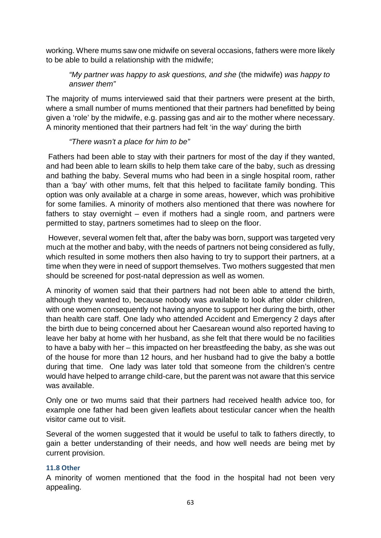working. Where mums saw one midwife on several occasions, fathers were more likely to be able to build a relationship with the midwife;

# *"My partner was happy to ask questions, and she* (the midwife) *was happy to answer them"*

The majority of mums interviewed said that their partners were present at the birth, where a small number of mums mentioned that their partners had benefitted by being given a 'role' by the midwife, e.g. passing gas and air to the mother where necessary. A minority mentioned that their partners had felt 'in the way' during the birth

# *"There wasn't a place for him to be"*

Fathers had been able to stay with their partners for most of the day if they wanted, and had been able to learn skills to help them take care of the baby, such as dressing and bathing the baby. Several mums who had been in a single hospital room, rather than a 'bay' with other mums, felt that this helped to facilitate family bonding. This option was only available at a charge in some areas, however, which was prohibitive for some families. A minority of mothers also mentioned that there was nowhere for fathers to stay overnight – even if mothers had a single room, and partners were permitted to stay, partners sometimes had to sleep on the floor.

However, several women felt that, after the baby was born, support was targeted very much at the mother and baby, with the needs of partners not being considered as fully, which resulted in some mothers then also having to try to support their partners, at a time when they were in need of support themselves. Two mothers suggested that men should be screened for post-natal depression as well as women.

A minority of women said that their partners had not been able to attend the birth, although they wanted to, because nobody was available to look after older children, with one women consequently not having anyone to support her during the birth, other than health care staff. One lady who attended Accident and Emergency 2 days after the birth due to being concerned about her Caesarean wound also reported having to leave her baby at home with her husband, as she felt that there would be no facilities to have a baby with her – this impacted on her breastfeeding the baby, as she was out of the house for more than 12 hours, and her husband had to give the baby a bottle during that time. One lady was later told that someone from the children's centre would have helped to arrange child-care, but the parent was not aware that this service was available.

Only one or two mums said that their partners had received health advice too, for example one father had been given leaflets about testicular cancer when the health visitor came out to visit.

Several of the women suggested that it would be useful to talk to fathers directly, to gain a better understanding of their needs, and how well needs are being met by current provision.

### **11.8 Other**

A minority of women mentioned that the food in the hospital had not been very appealing.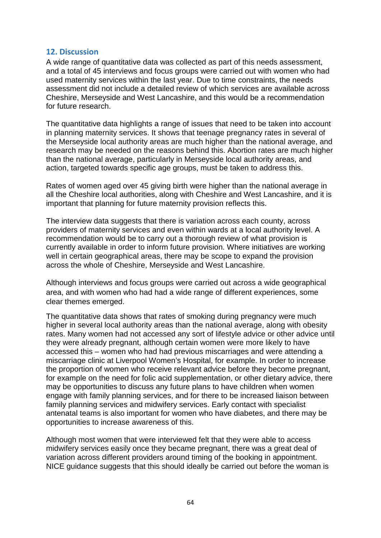### **12. Discussion**

A wide range of quantitative data was collected as part of this needs assessment, and a total of 45 interviews and focus groups were carried out with women who had used maternity services within the last year. Due to time constraints, the needs assessment did not include a detailed review of which services are available across Cheshire, Merseyside and West Lancashire, and this would be a recommendation for future research.

The quantitative data highlights a range of issues that need to be taken into account in planning maternity services. It shows that teenage pregnancy rates in several of the Merseyside local authority areas are much higher than the national average, and research may be needed on the reasons behind this. Abortion rates are much higher than the national average, particularly in Merseyside local authority areas, and action, targeted towards specific age groups, must be taken to address this.

Rates of women aged over 45 giving birth were higher than the national average in all the Cheshire local authorities, along with Cheshire and West Lancashire, and it is important that planning for future maternity provision reflects this.

The interview data suggests that there is variation across each county, across providers of maternity services and even within wards at a local authority level. A recommendation would be to carry out a thorough review of what provision is currently available in order to inform future provision. Where initiatives are working well in certain geographical areas, there may be scope to expand the provision across the whole of Cheshire, Merseyside and West Lancashire.

Although interviews and focus groups were carried out across a wide geographical area, and with women who had had a wide range of different experiences, some clear themes emerged.

The quantitative data shows that rates of smoking during pregnancy were much higher in several local authority areas than the national average, along with obesity rates. Many women had not accessed any sort of lifestyle advice or other advice until they were already pregnant, although certain women were more likely to have accessed this – women who had had previous miscarriages and were attending a miscarriage clinic at Liverpool Women's Hospital, for example. In order to increase the proportion of women who receive relevant advice before they become pregnant, for example on the need for folic acid supplementation, or other dietary advice, there may be opportunities to discuss any future plans to have children when women engage with family planning services, and for there to be increased liaison between family planning services and midwifery services. Early contact with specialist antenatal teams is also important for women who have diabetes, and there may be opportunities to increase awareness of this.

Although most women that were interviewed felt that they were able to access midwifery services easily once they became pregnant, there was a great deal of variation across different providers around timing of the booking in appointment. NICE guidance suggests that this should ideally be carried out before the woman is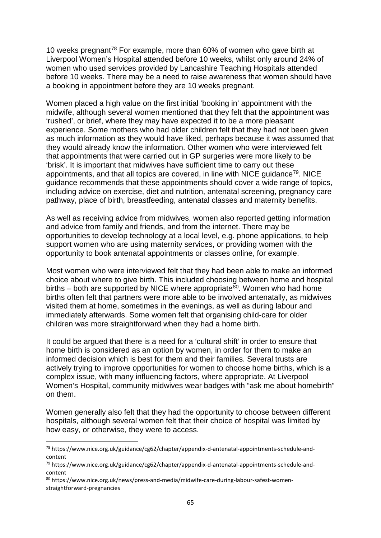10 weeks pregnant<sup>[78](#page-69-0)</sup> For example, more than  $60\%$  of women who gave birth at Liverpool Women's Hospital attended before 10 weeks, whilst only around 24% of women who used services provided by Lancashire Teaching Hospitals attended before 10 weeks. There may be a need to raise awareness that women should have a booking in appointment before they are 10 weeks pregnant.

Women placed a high value on the first initial 'booking in' appointment with the midwife, although several women mentioned that they felt that the appointment was 'rushed', or brief, where they may have expected it to be a more pleasant experience. Some mothers who had older children felt that they had not been given as much information as they would have liked, perhaps because it was assumed that they would already know the information. Other women who were interviewed felt that appointments that were carried out in GP surgeries were more likely to be 'brisk'. It is important that midwives have sufficient time to carry out these appointments, and that all topics are covered, in line with NICE quidance<sup>79</sup>. NICE guidance recommends that these appointments should cover a wide range of topics, including advice on exercise, diet and nutrition, antenatal screening, pregnancy care pathway, place of birth, breastfeeding, antenatal classes and maternity benefits.

As well as receiving advice from midwives, women also reported getting information and advice from family and friends, and from the internet. There may be opportunities to develop technology at a local level, e.g. phone applications, to help support women who are using maternity services, or providing women with the opportunity to book antenatal appointments or classes online, for example.

Most women who were interviewed felt that they had been able to make an informed choice about where to give birth. This included choosing between home and hospital births – both are supported by NICE where appropriate<sup>80</sup>. Women who had home births often felt that partners were more able to be involved antenatally, as midwives visited them at home, sometimes in the evenings, as well as during labour and immediately afterwards. Some women felt that organising child-care for older children was more straightforward when they had a home birth.

It could be argued that there is a need for a 'cultural shift' in order to ensure that home birth is considered as an option by women, in order for them to make an informed decision which is best for them and their families. Several trusts are actively trying to improve opportunities for women to choose home births, which is a complex issue, with many influencing factors, where appropriate. At Liverpool Women's Hospital, community midwives wear badges with "ask me about homebirth" on them.

Women generally also felt that they had the opportunity to choose between different hospitals, although several women felt that their choice of hospital was limited by how easy, or otherwise, they were to access.

<span id="page-69-0"></span> <sup>78</sup> https://www.nice.org.uk/guidance/cg62/chapter/appendix-d-antenatal-appointments-schedule-andcontent

<span id="page-69-1"></span><sup>79</sup> https://www.nice.org.uk/guidance/cg62/chapter/appendix-d-antenatal-appointments-schedule-andcontent

<span id="page-69-2"></span><sup>80</sup> https://www.nice.org.uk/news/press-and-media/midwife-care-during-labour-safest-womenstraightforward-pregnancies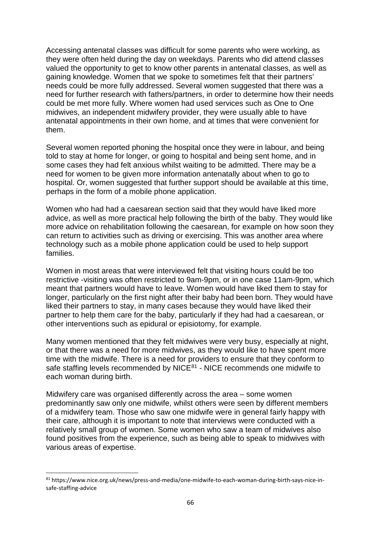Accessing antenatal classes was difficult for some parents who were working, as they were often held during the day on weekdays. Parents who did attend classes valued the opportunity to get to know other parents in antenatal classes, as well as gaining knowledge. Women that we spoke to sometimes felt that their partners' needs could be more fully addressed. Several women suggested that there was a need for further research with fathers/partners, in order to determine how their needs could be met more fully. Where women had used services such as One to One midwives, an independent midwifery provider, they were usually able to have antenatal appointments in their own home, and at times that were convenient for them.

Several women reported phoning the hospital once they were in labour, and being told to stay at home for longer, or going to hospital and being sent home, and in some cases they had felt anxious whilst waiting to be admitted. There may be a need for women to be given more information antenatally about when to go to hospital. Or, women suggested that further support should be available at this time, perhaps in the form of a mobile phone application.

Women who had had a caesarean section said that they would have liked more advice, as well as more practical help following the birth of the baby. They would like more advice on rehabilitation following the caesarean, for example on how soon they can return to activities such as driving or exercising. This was another area where technology such as a mobile phone application could be used to help support families.

Women in most areas that were interviewed felt that visiting hours could be too restrictive -visiting was often restricted to 9am-9pm, or in one case 11am-9pm, which meant that partners would have to leave. Women would have liked them to stay for longer, particularly on the first night after their baby had been born. They would have liked their partners to stay, in many cases because they would have liked their partner to help them care for the baby, particularly if they had had a caesarean, or other interventions such as epidural or episiotomy, for example.

Many women mentioned that they felt midwives were very busy, especially at night, or that there was a need for more midwives, as they would like to have spent more time with the midwife. There is a need for providers to ensure that they conform to safe staffing levels recommended by NICE $81$  - NICE recommends one midwife to each woman during birth.

Midwifery care was organised differently across the area – some women predominantly saw only one midwife, whilst others were seen by different members of a midwifery team. Those who saw one midwife were in general fairly happy with their care, although it is important to note that interviews were conducted with a relatively small group of women. Some women who saw a team of midwives also found positives from the experience, such as being able to speak to midwives with various areas of expertise.

<span id="page-70-0"></span> <sup>81</sup> https://www.nice.org.uk/news/press-and-media/one-midwife-to-each-woman-during-birth-says-nice-insafe-staffing-advice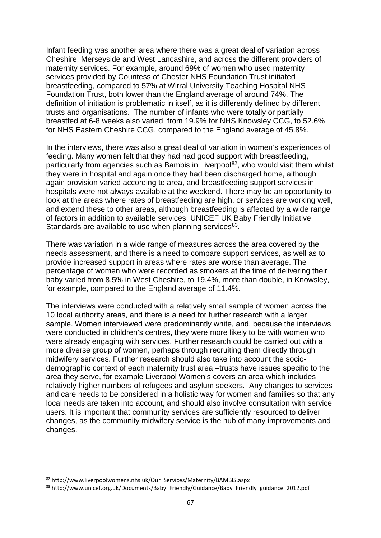Infant feeding was another area where there was a great deal of variation across Cheshire, Merseyside and West Lancashire, and across the different providers of maternity services. For example, around 69% of women who used maternity services provided by Countess of Chester NHS Foundation Trust initiated breastfeeding, compared to 57% at Wirral University Teaching Hospital NHS Foundation Trust, both lower than the England average of around 74%. The definition of initiation is problematic in itself, as it is differently defined by different trusts and organisations. The number of infants who were totally or partially breastfed at 6-8 weeks also varied, from 19.9% for NHS Knowsley CCG, to 52.6% for NHS Eastern Cheshire CCG, compared to the England average of 45.8%.

In the interviews, there was also a great deal of variation in women's experiences of feeding. Many women felt that they had had good support with breastfeeding, particularly from agencies such as Bambis in Liverpool<sup>82</sup>, who would visit them whilst they were in hospital and again once they had been discharged home, although again provision varied according to area, and breastfeeding support services in hospitals were not always available at the weekend. There may be an opportunity to look at the areas where rates of breastfeeding are high, or services are working well, and extend these to other areas, although breastfeeding is affected by a wide range of factors in addition to available services. UNICEF UK Baby Friendly Initiative Standards are available to use when planning services $83$ .

There was variation in a wide range of measures across the area covered by the needs assessment, and there is a need to compare support services, as well as to provide increased support in areas where rates are worse than average. The percentage of women who were recorded as smokers at the time of delivering their baby varied from 8.5% in West Cheshire, to 19.4%, more than double, in Knowsley, for example, compared to the England average of 11.4%.

The interviews were conducted with a relatively small sample of women across the 10 local authority areas, and there is a need for further research with a larger sample. Women interviewed were predominantly white, and, because the interviews were conducted in children's centres, they were more likely to be with women who were already engaging with services. Further research could be carried out with a more diverse group of women, perhaps through recruiting them directly through midwifery services. Further research should also take into account the sociodemographic context of each maternity trust area –trusts have issues specific to the area they serve, for example Liverpool Women's covers an area which includes relatively higher numbers of refugees and asylum seekers. Any changes to services and care needs to be considered in a holistic way for women and families so that any local needs are taken into account, and should also involve consultation with service users. It is important that community services are sufficiently resourced to deliver changes, as the community midwifery service is the hub of many improvements and changes.

<span id="page-71-0"></span><sup>82</sup> http://www.liverpoolwomens.nhs.uk/Our\_Services/Maternity/BAMBIS.aspx

<span id="page-71-1"></span><sup>83</sup> http://www.unicef.org.uk/Documents/Baby\_Friendly/Guidance/Baby\_Friendly\_guidance\_2012.pdf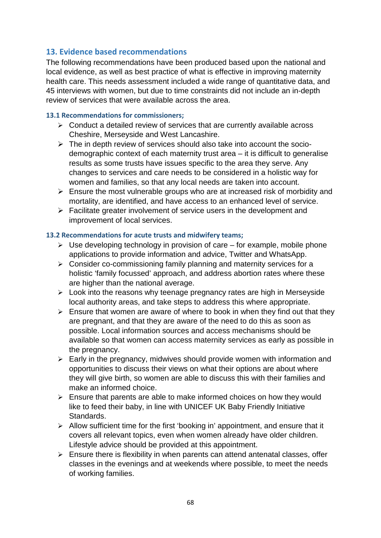## **13. Evidence based recommendations**

The following recommendations have been produced based upon the national and local evidence, as well as best practice of what is effective in improving maternity health care. This needs assessment included a wide range of quantitative data, and 45 interviews with women, but due to time constraints did not include an in-depth review of services that were available across the area.

### **13.1 Recommendations for commissioners;**

- $\triangleright$  Conduct a detailed review of services that are currently available across Cheshire, Merseyside and West Lancashire.
- $\triangleright$  The in depth review of services should also take into account the sociodemographic context of each maternity trust area – it is difficult to generalise results as some trusts have issues specific to the area they serve. Any changes to services and care needs to be considered in a holistic way for women and families, so that any local needs are taken into account.
- $\triangleright$  Ensure the most vulnerable groups who are at increased risk of morbidity and mortality, are identified, and have access to an enhanced level of service.
- $\triangleright$  Facilitate greater involvement of service users in the development and improvement of local services.

### **13.2 Recommendations for acute trusts and midwifery teams;**

- $\triangleright$  Use developing technology in provision of care for example, mobile phone applications to provide information and advice, Twitter and WhatsApp.
- $\triangleright$  Consider co-commissioning family planning and maternity services for a holistic 'family focussed' approach, and address abortion rates where these are higher than the national average.
- $\triangleright$  Look into the reasons why teenage pregnancy rates are high in Merseyside local authority areas, and take steps to address this where appropriate.
- $\geq$  Ensure that women are aware of where to book in when they find out that they are pregnant, and that they are aware of the need to do this as soon as possible. Local information sources and access mechanisms should be available so that women can access maternity services as early as possible in the pregnancy.
- $\triangleright$  Early in the pregnancy, midwives should provide women with information and opportunities to discuss their views on what their options are about where they will give birth, so women are able to discuss this with their families and make an informed choice.
- $\triangleright$  Ensure that parents are able to make informed choices on how they would like to feed their baby, in line with UNICEF UK Baby Friendly Initiative Standards.
- $\triangleright$  Allow sufficient time for the first 'booking in' appointment, and ensure that it covers all relevant topics, even when women already have older children. Lifestyle advice should be provided at this appointment.
- $\triangleright$  Ensure there is flexibility in when parents can attend antenatal classes, offer classes in the evenings and at weekends where possible, to meet the needs of working families.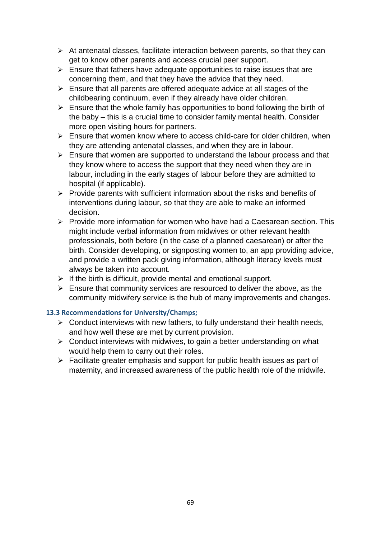- $\triangleright$  At antenatal classes, facilitate interaction between parents, so that they can get to know other parents and access crucial peer support.
- $\triangleright$  Ensure that fathers have adequate opportunities to raise issues that are concerning them, and that they have the advice that they need.
- $\triangleright$  Ensure that all parents are offered adequate advice at all stages of the childbearing continuum, even if they already have older children.
- $\triangleright$  Ensure that the whole family has opportunities to bond following the birth of the baby – this is a crucial time to consider family mental health. Consider more open visiting hours for partners.
- $\triangleright$  Ensure that women know where to access child-care for older children, when they are attending antenatal classes, and when they are in labour.
- $\triangleright$  Ensure that women are supported to understand the labour process and that they know where to access the support that they need when they are in labour, including in the early stages of labour before they are admitted to hospital (if applicable).
- $\triangleright$  Provide parents with sufficient information about the risks and benefits of interventions during labour, so that they are able to make an informed decision.
- $\triangleright$  Provide more information for women who have had a Caesarean section. This might include verbal information from midwives or other relevant health professionals, both before (in the case of a planned caesarean) or after the birth. Consider developing, or signposting women to, an app providing advice, and provide a written pack giving information, although literacy levels must always be taken into account.
- $\triangleright$  If the birth is difficult, provide mental and emotional support.
- $\triangleright$  Ensure that community services are resourced to deliver the above, as the community midwifery service is the hub of many improvements and changes.

### **13.3 Recommendations for University/Champs;**

- $\triangleright$  Conduct interviews with new fathers, to fully understand their health needs, and how well these are met by current provision.
- $\triangleright$  Conduct interviews with midwives, to gain a better understanding on what would help them to carry out their roles.
- $\triangleright$  Facilitate greater emphasis and support for public health issues as part of maternity, and increased awareness of the public health role of the midwife.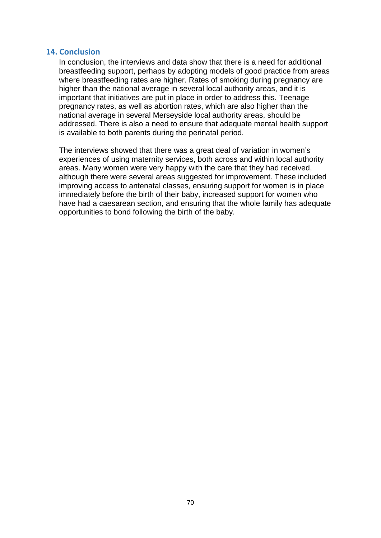#### **14. Conclusion**

In conclusion, the interviews and data show that there is a need for additional breastfeeding support, perhaps by adopting models of good practice from areas where breastfeeding rates are higher. Rates of smoking during pregnancy are higher than the national average in several local authority areas, and it is important that initiatives are put in place in order to address this. Teenage pregnancy rates, as well as abortion rates, which are also higher than the national average in several Merseyside local authority areas, should be addressed. There is also a need to ensure that adequate mental health support is available to both parents during the perinatal period.

The interviews showed that there was a great deal of variation in women's experiences of using maternity services, both across and within local authority areas. Many women were very happy with the care that they had received, although there were several areas suggested for improvement. These included improving access to antenatal classes, ensuring support for women is in place immediately before the birth of their baby, increased support for women who have had a caesarean section, and ensuring that the whole family has adequate opportunities to bond following the birth of the baby.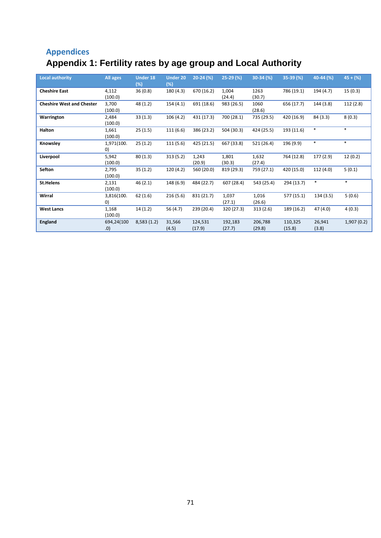# **Appendices Appendix 1: Fertility rates by age group and Local Authority**

| <b>Local authority</b>           | All ages   | <b>Under 18</b> | <b>Under 20</b> | $20-24$ (%) | $25-29$ (%) | 30-34 (%)  | $35-39(%)$ | 40-44 (%) | $45 + (%)$ |
|----------------------------------|------------|-----------------|-----------------|-------------|-------------|------------|------------|-----------|------------|
|                                  |            | (%)             | $(\%)$          |             |             |            |            |           |            |
| <b>Cheshire East</b>             | 4,112      | 36(0.8)         | 180 (4.3)       | 670 (16.2)  | 1,004       | 1263       | 786 (19.1) | 194 (4.7) | 15(0.3)    |
|                                  | (100.0)    |                 |                 |             | (24.4)      | (30.7)     |            |           |            |
| <b>Cheshire West and Chester</b> |            | 48 (1.2)        |                 |             |             |            |            | 144 (3.8) |            |
|                                  | 3,700      |                 | 154(4.1)        | 691 (18.6)  | 983 (26.5)  | 1060       | 656 (17.7) |           | 112(2.8)   |
|                                  | (100.0)    |                 |                 |             |             | (28.6)     |            |           |            |
| Warrington                       | 2,484      | 33(1.3)         | 106(4.2)        | 431 (17.3)  | 700 (28.1)  | 735 (29.5) | 420 (16.9) | 84 (3.3)  | 8(0.3)     |
|                                  | (100.0)    |                 |                 |             |             |            |            |           |            |
| Halton                           | 1,661      | 25(1.5)         | 111(6.6)        | 386 (23.2)  | 504 (30.3)  | 424 (25.5) | 193 (11.6) | $\ast$    | $\ast$     |
|                                  | (100.0)    |                 |                 |             |             |            |            |           |            |
| Knowsley                         | 1,971(100. | 25(1.2)         | 111(5.6)        | 425 (21.5)  | 667 (33.8)  | 521 (26.4) | 196 (9.9)  | $\ast$    | $\ast$     |
|                                  | 0)         |                 |                 |             |             |            |            |           |            |
| Liverpool                        | 5,942      | 80(1.3)         | 313(5.2)        | 1,243       | 1,801       | 1,632      | 764 (12.8) | 177 (2.9) | 12(0.2)    |
|                                  |            |                 |                 |             |             |            |            |           |            |
|                                  | (100.0)    |                 |                 | (20.9)      | (30.3)      | (27.4)     |            |           |            |
| Sefton                           | 2,795      | 35(1.2)         | 120(4.2)        | 560 (20.0)  | 819 (29.3)  | 759 (27.1) | 420 (15.0) | 112 (4.0) | 5(0.1)     |
|                                  | (100.0)    |                 |                 |             |             |            |            |           |            |
| <b>St.Helens</b>                 | 2,131      | 46(2.1)         | 148 (6.9)       | 484 (22.7)  | 607 (28.4)  | 543 (25.4) | 294 (13.7) | $\ast$    | $\ast$     |
|                                  | (100.0)    |                 |                 |             |             |            |            |           |            |
| Wirral                           | 3,816(100. | 62(1.6)         | 216 (5.6)       | 831 (21.7)  | 1,037       | 1,016      | 577 (15.1) | 134(3.5)  | 5(0.6)     |
|                                  | O)         |                 |                 |             | (27.1)      | (26.6)     |            |           |            |
| <b>West Lancs</b>                | 1,168      | 14(1.2)         | 56 (4.7)        | 239 (20.4)  | 320 (27.3)  | 313(2.6)   | 189 (16.2) | 47 (4.0)  | 4(0.3)     |
|                                  | (100.0)    |                 |                 |             |             |            |            |           |            |
|                                  |            |                 |                 |             |             |            |            |           |            |
| England                          | 694,24(100 | 8,583(1.2)      | 31,566          | 124,531     | 192,183     | 206,788    | 110,325    | 26,941    | 1,907(0.2) |
|                                  | .0)        |                 | (4.5)           | (17.9)      | (27.7)      | (29.8)     | (15.8)     | (3.8)     |            |